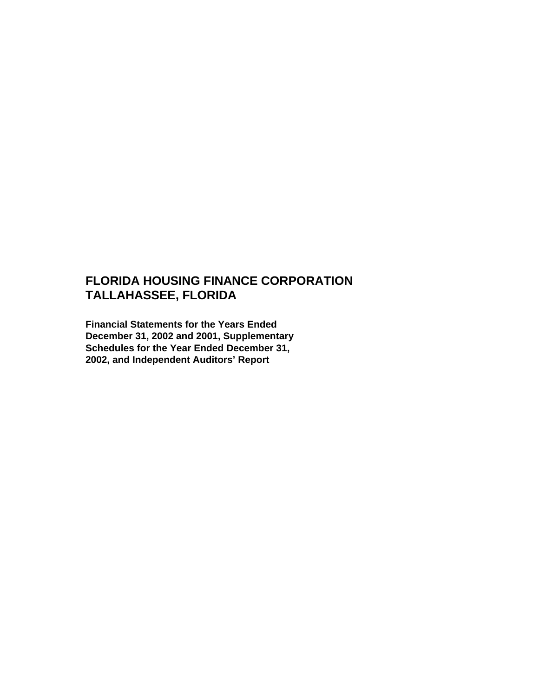# **FLORIDA HOUSING FINANCE CORPORATION TALLAHASSEE, FLORIDA**

**Financial Statements for the Years Ended December 31, 2002 and 2001, Supplementary Schedules for the Year Ended December 31, 2002, and Independent Auditors' Report**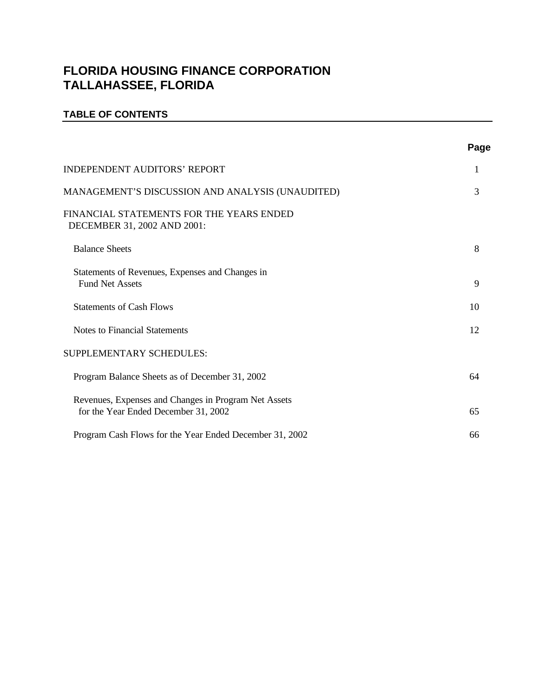# **FLORIDA HOUSING FINANCE CORPORATION TALLAHASSEE, FLORIDA**

### **TABLE OF CONTENTS**

|                                                                                              | Page |
|----------------------------------------------------------------------------------------------|------|
| INDEPENDENT AUDITORS' REPORT                                                                 | 1    |
| MANAGEMENT'S DISCUSSION AND ANALYSIS (UNAUDITED)                                             | 3    |
| FINANCIAL STATEMENTS FOR THE YEARS ENDED<br>DECEMBER 31, 2002 AND 2001:                      |      |
| <b>Balance Sheets</b>                                                                        | 8    |
| Statements of Revenues, Expenses and Changes in<br><b>Fund Net Assets</b>                    | 9    |
| <b>Statements of Cash Flows</b>                                                              | 10   |
| <b>Notes to Financial Statements</b>                                                         | 12   |
| SUPPLEMENTARY SCHEDULES:                                                                     |      |
| Program Balance Sheets as of December 31, 2002                                               | 64   |
| Revenues, Expenses and Changes in Program Net Assets<br>for the Year Ended December 31, 2002 | 65   |
| Program Cash Flows for the Year Ended December 31, 2002                                      | 66   |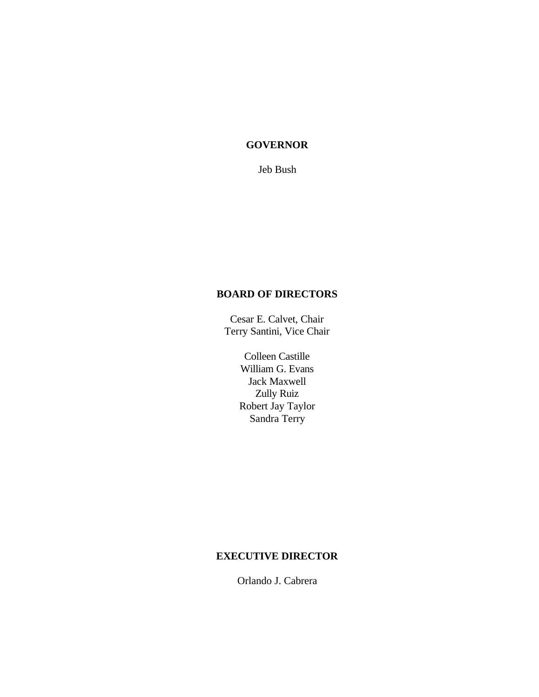### **GOVERNOR**

Jeb Bush

### **BOARD OF DIRECTORS**

Cesar E. Calvet, Chair Terry Santini, Vice Chair

> Colleen Castille William G. Evans Jack Maxwell Zully Ruiz Robert Jay Taylor Sandra Terry

### **EXECUTIVE DIRECTOR**

Orlando J. Cabrera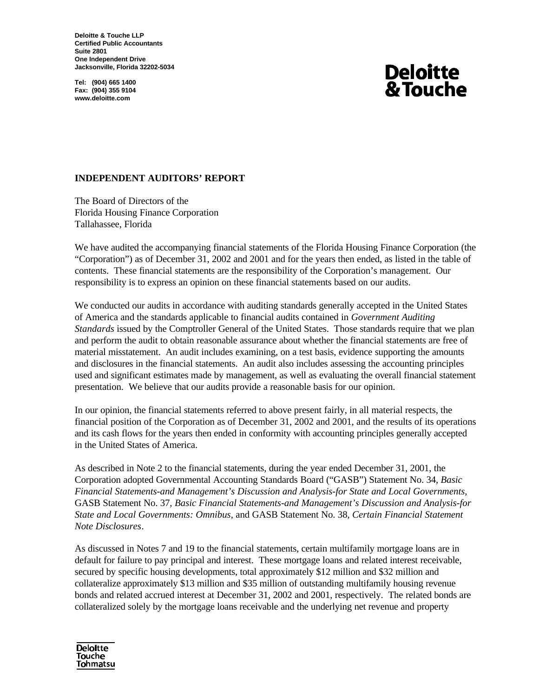**Deloitte & Touche LLP Certified Public Accountants Suite 2801 One Independent Drive Jacksonville, Florida 32202-5034**

**Tel: (904) 665 1400 Fax: (904) 355 9104 www.deloitte.com**

# **Deloitte** & Touche

### **INDEPENDENT AUDITORS' REPORT**

The Board of Directors of the Florida Housing Finance Corporation Tallahassee, Florida

We have audited the accompanying financial statements of the Florida Housing Finance Corporation (the "Corporation") as of December 31, 2002 and 2001 and for the years then ended, as listed in the table of contents. These financial statements are the responsibility of the Corporation's management. Our responsibility is to express an opinion on these financial statements based on our audits.

We conducted our audits in accordance with auditing standards generally accepted in the United States of America and the standards applicable to financial audits contained in *Government Auditing Standards* issued by the Comptroller General of the United States. Those standards require that we plan and perform the audit to obtain reasonable assurance about whether the financial statements are free of material misstatement. An audit includes examining, on a test basis, evidence supporting the amounts and disclosures in the financial statements. An audit also includes assessing the accounting principles used and significant estimates made by management, as well as evaluating the overall financial statement presentation. We believe that our audits provide a reasonable basis for our opinion.

In our opinion, the financial statements referred to above present fairly, in all material respects, the financial position of the Corporation as of December 31, 2002 and 2001, and the results of its operations and its cash flows for the years then ended in conformity with accounting principles generally accepted in the United States of America.

As described in Note 2 to the financial statements, during the year ended December 31, 2001, the Corporation adopted Governmental Accounting Standards Board ("GASB") Statement No. 34, *Basic Financial Statements-and Management's Discussion and Analysis-for State and Local Governments*, GASB Statement No. 37*, Basic Financial Statements-and Management's Discussion and Analysis-for State and Local Governments: Omnibus*, and GASB Statement No. 38, *Certain Financial Statement Note Disclosures*.

As discussed in Notes 7 and 19 to the financial statements, certain multifamily mortgage loans are in default for failure to pay principal and interest. These mortgage loans and related interest receivable, secured by specific housing developments, total approximately \$12 million and \$32 million and collateralize approximately \$13 million and \$35 million of outstanding multifamily housing revenue bonds and related accrued interest at December 31, 2002 and 2001, respectively. The related bonds are collateralized solely by the mortgage loans receivable and the underlying net revenue and property

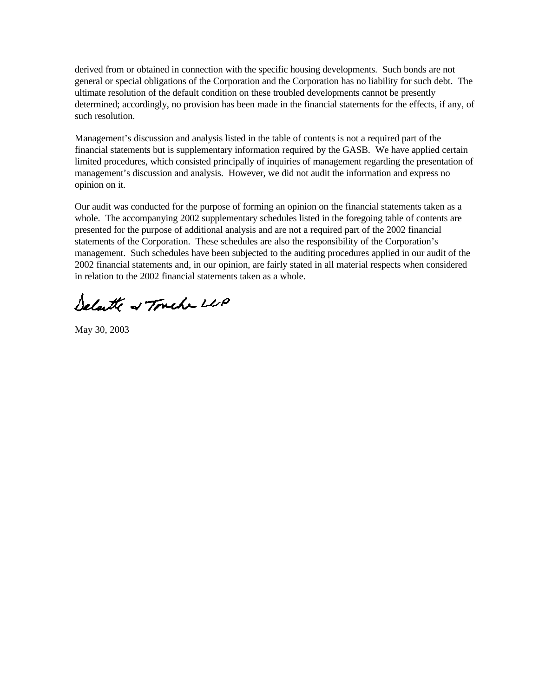derived from or obtained in connection with the specific housing developments. Such bonds are not general or special obligations of the Corporation and the Corporation has no liability for such debt. The ultimate resolution of the default condition on these troubled developments cannot be presently determined; accordingly, no provision has been made in the financial statements for the effects, if any, of such resolution.

Management's discussion and analysis listed in the table of contents is not a required part of the financial statements but is supplementary information required by the GASB. We have applied certain limited procedures, which consisted principally of inquiries of management regarding the presentation of management's discussion and analysis. However, we did not audit the information and express no opinion on it.

Our audit was conducted for the purpose of forming an opinion on the financial statements taken as a whole. The accompanying 2002 supplementary schedules listed in the foregoing table of contents are presented for the purpose of additional analysis and are not a required part of the 2002 financial statements of the Corporation. These schedules are also the responsibility of the Corporation's management. Such schedules have been subjected to the auditing procedures applied in our audit of the 2002 financial statements and, in our opinion, are fairly stated in all material respects when considered in relation to the 2002 financial statements taken as a whole.

Selate of Touch LUP

May 30, 2003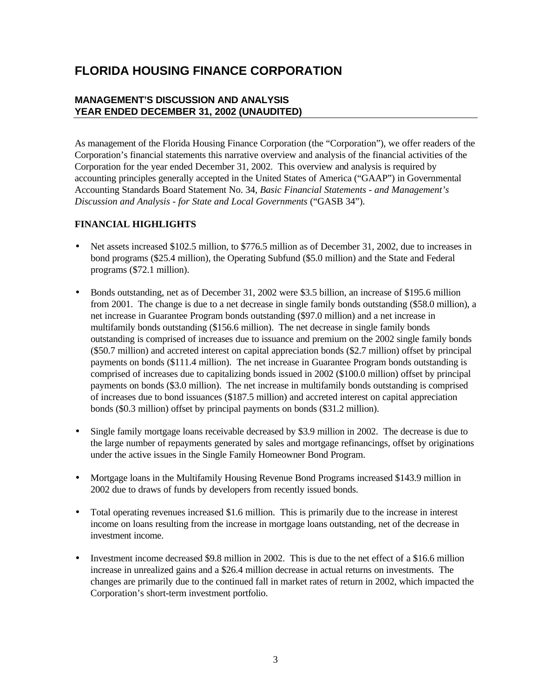### **MANAGEMENT'S DISCUSSION AND ANALYSIS YEAR ENDED DECEMBER 31, 2002 (UNAUDITED)**

As management of the Florida Housing Finance Corporation (the "Corporation"), we offer readers of the Corporation's financial statements this narrative overview and analysis of the financial activities of the Corporation for the year ended December 31, 2002. This overview and analysis is required by accounting principles generally accepted in the United States of America ("GAAP") in Governmental Accounting Standards Board Statement No. 34, *Basic Financial Statements - and Management's Discussion and Analysis - for State and Local Governments* ("GASB 34").

### **FINANCIAL HIGHLIGHTS**

- Net assets increased \$102.5 million, to \$776.5 million as of December 31, 2002, due to increases in bond programs (\$25.4 million), the Operating Subfund (\$5.0 million) and the State and Federal programs (\$72.1 million).
- Bonds outstanding, net as of December 31, 2002 were \$3.5 billion, an increase of \$195.6 million from 2001. The change is due to a net decrease in single family bonds outstanding (\$58.0 million), a net increase in Guarantee Program bonds outstanding (\$97.0 million) and a net increase in multifamily bonds outstanding (\$156.6 million). The net decrease in single family bonds outstanding is comprised of increases due to issuance and premium on the 2002 single family bonds (\$50.7 million) and accreted interest on capital appreciation bonds (\$2.7 million) offset by principal payments on bonds (\$111.4 million). The net increase in Guarantee Program bonds outstanding is comprised of increases due to capitalizing bonds issued in 2002 (\$100.0 million) offset by principal payments on bonds (\$3.0 million). The net increase in multifamily bonds outstanding is comprised of increases due to bond issuances (\$187.5 million) and accreted interest on capital appreciation bonds (\$0.3 million) offset by principal payments on bonds (\$31.2 million).
- Single family mortgage loans receivable decreased by \$3.9 million in 2002. The decrease is due to the large number of repayments generated by sales and mortgage refinancings, offset by originations under the active issues in the Single Family Homeowner Bond Program.
- Mortgage loans in the Multifamily Housing Revenue Bond Programs increased \$143.9 million in 2002 due to draws of funds by developers from recently issued bonds.
- Total operating revenues increased \$1.6 million. This is primarily due to the increase in interest income on loans resulting from the increase in mortgage loans outstanding, net of the decrease in investment income.
- Investment income decreased \$9.8 million in 2002. This is due to the net effect of a \$16.6 million increase in unrealized gains and a \$26.4 million decrease in actual returns on investments. The changes are primarily due to the continued fall in market rates of return in 2002, which impacted the Corporation's short-term investment portfolio.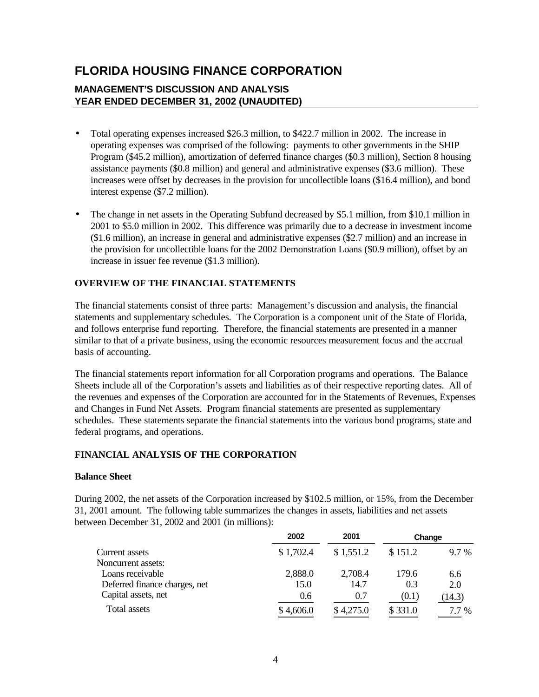### **MANAGEMENT'S DISCUSSION AND ANALYSIS YEAR ENDED DECEMBER 31, 2002 (UNAUDITED)**

- Total operating expenses increased \$26.3 million, to \$422.7 million in 2002. The increase in operating expenses was comprised of the following: payments to other governments in the SHIP Program (\$45.2 million), amortization of deferred finance charges (\$0.3 million), Section 8 housing assistance payments (\$0.8 million) and general and administrative expenses (\$3.6 million). These increases were offset by decreases in the provision for uncollectible loans (\$16.4 million), and bond interest expense (\$7.2 million).
- The change in net assets in the Operating Subfund decreased by \$5.1 million, from \$10.1 million in 2001 to \$5.0 million in 2002. This difference was primarily due to a decrease in investment income (\$1.6 million), an increase in general and administrative expenses (\$2.7 million) and an increase in the provision for uncollectible loans for the 2002 Demonstration Loans (\$0.9 million), offset by an increase in issuer fee revenue (\$1.3 million).

### **OVERVIEW OF THE FINANCIAL STATEMENTS**

The financial statements consist of three parts: Management's discussion and analysis, the financial statements and supplementary schedules. The Corporation is a component unit of the State of Florida, and follows enterprise fund reporting. Therefore, the financial statements are presented in a manner similar to that of a private business, using the economic resources measurement focus and the accrual basis of accounting.

The financial statements report information for all Corporation programs and operations. The Balance Sheets include all of the Corporation's assets and liabilities as of their respective reporting dates. All of the revenues and expenses of the Corporation are accounted for in the Statements of Revenues, Expenses and Changes in Fund Net Assets. Program financial statements are presented as supplementary schedules. These statements separate the financial statements into the various bond programs, state and federal programs, and operations.

### **FINANCIAL ANALYSIS OF THE CORPORATION**

### **Balance Sheet**

During 2002, the net assets of the Corporation increased by \$102.5 million, or 15%, from the December 31, 2001 amount. The following table summarizes the changes in assets, liabilities and net assets between December 31, 2002 and 2001 (in millions):

|                               | 2002      | 2001      | Change  |        |
|-------------------------------|-----------|-----------|---------|--------|
| Current assets                | \$1,702.4 | \$1,551.2 | \$151.2 | 9.7 %  |
| Noncurrent assets:            |           |           |         |        |
| Loans receivable              | 2,888.0   | 2,708.4   | 179.6   | 6.6    |
| Deferred finance charges, net | 15.0      | 14.7      | 0.3     | 2.0    |
| Capital assets, net           | 0.6       | 0.7       | (0.1)   | (14.3) |
| Total assets                  | \$4,606.0 | \$4,275.0 | \$331.0 | 7.7 %  |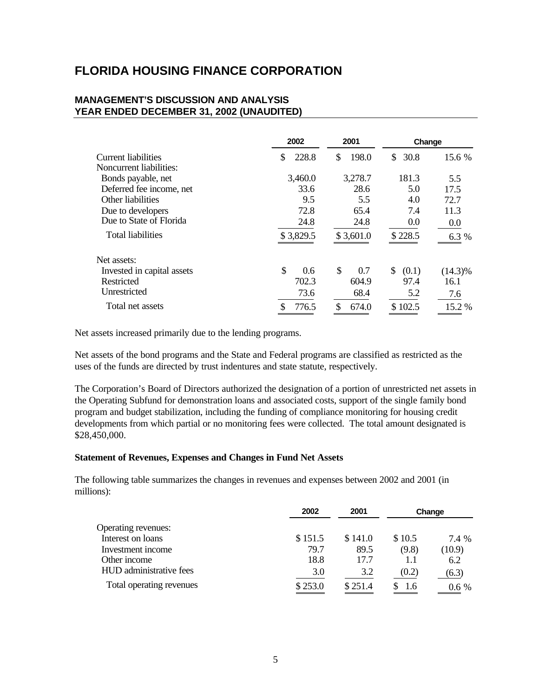### **MANAGEMENT'S DISCUSSION AND ANALYSIS YEAR ENDED DECEMBER 31, 2002 (UNAUDITED)**

|                            | 2002        | 2001        | Change      |            |
|----------------------------|-------------|-------------|-------------|------------|
| Current liabilities        | 228.8<br>S  | \$<br>198.0 | 30.8<br>\$. | 15.6 %     |
| Noncurrent liabilities:    |             |             |             |            |
| Bonds payable, net         | 3,460.0     | 3,278.7     | 181.3       | 5.5        |
| Deferred fee income, net   | 33.6        | 28.6        | 5.0         | 17.5       |
| Other liabilities          | 9.5         | 5.5         | 4.0         | 72.7       |
| Due to developers          | 72.8        | 65.4        | 7.4         | 11.3       |
| Due to State of Florida    | 24.8        | 24.8        | 0.0         | 0.0        |
| <b>Total liabilities</b>   | \$3,829.5   | \$3,601.0   | \$228.5     | 6.3 %      |
| Net assets:                |             |             |             |            |
| Invested in capital assets | \$<br>0.6   | \$<br>0.7   | \$<br>(0.1) | $(14.3)\%$ |
| Restricted                 | 702.3       | 604.9       | 97.4        | 16.1       |
| Unrestricted               | 73.6        | 68.4        | 5.2         | 7.6        |
| Total net assets           | \$<br>776.5 | \$<br>674.0 | \$102.5     | 15.2 %     |

Net assets increased primarily due to the lending programs.

Net assets of the bond programs and the State and Federal programs are classified as restricted as the uses of the funds are directed by trust indentures and state statute, respectively.

The Corporation's Board of Directors authorized the designation of a portion of unrestricted net assets in the Operating Subfund for demonstration loans and associated costs, support of the single family bond program and budget stabilization, including the funding of compliance monitoring for housing credit developments from which partial or no monitoring fees were collected. The total amount designated is \$28,450,000.

#### **Statement of Revenues, Expenses and Changes in Fund Net Assets**

The following table summarizes the changes in revenues and expenses between 2002 and 2001 (in millions):

|                          | 2002    | 2001    |        | Change  |
|--------------------------|---------|---------|--------|---------|
| Operating revenues:      |         |         |        |         |
| Interest on loans        | \$151.5 | \$141.0 | \$10.5 | 7.4 %   |
| Investment income        | 79.7    | 89.5    | (9.8)  | (10.9)  |
| Other income             | 18.8    | 17.7    | 1.1    | 6.2     |
| HUD administrative fees  | 3.0     | 3.2     | (0.2)  | (6.3)   |
| Total operating revenues | \$253.0 | \$251.4 | 1.6    | $0.6\%$ |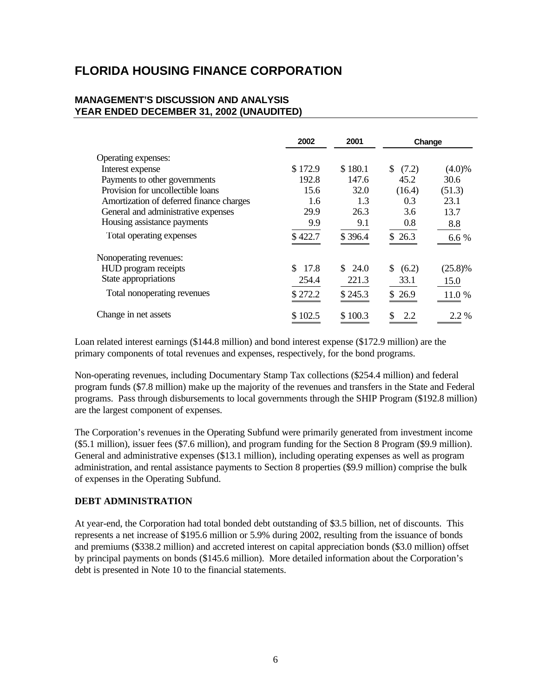### **MANAGEMENT'S DISCUSSION AND ANALYSIS YEAR ENDED DECEMBER 31, 2002 (UNAUDITED)**

|                                          | 2002       | 2001    | Change      |            |
|------------------------------------------|------------|---------|-------------|------------|
| Operating expenses:                      |            |         |             |            |
| Interest expense                         | \$172.9    | \$180.1 | S.<br>(7.2) | $(4.0)\%$  |
| Payments to other governments            | 192.8      | 147.6   | 45.2        | 30.6       |
| Provision for uncollectible loans        | 15.6       | 32.0    | (16.4)      | (51.3)     |
| Amortization of deferred finance charges | 1.6        | 1.3     | 0.3         | 23.1       |
| General and administrative expenses      | 29.9       | 26.3    | 3.6         | 13.7       |
| Housing assistance payments              | 9.9        | 9.1     | 0.8         | 8.8        |
| Total operating expenses                 | \$422.7    | \$396.4 | \$26.3      | 6.6 %      |
| Nonoperating revenues:                   |            |         |             |            |
| HUD program receipts                     | S.<br>17.8 | \$24.0  | S.<br>(6.2) | $(25.8)\%$ |
| State appropriations                     | 254.4      | 221.3   | 33.1        | 15.0       |
| Total nonoperating revenues              | \$272.2    | \$245.3 | \$26.9      | 11.0 %     |
| Change in net assets                     | \$102.5    | \$100.3 | S<br>2.2    | $2.2\%$    |

Loan related interest earnings (\$144.8 million) and bond interest expense (\$172.9 million) are the primary components of total revenues and expenses, respectively, for the bond programs.

Non-operating revenues, including Documentary Stamp Tax collections (\$254.4 million) and federal program funds (\$7.8 million) make up the majority of the revenues and transfers in the State and Federal programs. Pass through disbursements to local governments through the SHIP Program (\$192.8 million) are the largest component of expenses.

The Corporation's revenues in the Operating Subfund were primarily generated from investment income (\$5.1 million), issuer fees (\$7.6 million), and program funding for the Section 8 Program (\$9.9 million). General and administrative expenses (\$13.1 million), including operating expenses as well as program administration, and rental assistance payments to Section 8 properties (\$9.9 million) comprise the bulk of expenses in the Operating Subfund.

### **DEBT ADMINISTRATION**

At year-end, the Corporation had total bonded debt outstanding of \$3.5 billion, net of discounts. This represents a net increase of \$195.6 million or 5.9% during 2002, resulting from the issuance of bonds and premiums (\$338.2 million) and accreted interest on capital appreciation bonds (\$3.0 million) offset by principal payments on bonds (\$145.6 million). More detailed information about the Corporation's debt is presented in Note 10 to the financial statements.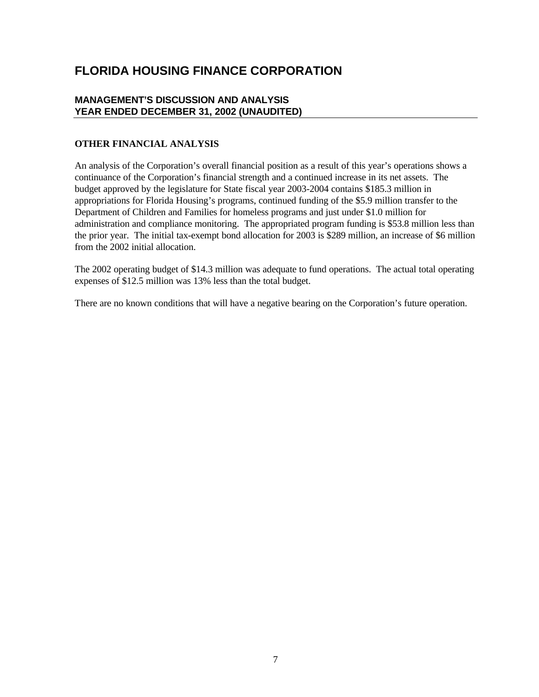### **MANAGEMENT'S DISCUSSION AND ANALYSIS YEAR ENDED DECEMBER 31, 2002 (UNAUDITED)**

### **OTHER FINANCIAL ANALYSIS**

An analysis of the Corporation's overall financial position as a result of this year's operations shows a continuance of the Corporation's financial strength and a continued increase in its net assets. The budget approved by the legislature for State fiscal year 2003-2004 contains \$185.3 million in appropriations for Florida Housing's programs, continued funding of the \$5.9 million transfer to the Department of Children and Families for homeless programs and just under \$1.0 million for administration and compliance monitoring. The appropriated program funding is \$53.8 million less than the prior year. The initial tax-exempt bond allocation for 2003 is \$289 million, an increase of \$6 million from the 2002 initial allocation.

The 2002 operating budget of \$14.3 million was adequate to fund operations. The actual total operating expenses of \$12.5 million was 13% less than the total budget.

There are no known conditions that will have a negative bearing on the Corporation's future operation.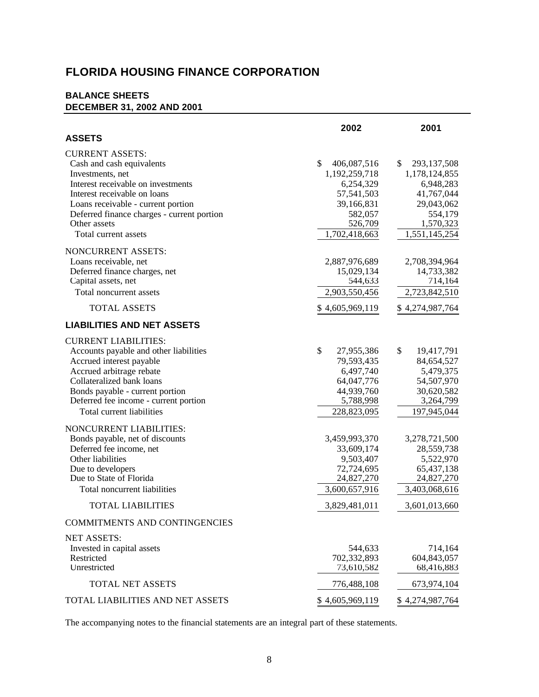### **BALANCE SHEETS DECEMBER 31, 2002 AND 2001**

|                                                                                                                                                                                                                                                                           | 2002                                                                                                               | 2001                                                                                                                 |
|---------------------------------------------------------------------------------------------------------------------------------------------------------------------------------------------------------------------------------------------------------------------------|--------------------------------------------------------------------------------------------------------------------|----------------------------------------------------------------------------------------------------------------------|
| <b>ASSETS</b>                                                                                                                                                                                                                                                             |                                                                                                                    |                                                                                                                      |
| <b>CURRENT ASSETS:</b><br>Cash and cash equivalents<br>Investments, net<br>Interest receivable on investments<br>Interest receivable on loans<br>Loans receivable - current portion<br>Deferred finance charges - current portion<br>Other assets<br>Total current assets | \$<br>406,087,516<br>1,192,259,718<br>6,254,329<br>57,541,503<br>39,166,831<br>582,057<br>526,709<br>1,702,418,663 | \$<br>293,137,508<br>1,178,124,855<br>6,948,283<br>41,767,044<br>29,043,062<br>554,179<br>1,570,323<br>1,551,145,254 |
| NONCURRENT ASSETS:<br>Loans receivable, net<br>Deferred finance charges, net<br>Capital assets, net<br>Total noncurrent assets<br><b>TOTAL ASSETS</b>                                                                                                                     | 2,887,976,689<br>15,029,134<br>544,633<br>2,903,550,456<br>\$4,605,969,119                                         | 2,708,394,964<br>14,733,382<br>714,164<br>2,723,842,510<br>\$4,274,987,764                                           |
| <b>LIABILITIES AND NET ASSETS</b>                                                                                                                                                                                                                                         |                                                                                                                    |                                                                                                                      |
| <b>CURRENT LIABILITIES:</b><br>Accounts payable and other liabilities<br>Accrued interest payable<br>Accrued arbitrage rebate<br>Collateralized bank loans<br>Bonds payable - current portion<br>Deferred fee income - current portion<br>Total current liabilities       | \$<br>27,955,386<br>79,593,435<br>6,497,740<br>64,047,776<br>44,939,760<br>5,788,998<br>228,823,095                | \$<br>19,417,791<br>84,654,527<br>5,479,375<br>54,507,970<br>30,620,582<br>3,264,799<br>197,945,044                  |
| NONCURRENT LIABILITIES:<br>Bonds payable, net of discounts<br>Deferred fee income, net<br>Other liabilities<br>Due to developers<br>Due to State of Florida<br>Total noncurrent liabilities<br><b>TOTAL LIABILITIES</b>                                                   | 3,459,993,370<br>33,609,174<br>9,503,407<br>72,724,695<br>24,827,270<br>3,600,657,916<br>3,829,481,011             | 3,278,721,500<br>28,559,738<br>5,522,970<br>65,437,138<br>24,827,270<br>3,403,068,616<br>3,601,013,660               |
| <b>COMMITMENTS AND CONTINGENCIES</b>                                                                                                                                                                                                                                      |                                                                                                                    |                                                                                                                      |
| <b>NET ASSETS:</b><br>Invested in capital assets<br>Restricted<br>Unrestricted                                                                                                                                                                                            | 544,633<br>702,332,893<br>73,610,582                                                                               | 714,164<br>604,843,057<br>68,416,883                                                                                 |
| <b>TOTAL NET ASSETS</b>                                                                                                                                                                                                                                                   | 776,488,108                                                                                                        | 673,974,104                                                                                                          |
| TOTAL LIABILITIES AND NET ASSETS                                                                                                                                                                                                                                          | \$4,605,969,119                                                                                                    | \$4,274,987,764                                                                                                      |

The accompanying notes to the financial statements are an integral part of these statements.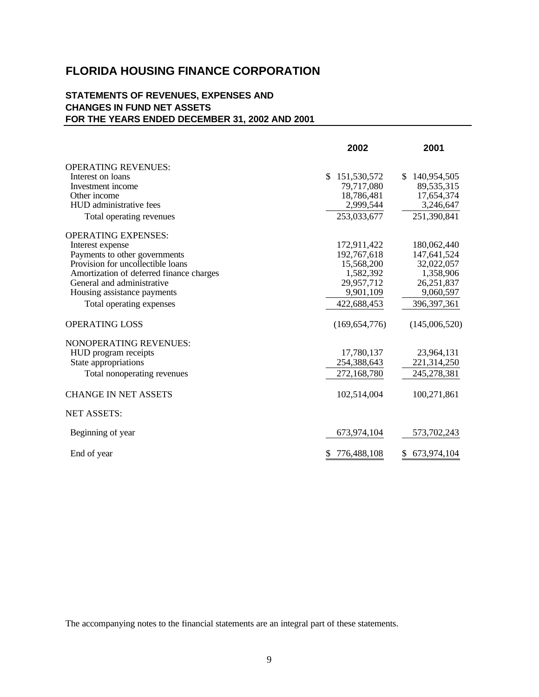### **STATEMENTS OF REVENUES, EXPENSES AND CHANGES IN FUND NET ASSETS FOR THE YEARS ENDED DECEMBER 31, 2002 AND 2001**

|                                          | 2002                        | 2001               |
|------------------------------------------|-----------------------------|--------------------|
| <b>OPERATING REVENUES:</b>               |                             |                    |
| Interest on loans                        | $\mathbb{S}$<br>151,530,572 | 140,954,505<br>\$. |
| Investment income                        | 79,717,080                  | 89,535,315         |
| Other income                             | 18,786,481                  | 17,654,374         |
| HUD administrative fees                  | 2,999,544                   | 3,246,647          |
| Total operating revenues                 | 253,033,677                 | 251,390,841        |
| <b>OPERATING EXPENSES:</b>               |                             |                    |
| Interest expense                         | 172,911,422                 | 180,062,440        |
| Payments to other governments            | 192,767,618                 | 147,641,524        |
| Provision for uncollectible loans        | 15,568,200                  | 32,022,057         |
| Amortization of deferred finance charges | 1,582,392                   | 1,358,906          |
| General and administrative               | 29,957,712                  | 26,251,837         |
| Housing assistance payments              | 9,901,109                   | 9,060,597          |
| Total operating expenses                 | 422,688,453                 | 396, 397, 361      |
| <b>OPERATING LOSS</b>                    | (169, 654, 776)             | (145,006,520)      |
| <b>NONOPERATING REVENUES:</b>            |                             |                    |
| HUD program receipts                     | 17,780,137                  | 23,964,131         |
| State appropriations                     | 254,388,643                 | 221,314,250        |
| Total nonoperating revenues              | 272,168,780                 | 245,278,381        |
| <b>CHANGE IN NET ASSETS</b>              | 102,514,004                 | 100,271,861        |
| <b>NET ASSETS:</b>                       |                             |                    |
| Beginning of year                        | 673,974,104                 | 573,702,243        |
| End of year                              | 776,488,108                 | 673,974,104        |
|                                          |                             |                    |

The accompanying notes to the financial statements are an integral part of these statements.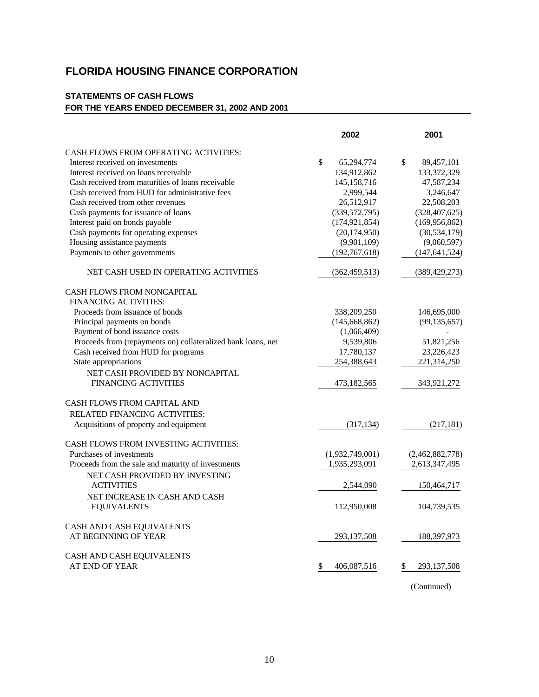### **STATEMENTS OF CASH FLOWS FOR THE YEARS ENDED DECEMBER 31, 2002 AND 2001**

|                                                              | 2002                       | 2001              |
|--------------------------------------------------------------|----------------------------|-------------------|
| CASH FLOWS FROM OPERATING ACTIVITIES:                        |                            |                   |
| Interest received on investments                             | $\mathbb{S}$<br>65,294,774 | \$<br>89,457,101  |
| Interest received on loans receivable                        | 134,912,862                | 133,372,329       |
| Cash received from maturities of loans receivable            | 145, 158, 716              | 47,587,234        |
| Cash received from HUD for administrative fees               | 2,999,544                  | 3,246,647         |
| Cash received from other revenues                            | 26,512,917                 | 22,508,203        |
| Cash payments for issuance of loans                          | (339, 572, 795)            | (328, 407, 625)   |
| Interest paid on bonds payable                               | (174, 921, 854)            | (169, 956, 862)   |
| Cash payments for operating expenses                         | (20, 174, 950)             | (30, 534, 179)    |
| Housing assistance payments                                  | (9,901,109)                | (9,060,597)       |
| Payments to other governments                                | (192, 767, 618)            | (147, 641, 524)   |
| NET CASH USED IN OPERATING ACTIVITIES                        | (362, 459, 513)            | (389, 429, 273)   |
| <b>CASH FLOWS FROM NONCAPITAL</b>                            |                            |                   |
| <b>FINANCING ACTIVITIES:</b>                                 |                            |                   |
| Proceeds from issuance of bonds                              | 338,209,250                | 146,695,000       |
| Principal payments on bonds                                  | (145, 668, 862)            | (99, 135, 657)    |
| Payment of bond issuance costs                               | (1,066,409)                |                   |
| Proceeds from (repayments on) collateralized bank loans, net | 9,539,806                  | 51,821,256        |
| Cash received from HUD for programs                          | 17,780,137                 | 23,226,423        |
| State appropriations                                         | 254,388,643                | 221,314,250       |
| NET CASH PROVIDED BY NONCAPITAL                              |                            |                   |
| <b>FINANCING ACTIVITIES</b>                                  | 473,182,565                | 343,921,272       |
| CASH FLOWS FROM CAPITAL AND                                  |                            |                   |
| RELATED FINANCING ACTIVITIES:                                |                            |                   |
| Acquisitions of property and equipment                       | (317, 134)                 | (217, 181)        |
| CASH FLOWS FROM INVESTING ACTIVITIES:                        |                            |                   |
| Purchases of investments                                     | (1,932,749,001)            | (2,462,882,778)   |
| Proceeds from the sale and maturity of investments           | 1,935,293,091              | 2,613,347,495     |
| NET CASH PROVIDED BY INVESTING                               |                            |                   |
| <b>ACTIVITIES</b>                                            | 2,544,090                  | 150,464,717       |
| NET INCREASE IN CASH AND CASH                                |                            |                   |
| <b>EQUIVALENTS</b>                                           | 112,950,008                | 104,739,535       |
| CASH AND CASH EQUIVALENTS                                    |                            |                   |
| AT BEGINNING OF YEAR                                         | 293, 137, 508              | 188, 397, 973     |
| CASH AND CASH EQUIVALENTS                                    |                            |                   |
| AT END OF YEAR                                               | \$<br>406,087,516          | 293,137,508<br>\$ |

(Continued)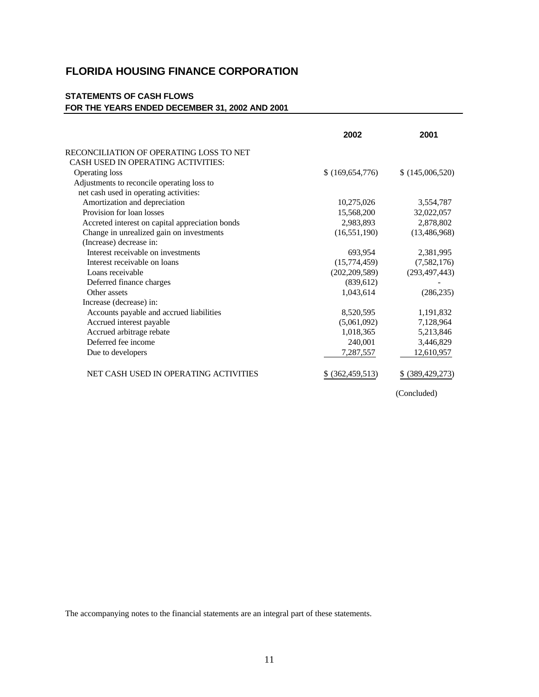### **STATEMENTS OF CASH FLOWS FOR THE YEARS ENDED DECEMBER 31, 2002 AND 2001**

|                                                 | 2002             | 2001               |
|-------------------------------------------------|------------------|--------------------|
| RECONCILIATION OF OPERATING LOSS TO NET         |                  |                    |
| CASH USED IN OPERATING ACTIVITIES:              |                  |                    |
| <b>Operating loss</b>                           | \$(169,654,776)  | \$(145,006,520)    |
| Adjustments to reconcile operating loss to      |                  |                    |
| net cash used in operating activities:          |                  |                    |
| Amortization and depreciation                   | 10,275,026       | 3,554,787          |
| Provision for loan losses                       | 15,568,200       | 32,022,057         |
| Accreted interest on capital appreciation bonds | 2,983,893        | 2,878,802          |
| Change in unrealized gain on investments        | (16, 551, 190)   | (13, 486, 968)     |
| (Increase) decrease in:                         |                  |                    |
| Interest receivable on investments              | 693,954          | 2,381,995          |
| Interest receivable on loans                    | (15,774,459)     | (7,582,176)        |
| Loans receivable                                | (202, 209, 589)  | (293, 497, 443)    |
| Deferred finance charges                        | (839,612)        |                    |
| Other assets                                    | 1,043,614        | (286, 235)         |
| Increase (decrease) in:                         |                  |                    |
| Accounts payable and accrued liabilities        | 8,520,595        | 1,191,832          |
| Accrued interest payable                        | (5,061,092)      | 7,128,964          |
| Accrued arbitrage rebate                        | 1,018,365        | 5,213,846          |
| Deferred fee income                             | 240,001          | 3,446,829          |
| Due to developers                               | 7,287,557        | 12,610,957         |
| NET CASH USED IN OPERATING ACTIVITIES           | \$ (362,459,513) | \$ (389, 429, 273) |

(Concluded)

The accompanying notes to the financial statements are an integral part of these statements.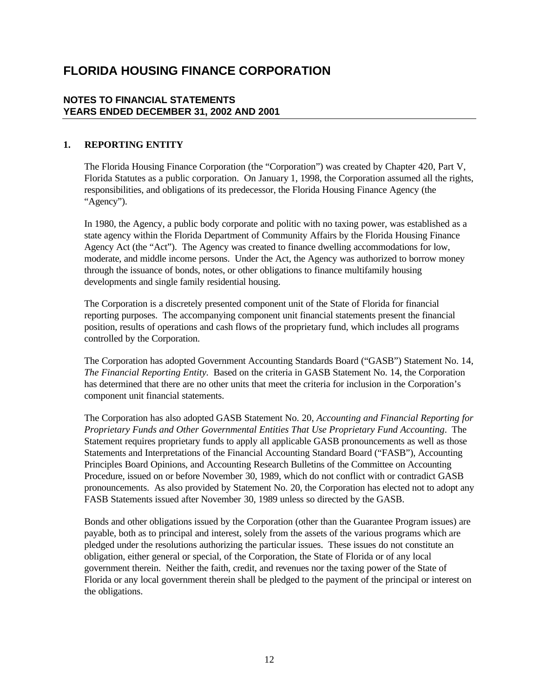### **NOTES TO FINANCIAL STATEMENTS YEARS ENDED DECEMBER 31, 2002 AND 2001**

### **1. REPORTING ENTITY**

The Florida Housing Finance Corporation (the "Corporation") was created by Chapter 420, Part V, Florida Statutes as a public corporation. On January 1, 1998, the Corporation assumed all the rights, responsibilities, and obligations of its predecessor, the Florida Housing Finance Agency (the "Agency").

In 1980, the Agency, a public body corporate and politic with no taxing power, was established as a state agency within the Florida Department of Community Affairs by the Florida Housing Finance Agency Act (the "Act"). The Agency was created to finance dwelling accommodations for low, moderate, and middle income persons. Under the Act, the Agency was authorized to borrow money through the issuance of bonds, notes, or other obligations to finance multifamily housing developments and single family residential housing.

The Corporation is a discretely presented component unit of the State of Florida for financial reporting purposes. The accompanying component unit financial statements present the financial position, results of operations and cash flows of the proprietary fund, which includes all programs controlled by the Corporation.

The Corporation has adopted Government Accounting Standards Board ("GASB") Statement No. 14, *The Financial Reporting Entity*. Based on the criteria in GASB Statement No. 14, the Corporation has determined that there are no other units that meet the criteria for inclusion in the Corporation's component unit financial statements.

The Corporation has also adopted GASB Statement No. 20, *Accounting and Financial Reporting for Proprietary Funds and Other Governmental Entities That Use Proprietary Fund Accounting*. The Statement requires proprietary funds to apply all applicable GASB pronouncements as well as those Statements and Interpretations of the Financial Accounting Standard Board ("FASB"), Accounting Principles Board Opinions, and Accounting Research Bulletins of the Committee on Accounting Procedure, issued on or before November 30, 1989, which do not conflict with or contradict GASB pronouncements. As also provided by Statement No. 20, the Corporation has elected not to adopt any FASB Statements issued after November 30, 1989 unless so directed by the GASB.

Bonds and other obligations issued by the Corporation (other than the Guarantee Program issues) are payable, both as to principal and interest, solely from the assets of the various programs which are pledged under the resolutions authorizing the particular issues. These issues do not constitute an obligation, either general or special, of the Corporation, the State of Florida or of any local government therein. Neither the faith, credit, and revenues nor the taxing power of the State of Florida or any local government therein shall be pledged to the payment of the principal or interest on the obligations.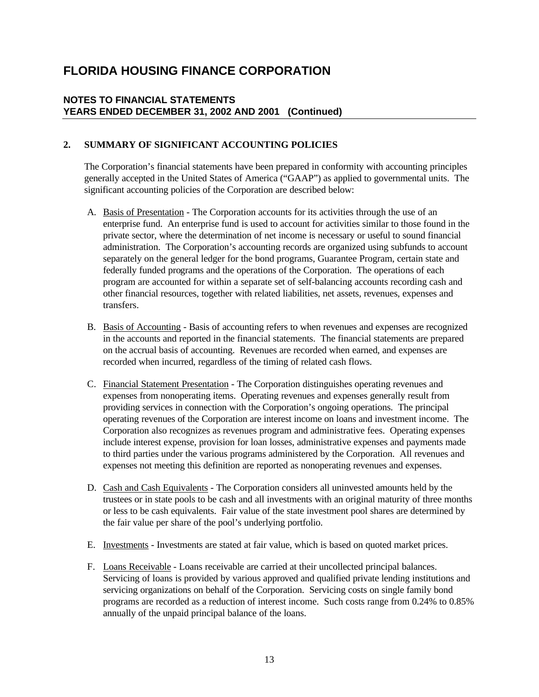### **NOTES TO FINANCIAL STATEMENTS YEARS ENDED DECEMBER 31, 2002 AND 2001 (Continued)**

### **2. SUMMARY OF SIGNIFICANT ACCOUNTING POLICIES**

The Corporation's financial statements have been prepared in conformity with accounting principles generally accepted in the United States of America ("GAAP") as applied to governmental units. The significant accounting policies of the Corporation are described below:

- A. Basis of Presentation The Corporation accounts for its activities through the use of an enterprise fund. An enterprise fund is used to account for activities similar to those found in the private sector, where the determination of net income is necessary or useful to sound financial administration. The Corporation's accounting records are organized using subfunds to account separately on the general ledger for the bond programs, Guarantee Program, certain state and federally funded programs and the operations of the Corporation. The operations of each program are accounted for within a separate set of self-balancing accounts recording cash and other financial resources, together with related liabilities, net assets, revenues, expenses and transfers.
- B. Basis of Accounting Basis of accounting refers to when revenues and expenses are recognized in the accounts and reported in the financial statements. The financial statements are prepared on the accrual basis of accounting. Revenues are recorded when earned, and expenses are recorded when incurred, regardless of the timing of related cash flows.
- C. Financial Statement Presentation The Corporation distinguishes operating revenues and expenses from nonoperating items. Operating revenues and expenses generally result from providing services in connection with the Corporation's ongoing operations. The principal operating revenues of the Corporation are interest income on loans and investment income. The Corporation also recognizes as revenues program and administrative fees. Operating expenses include interest expense, provision for loan losses, administrative expenses and payments made to third parties under the various programs administered by the Corporation. All revenues and expenses not meeting this definition are reported as nonoperating revenues and expenses.
- D. Cash and Cash Equivalents The Corporation considers all uninvested amounts held by the trustees or in state pools to be cash and all investments with an original maturity of three months or less to be cash equivalents. Fair value of the state investment pool shares are determined by the fair value per share of the pool's underlying portfolio.
- E. Investments Investments are stated at fair value, which is based on quoted market prices.
- F. Loans Receivable Loans receivable are carried at their uncollected principal balances. Servicing of loans is provided by various approved and qualified private lending institutions and servicing organizations on behalf of the Corporation. Servicing costs on single family bond programs are recorded as a reduction of interest income. Such costs range from 0.24% to 0.85% annually of the unpaid principal balance of the loans.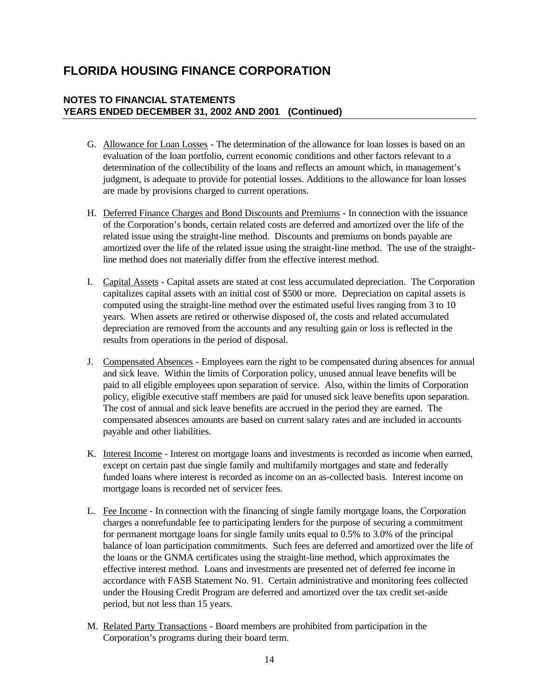- G. Allowance for Loan Losses The determination of the allowance for loan losses is based on an evaluation of the loan portfolio, current economic conditions and other factors relevant to a determination of the collectibility of the loans and reflects an amount which, in management's judgment, is adequate to provide for potential losses. Additions to the allowance for loan losses are made by provisions charged to current operations.
- H. Deferred Finance Charges and Bond Discounts and Premiums In connection with the issuance of the Corporation's bonds, certain related costs are deferred and amortized over the life of the related issue using the straight-line method. Discounts and premiums on bonds payable are amortized over the life of the related issue using the straight-line method. The use of the straightline method does not materially differ from the effective interest method.
- I. Capital Assets Capital assets are stated at cost less accumulated depreciation. The Corporation capitalizes capital assets with an initial cost of \$500 or more. Depreciation on capital assets is computed using the straight-line method over the estimated useful lives ranging from 3 to 10 years. When assets are retired or otherwise disposed of, the costs and related accumulated depreciation are removed from the accounts and any resulting gain or loss is reflected in the results from operations in the period of disposal.
- J. Compensated Absences Employees earn the right to be compensated during absences for annual and sick leave. Within the limits of Corporation policy, unused annual leave benefits will be paid to all eligible employees upon separation of service. Also, within the limits of Corporation policy, eligible executive staff members are paid for unused sick leave benefits upon separation. The cost of annual and sick leave benefits are accrued in the period they are earned. The compensated absences amounts are based on current salary rates and are included in accounts payable and other liabilities.
- K. Interest Income Interest on mortgage loans and investments is recorded as income when earned, except on certain past due single family and multifamily mortgages and state and federally funded loans where interest is recorded as income on an as-collected basis. Interest income on mortgage loans is recorded net of servicer fees.
- L. Fee Income In connection with the financing of single family mortgage loans, the Corporation charges a nonrefundable fee to participating lenders for the purpose of securing a commitment for permanent mortgage loans for single family units equal to 0.5% to 3.0% of the principal balance of loan participation commitments. Such fees are deferred and amortized over the life of the loans or the GNMA certificates using the straight-line method, which approximates the effective interest method. Loans and investments are presented net of deferred fee income in accordance with FASB Statement No. 91. Certain administrative and monitoring fees collected under the Housing Credit Program are deferred and amortized over the tax credit set-aside period, but not less than 15 years.
- M. Related Party Transactions Board members are prohibited from participation in the Corporation's programs during their board term.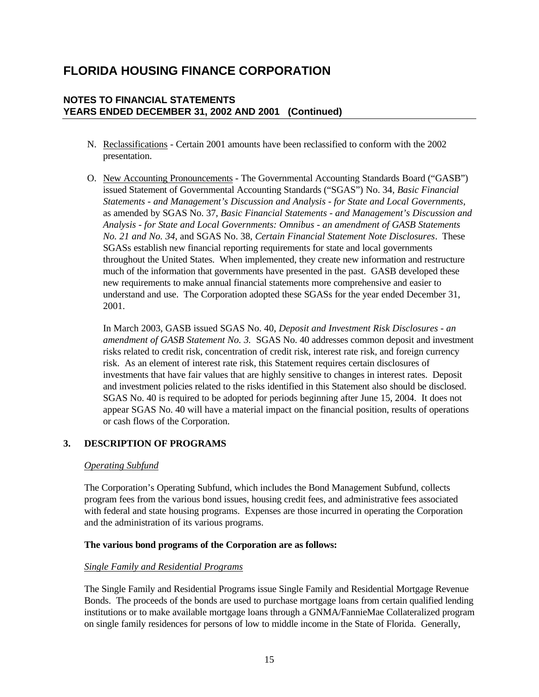### **NOTES TO FINANCIAL STATEMENTS YEARS ENDED DECEMBER 31, 2002 AND 2001 (Continued)**

- N. Reclassifications Certain 2001 amounts have been reclassified to conform with the 2002 presentation.
- O. New Accounting Pronouncements The Governmental Accounting Standards Board ("GASB") issued Statement of Governmental Accounting Standards ("SGAS") No. 34, *Basic Financial Statements - and Management's Discussion and Analysis - for State and Local Governments*, as amended by SGAS No. 37, *Basic Financial Statements - and Management's Discussion and Analysis - for State and Local Governments: Omnibus - an amendment of GASB Statements No. 21 and No. 34*, and SGAS No. 38, *Certain Financial Statement Note Disclosures*. These SGASs establish new financial reporting requirements for state and local governments throughout the United States. When implemented, they create new information and restructure much of the information that governments have presented in the past. GASB developed these new requirements to make annual financial statements more comprehensive and easier to understand and use. The Corporation adopted these SGASs for the year ended December 31, 2001.

In March 2003, GASB issued SGAS No. 40, *Deposit and Investment Risk Disclosures - an amendment of GASB Statement No. 3.* SGAS No. 40 addresses common deposit and investment risks related to credit risk, concentration of credit risk, interest rate risk, and foreign currency risk. As an element of interest rate risk, this Statement requires certain disclosures of investments that have fair values that are highly sensitive to changes in interest rates. Deposit and investment policies related to the risks identified in this Statement also should be disclosed. SGAS No. 40 is required to be adopted for periods beginning after June 15, 2004. It does not appear SGAS No. 40 will have a material impact on the financial position, results of operations or cash flows of the Corporation.

### **3. DESCRIPTION OF PROGRAMS**

#### *Operating Subfund*

The Corporation's Operating Subfund, which includes the Bond Management Subfund, collects program fees from the various bond issues, housing credit fees, and administrative fees associated with federal and state housing programs. Expenses are those incurred in operating the Corporation and the administration of its various programs.

### **The various bond programs of the Corporation are as follows:**

### *Single Family and Residential Programs*

The Single Family and Residential Programs issue Single Family and Residential Mortgage Revenue Bonds. The proceeds of the bonds are used to purchase mortgage loans from certain qualified lending institutions or to make available mortgage loans through a GNMA/FannieMae Collateralized program on single family residences for persons of low to middle income in the State of Florida. Generally,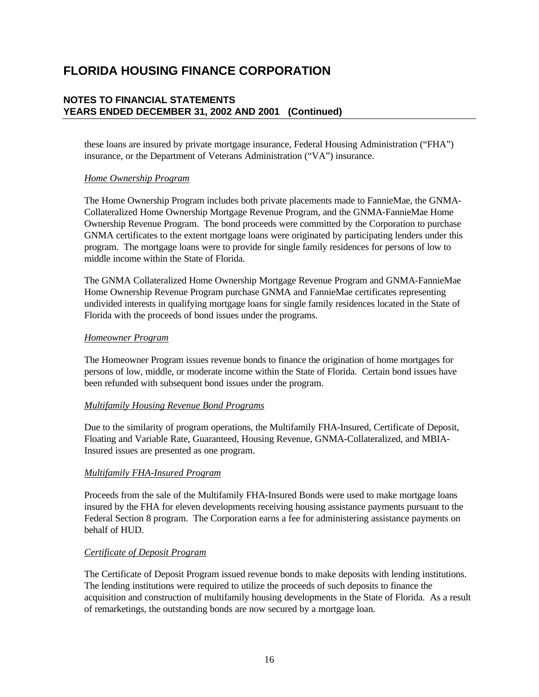### **NOTES TO FINANCIAL STATEMENTS YEARS ENDED DECEMBER 31, 2002 AND 2001 (Continued)**

these loans are insured by private mortgage insurance, Federal Housing Administration ("FHA") insurance, or the Department of Veterans Administration ("VA") insurance.

### *Home Ownership Program*

The Home Ownership Program includes both private placements made to FannieMae, the GNMA-Collateralized Home Ownership Mortgage Revenue Program, and the GNMA-FannieMae Home Ownership Revenue Program. The bond proceeds were committed by the Corporation to purchase GNMA certificates to the extent mortgage loans were originated by participating lenders under this program. The mortgage loans were to provide for single family residences for persons of low to middle income within the State of Florida.

The GNMA Collateralized Home Ownership Mortgage Revenue Program and GNMA-FannieMae Home Ownership Revenue Program purchase GNMA and FannieMae certificates representing undivided interests in qualifying mortgage loans for single family residences located in the State of Florida with the proceeds of bond issues under the programs.

#### *Homeowner Program*

The Homeowner Program issues revenue bonds to finance the origination of home mortgages for persons of low, middle, or moderate income within the State of Florida. Certain bond issues have been refunded with subsequent bond issues under the program.

### *Multifamily Housing Revenue Bond Programs*

Due to the similarity of program operations, the Multifamily FHA-Insured, Certificate of Deposit, Floating and Variable Rate, Guaranteed, Housing Revenue, GNMA-Collateralized, and MBIA-Insured issues are presented as one program.

### *Multifamily FHA-Insured Program*

Proceeds from the sale of the Multifamily FHA-Insured Bonds were used to make mortgage loans insured by the FHA for eleven developments receiving housing assistance payments pursuant to the Federal Section 8 program. The Corporation earns a fee for administering assistance payments on behalf of HUD.

### *Certificate of Deposit Program*

The Certificate of Deposit Program issued revenue bonds to make deposits with lending institutions. The lending institutions were required to utilize the proceeds of such deposits to finance the acquisition and construction of multifamily housing developments in the State of Florida. As a result of remarketings, the outstanding bonds are now secured by a mortgage loan.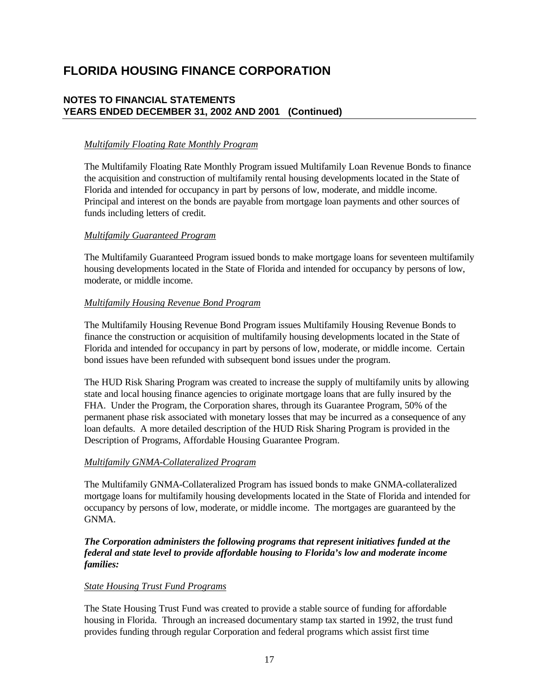### **NOTES TO FINANCIAL STATEMENTS YEARS ENDED DECEMBER 31, 2002 AND 2001 (Continued)**

### *Multifamily Floating Rate Monthly Program*

The Multifamily Floating Rate Monthly Program issued Multifamily Loan Revenue Bonds to finance the acquisition and construction of multifamily rental housing developments located in the State of Florida and intended for occupancy in part by persons of low, moderate, and middle income. Principal and interest on the bonds are payable from mortgage loan payments and other sources of funds including letters of credit.

### *Multifamily Guaranteed Program*

The Multifamily Guaranteed Program issued bonds to make mortgage loans for seventeen multifamily housing developments located in the State of Florida and intended for occupancy by persons of low, moderate, or middle income.

### *Multifamily Housing Revenue Bond Program*

The Multifamily Housing Revenue Bond Program issues Multifamily Housing Revenue Bonds to finance the construction or acquisition of multifamily housing developments located in the State of Florida and intended for occupancy in part by persons of low, moderate, or middle income. Certain bond issues have been refunded with subsequent bond issues under the program.

The HUD Risk Sharing Program was created to increase the supply of multifamily units by allowing state and local housing finance agencies to originate mortgage loans that are fully insured by the FHA. Under the Program, the Corporation shares, through its Guarantee Program, 50% of the permanent phase risk associated with monetary losses that may be incurred as a consequence of any loan defaults. A more detailed description of the HUD Risk Sharing Program is provided in the Description of Programs, Affordable Housing Guarantee Program.

### *Multifamily GNMA-Collateralized Program*

The Multifamily GNMA-Collateralized Program has issued bonds to make GNMA-collateralized mortgage loans for multifamily housing developments located in the State of Florida and intended for occupancy by persons of low, moderate, or middle income. The mortgages are guaranteed by the GNMA.

*The Corporation administers the following programs that represent initiatives funded at the federal and state level to provide affordable housing to Florida's low and moderate income families:*

### *State Housing Trust Fund Programs*

The State Housing Trust Fund was created to provide a stable source of funding for affordable housing in Florida. Through an increased documentary stamp tax started in 1992, the trust fund provides funding through regular Corporation and federal programs which assist first time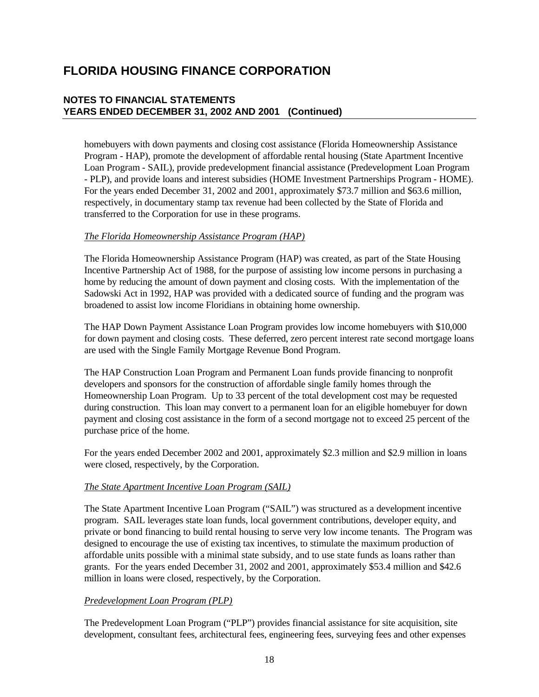### **NOTES TO FINANCIAL STATEMENTS YEARS ENDED DECEMBER 31, 2002 AND 2001 (Continued)**

homebuyers with down payments and closing cost assistance (Florida Homeownership Assistance Program - HAP), promote the development of affordable rental housing (State Apartment Incentive Loan Program - SAIL), provide predevelopment financial assistance (Predevelopment Loan Program - PLP), and provide loans and interest subsidies (HOME Investment Partnerships Program - HOME). For the years ended December 31, 2002 and 2001, approximately \$73.7 million and \$63.6 million, respectively, in documentary stamp tax revenue had been collected by the State of Florida and transferred to the Corporation for use in these programs.

### *The Florida Homeownership Assistance Program (HAP)*

The Florida Homeownership Assistance Program (HAP) was created, as part of the State Housing Incentive Partnership Act of 1988, for the purpose of assisting low income persons in purchasing a home by reducing the amount of down payment and closing costs. With the implementation of the Sadowski Act in 1992, HAP was provided with a dedicated source of funding and the program was broadened to assist low income Floridians in obtaining home ownership.

The HAP Down Payment Assistance Loan Program provides low income homebuyers with \$10,000 for down payment and closing costs. These deferred, zero percent interest rate second mortgage loans are used with the Single Family Mortgage Revenue Bond Program.

The HAP Construction Loan Program and Permanent Loan funds provide financing to nonprofit developers and sponsors for the construction of affordable single family homes through the Homeownership Loan Program. Up to 33 percent of the total development cost may be requested during construction. This loan may convert to a permanent loan for an eligible homebuyer for down payment and closing cost assistance in the form of a second mortgage not to exceed 25 percent of the purchase price of the home.

For the years ended December 2002 and 2001, approximately \$2.3 million and \$2.9 million in loans were closed, respectively, by the Corporation.

### *The State Apartment Incentive Loan Program (SAIL)*

The State Apartment Incentive Loan Program ("SAIL") was structured as a development incentive program. SAIL leverages state loan funds, local government contributions, developer equity, and private or bond financing to build rental housing to serve very low income tenants. The Program was designed to encourage the use of existing tax incentives, to stimulate the maximum production of affordable units possible with a minimal state subsidy, and to use state funds as loans rather than grants. For the years ended December 31, 2002 and 2001, approximately \$53.4 million and \$42.6 million in loans were closed, respectively, by the Corporation.

### *Predevelopment Loan Program (PLP)*

The Predevelopment Loan Program ("PLP") provides financial assistance for site acquisition, site development, consultant fees, architectural fees, engineering fees, surveying fees and other expenses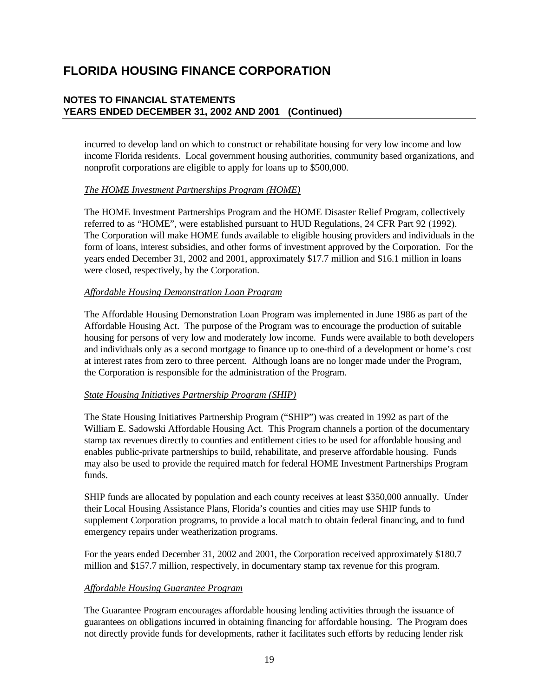### **NOTES TO FINANCIAL STATEMENTS YEARS ENDED DECEMBER 31, 2002 AND 2001 (Continued)**

incurred to develop land on which to construct or rehabilitate housing for very low income and low income Florida residents. Local government housing authorities, community based organizations, and nonprofit corporations are eligible to apply for loans up to \$500,000.

### *The HOME Investment Partnerships Program (HOME)*

The HOME Investment Partnerships Program and the HOME Disaster Relief Program, collectively referred to as "HOME", were established pursuant to HUD Regulations, 24 CFR Part 92 (1992). The Corporation will make HOME funds available to eligible housing providers and individuals in the form of loans, interest subsidies, and other forms of investment approved by the Corporation. For the years ended December 31, 2002 and 2001, approximately \$17.7 million and \$16.1 million in loans were closed, respectively, by the Corporation.

### *Affordable Housing Demonstration Loan Program*

The Affordable Housing Demonstration Loan Program was implemented in June 1986 as part of the Affordable Housing Act. The purpose of the Program was to encourage the production of suitable housing for persons of very low and moderately low income. Funds were available to both developers and individuals only as a second mortgage to finance up to one-third of a development or home's cost at interest rates from zero to three percent. Although loans are no longer made under the Program, the Corporation is responsible for the administration of the Program.

### *State Housing Initiatives Partnership Program (SHIP)*

The State Housing Initiatives Partnership Program ("SHIP") was created in 1992 as part of the William E. Sadowski Affordable Housing Act. This Program channels a portion of the documentary stamp tax revenues directly to counties and entitlement cities to be used for affordable housing and enables public-private partnerships to build, rehabilitate, and preserve affordable housing. Funds may also be used to provide the required match for federal HOME Investment Partnerships Program funds.

SHIP funds are allocated by population and each county receives at least \$350,000 annually. Under their Local Housing Assistance Plans, Florida's counties and cities may use SHIP funds to supplement Corporation programs, to provide a local match to obtain federal financing, and to fund emergency repairs under weatherization programs.

For the years ended December 31, 2002 and 2001, the Corporation received approximately \$180.7 million and \$157.7 million, respectively, in documentary stamp tax revenue for this program.

### *Affordable Housing Guarantee Program*

The Guarantee Program encourages affordable housing lending activities through the issuance of guarantees on obligations incurred in obtaining financing for affordable housing. The Program does not directly provide funds for developments, rather it facilitates such efforts by reducing lender risk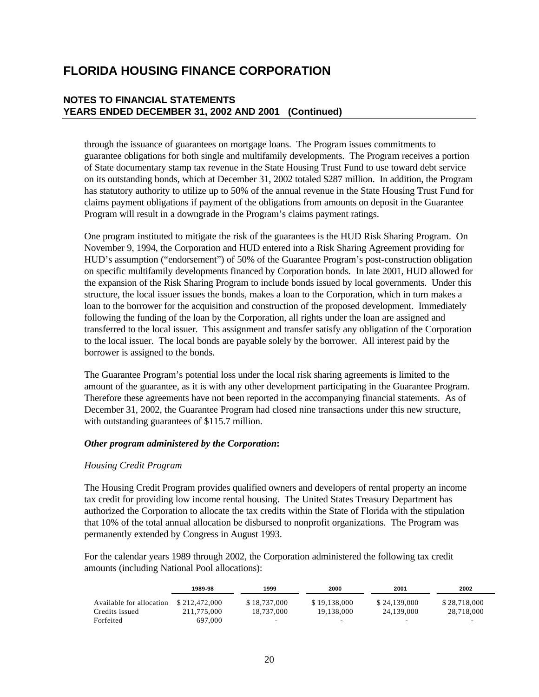### **NOTES TO FINANCIAL STATEMENTS YEARS ENDED DECEMBER 31, 2002 AND 2001 (Continued)**

through the issuance of guarantees on mortgage loans. The Program issues commitments to guarantee obligations for both single and multifamily developments. The Program receives a portion of State documentary stamp tax revenue in the State Housing Trust Fund to use toward debt service on its outstanding bonds, which at December 31, 2002 totaled \$287 million. In addition, the Program has statutory authority to utilize up to 50% of the annual revenue in the State Housing Trust Fund for claims payment obligations if payment of the obligations from amounts on deposit in the Guarantee Program will result in a downgrade in the Program's claims payment ratings.

One program instituted to mitigate the risk of the guarantees is the HUD Risk Sharing Program. On November 9, 1994, the Corporation and HUD entered into a Risk Sharing Agreement providing for HUD's assumption ("endorsement") of 50% of the Guarantee Program's post-construction obligation on specific multifamily developments financed by Corporation bonds. In late 2001, HUD allowed for the expansion of the Risk Sharing Program to include bonds issued by local governments. Under this structure, the local issuer issues the bonds, makes a loan to the Corporation, which in turn makes a loan to the borrower for the acquisition and construction of the proposed development. Immediately following the funding of the loan by the Corporation, all rights under the loan are assigned and transferred to the local issuer. This assignment and transfer satisfy any obligation of the Corporation to the local issuer. The local bonds are payable solely by the borrower. All interest paid by the borrower is assigned to the bonds.

The Guarantee Program's potential loss under the local risk sharing agreements is limited to the amount of the guarantee, as it is with any other development participating in the Guarantee Program. Therefore these agreements have not been reported in the accompanying financial statements. As of December 31, 2002, the Guarantee Program had closed nine transactions under this new structure, with outstanding guarantees of \$115.7 million.

### *Other program administered by the Corporation***:**

### *Housing Credit Program*

The Housing Credit Program provides qualified owners and developers of rental property an income tax credit for providing low income rental housing. The United States Treasury Department has authorized the Corporation to allocate the tax credits within the State of Florida with the stipulation that 10% of the total annual allocation be disbursed to nonprofit organizations. The Program was permanently extended by Congress in August 1993.

For the calendar years 1989 through 2002, the Corporation administered the following tax credit amounts (including National Pool allocations):

|                          | 1989-98       | 1999           | 2000         | 2001         | 2002         |
|--------------------------|---------------|----------------|--------------|--------------|--------------|
| Available for allocation | \$212,472,000 | \$18,737,000   | \$19,138,000 | \$24,139,000 | \$28,718,000 |
| Credits issued           | 211,775,000   | 18.737.000     | 19.138.000   | 24.139,000   | 28,718,000   |
| Forfeited                | 697,000       | $\overline{a}$ | -            |              | -            |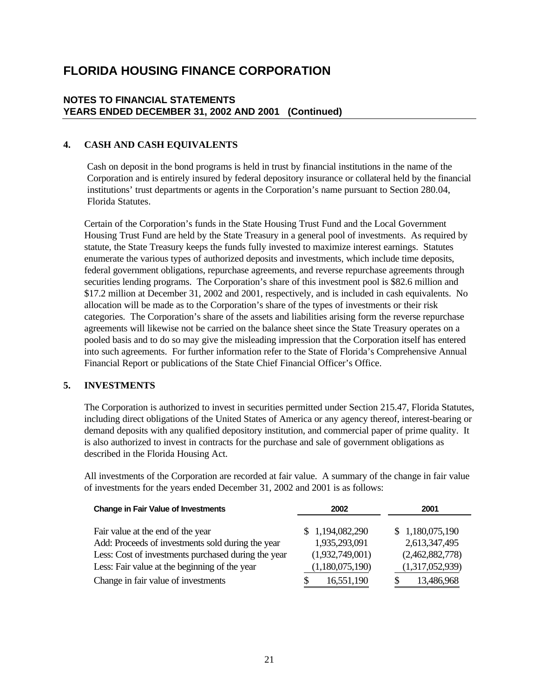### **NOTES TO FINANCIAL STATEMENTS YEARS ENDED DECEMBER 31, 2002 AND 2001 (Continued)**

### **4. CASH AND CASH EQUIVALENTS**

Cash on deposit in the bond programs is held in trust by financial institutions in the name of the Corporation and is entirely insured by federal depository insurance or collateral held by the financial institutions' trust departments or agents in the Corporation's name pursuant to Section 280.04, Florida Statutes.

Certain of the Corporation's funds in the State Housing Trust Fund and the Local Government Housing Trust Fund are held by the State Treasury in a general pool of investments. As required by statute, the State Treasury keeps the funds fully invested to maximize interest earnings. Statutes enumerate the various types of authorized deposits and investments, which include time deposits, federal government obligations, repurchase agreements, and reverse repurchase agreements through securities lending programs. The Corporation's share of this investment pool is \$82.6 million and \$17.2 million at December 31, 2002 and 2001, respectively, and is included in cash equivalents. No allocation will be made as to the Corporation's share of the types of investments or their risk categories. The Corporation's share of the assets and liabilities arising form the reverse repurchase agreements will likewise not be carried on the balance sheet since the State Treasury operates on a pooled basis and to do so may give the misleading impression that the Corporation itself has entered into such agreements. For further information refer to the State of Florida's Comprehensive Annual Financial Report or publications of the State Chief Financial Officer's Office.

### **5. INVESTMENTS**

The Corporation is authorized to invest in securities permitted under Section 215.47, Florida Statutes, including direct obligations of the United States of America or any agency thereof, interest-bearing or demand deposits with any qualified depository institution, and commercial paper of prime quality. It is also authorized to invest in contracts for the purchase and sale of government obligations as described in the Florida Housing Act.

All investments of the Corporation are recorded at fair value. A summary of the change in fair value of investments for the years ended December 31, 2002 and 2001 is as follows:

| <b>Change in Fair Value of Investments</b>          | 2002            | 2001            |
|-----------------------------------------------------|-----------------|-----------------|
|                                                     |                 |                 |
| Fair value at the end of the year                   | \$1,194,082,290 | \$1,180,075,190 |
| Add: Proceeds of investments sold during the year   | 1,935,293,091   | 2,613,347,495   |
| Less: Cost of investments purchased during the year | (1,932,749,001) | (2,462,882,778) |
| Less: Fair value at the beginning of the year       | (1,180,075,190) | (1,317,052,939) |
| Change in fair value of investments                 | 16,551,190<br>S | 13,486,968      |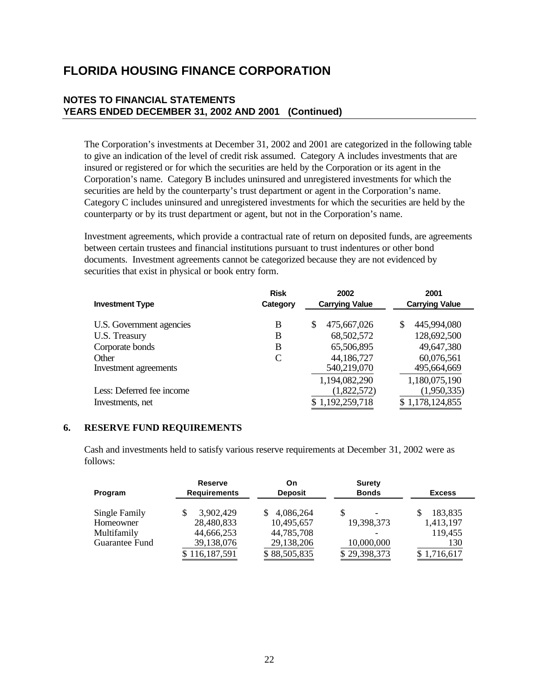### **NOTES TO FINANCIAL STATEMENTS YEARS ENDED DECEMBER 31, 2002 AND 2001 (Continued)**

The Corporation's investments at December 31, 2002 and 2001 are categorized in the following table to give an indication of the level of credit risk assumed. Category A includes investments that are insured or registered or for which the securities are held by the Corporation or its agent in the Corporation's name. Category B includes uninsured and unregistered investments for which the securities are held by the counterparty's trust department or agent in the Corporation's name. Category C includes uninsured and unregistered investments for which the securities are held by the counterparty or by its trust department or agent, but not in the Corporation's name.

Investment agreements, which provide a contractual rate of return on deposited funds, are agreements between certain trustees and financial institutions pursuant to trust indentures or other bond documents. Investment agreements cannot be categorized because they are not evidenced by securities that exist in physical or book entry form.

| <b>Investment Type</b>    | <b>Risk</b><br>Category | 2002<br><b>Carrying Value</b> | 2001<br><b>Carrying Value</b> |
|---------------------------|-------------------------|-------------------------------|-------------------------------|
| U.S. Government agencies  | B                       | \$<br>475,667,026             | 445,994,080<br>\$.            |
| U.S. Treasury             | B                       | 68,502,572                    | 128,692,500                   |
| Corporate bonds           | B                       | 65,506,895                    | 49,647,380                    |
| Other                     | C                       | 44,186,727                    | 60,076,561                    |
| Investment agreements     |                         | 540,219,070                   | 495,664,669                   |
|                           |                         | 1,194,082,290                 | 1,180,075,190                 |
| Less: Deferred fee income |                         | (1,822,572)                   | (1,950,335)                   |
| Investments, net          |                         | \$1,192,259,718               | \$1,178,124,855               |

#### **6. RESERVE FUND REQUIREMENTS**

Cash and investments held to satisfy various reserve requirements at December 31, 2002 were as follows:

| Program        | <b>Reserve</b><br><b>Requirements</b> | On<br><b>Deposit</b> | <b>Surety</b><br><b>Bonds</b> | <b>Excess</b> |  |
|----------------|---------------------------------------|----------------------|-------------------------------|---------------|--|
| Single Family  | 3,902,429                             | 4,086,264            | S<br>$\overline{\phantom{0}}$ | 183,835       |  |
| Homeowner      | 28,480,833                            | 10,495,657           | 19,398,373                    | 1,413,197     |  |
| Multifamily    | 44,666,253                            | 44,785,708           |                               | 119,455       |  |
| Guarantee Fund | 39,138,076                            | 29,138,206           | 10,000,000                    | 130           |  |
|                | \$116,187,591                         | \$88,505,835         | \$29,398,373                  | \$1,716,617   |  |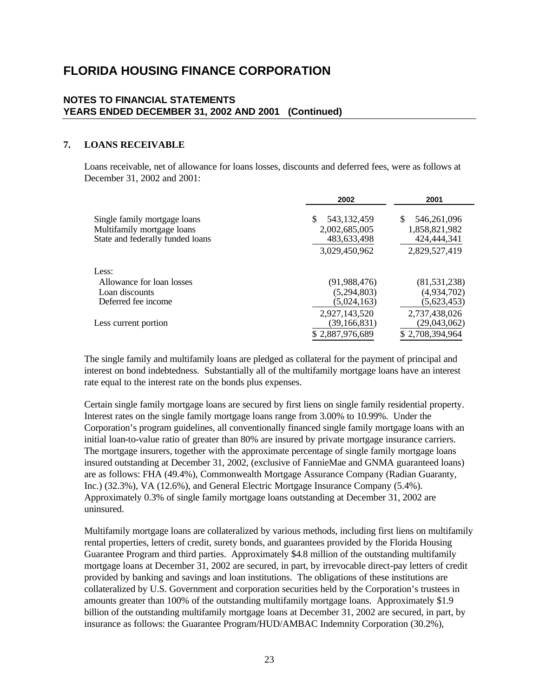### **NOTES TO FINANCIAL STATEMENTS YEARS ENDED DECEMBER 31, 2002 AND 2001 (Continued)**

### **7. LOANS RECEIVABLE**

Loans receivable, net of allowance for loans losses, discounts and deferred fees, were as follows at December 31, 2002 and 2001:

|                                  | 2002                 | 2001             |
|----------------------------------|----------------------|------------------|
| Single family mortgage loans     | \$.<br>543, 132, 459 | 546,261,096<br>S |
| Multifamily mortgage loans       | 2,002,685,005        | 1,858,821,982    |
| State and federally funded loans | 483,633,498          | 424,444,341      |
|                                  | 3,029,450,962        | 2,829,527,419    |
| Less:                            |                      |                  |
| Allowance for loan losses        | (91, 988, 476)       | (81, 531, 238)   |
| Loan discounts                   | (5,294,803)          | (4,934,702)      |
| Deferred fee income              | (5,024,163)          | (5,623,453)      |
|                                  | 2,927,143,520        | 2,737,438,026    |
| Less current portion             | (39, 166, 831)       | (29,043,062)     |
|                                  | \$2,887,976,689      | \$2,708,394,964  |

The single family and multifamily loans are pledged as collateral for the payment of principal and interest on bond indebtedness. Substantially all of the multifamily mortgage loans have an interest rate equal to the interest rate on the bonds plus expenses.

Certain single family mortgage loans are secured by first liens on single family residential property. Interest rates on the single family mortgage loans range from 3.00% to 10.99%. Under the Corporation's program guidelines, all conventionally financed single family mortgage loans with an initial loan-to-value ratio of greater than 80% are insured by private mortgage insurance carriers. The mortgage insurers, together with the approximate percentage of single family mortgage loans insured outstanding at December 31, 2002, (exclusive of FannieMae and GNMA guaranteed loans) are as follows: FHA (49.4%), Commonwealth Mortgage Assurance Company (Radian Guaranty, Inc.) (32.3%), VA (12.6%), and General Electric Mortgage Insurance Company (5.4%). Approximately 0.3% of single family mortgage loans outstanding at December 31, 2002 are uninsured.

Multifamily mortgage loans are collateralized by various methods, including first liens on multifamily rental properties, letters of credit, surety bonds, and guarantees provided by the Florida Housing Guarantee Program and third parties. Approximately \$4.8 million of the outstanding multifamily mortgage loans at December 31, 2002 are secured, in part, by irrevocable direct-pay letters of credit provided by banking and savings and loan institutions. The obligations of these institutions are collateralized by U.S. Government and corporation securities held by the Corporation's trustees in amounts greater than 100% of the outstanding multifamily mortgage loans. Approximately \$1.9 billion of the outstanding multifamily mortgage loans at December 31, 2002 are secured, in part, by insurance as follows: the Guarantee Program/HUD/AMBAC Indemnity Corporation (30.2%),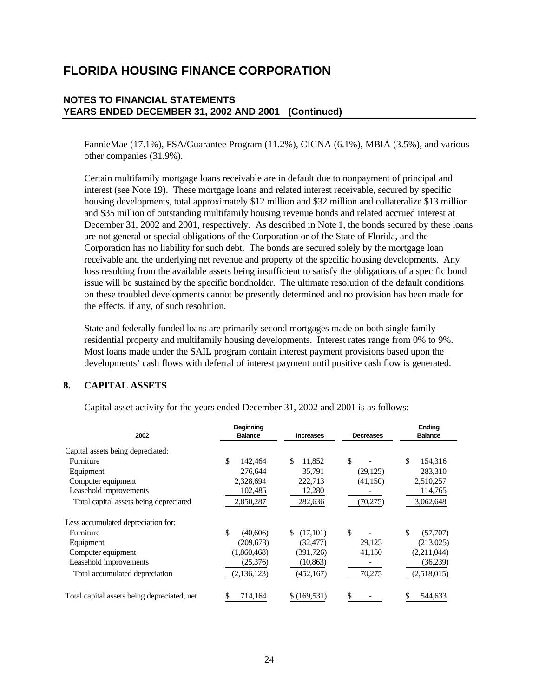### **NOTES TO FINANCIAL STATEMENTS YEARS ENDED DECEMBER 31, 2002 AND 2001 (Continued)**

FannieMae (17.1%), FSA/Guarantee Program (11.2%), CIGNA (6.1%), MBIA (3.5%), and various other companies (31.9%).

Certain multifamily mortgage loans receivable are in default due to nonpayment of principal and interest (see Note 19). These mortgage loans and related interest receivable, secured by specific housing developments, total approximately \$12 million and \$32 million and collateralize \$13 million and \$35 million of outstanding multifamily housing revenue bonds and related accrued interest at December 31, 2002 and 2001, respectively. As described in Note 1, the bonds secured by these loans are not general or special obligations of the Corporation or of the State of Florida, and the Corporation has no liability for such debt. The bonds are secured solely by the mortgage loan receivable and the underlying net revenue and property of the specific housing developments. Any loss resulting from the available assets being insufficient to satisfy the obligations of a specific bond issue will be sustained by the specific bondholder. The ultimate resolution of the default conditions on these troubled developments cannot be presently determined and no provision has been made for the effects, if any, of such resolution.

State and federally funded loans are primarily second mortgages made on both single family residential property and multifamily housing developments. Interest rates range from 0% to 9%. Most loans made under the SAIL program contain interest payment provisions based upon the developments' cash flows with deferral of interest payment until positive cash flow is generated.

### **8. CAPITAL ASSETS**

Capital asset activity for the years ended December 31, 2002 and 2001 is as follows:

|                                             | <b>Beginning</b> |                  |           | <b>Ending</b>  |  |  |
|---------------------------------------------|------------------|------------------|-----------|----------------|--|--|
| 2002                                        | <b>Balance</b>   | <b>Increases</b> | Decreases | <b>Balance</b> |  |  |
| Capital assets being depreciated:           |                  |                  |           |                |  |  |
| Furniture                                   | \$<br>142,464    | \$<br>11.852     | \$        | \$<br>154,316  |  |  |
| Equipment                                   | 276,644          | 35,791           | (29, 125) | 283,310        |  |  |
| Computer equipment                          | 2,328,694        | 222.713          | (41,150)  | 2,510,257      |  |  |
| Leasehold improvements                      | 102,485          | 12,280           |           | 114,765        |  |  |
| Total capital assets being depreciated      | 2,850,287        | 282,636          | (70, 275) | 3,062,648      |  |  |
| Less accumulated depreciation for:          |                  |                  |           |                |  |  |
| Furniture                                   | \$<br>(40,606)   | (17,101)<br>\$   | \$        | \$<br>(57,707) |  |  |
| Equipment                                   | (209, 673)       | (32, 477)        | 29.125    | (213,025)      |  |  |
| Computer equipment                          | (1,860,468)      | (391, 726)       | 41,150    | (2,211,044)    |  |  |
| Leasehold improvements                      | (25,376)         | (10, 863)        |           | (36,239)       |  |  |
| Total accumulated depreciation              | (2,136,123)      | (452, 167)       | 70,275    | (2,518,015)    |  |  |
| Total capital assets being depreciated, net | 714,164          | \$(169, 531)     |           | 544,633        |  |  |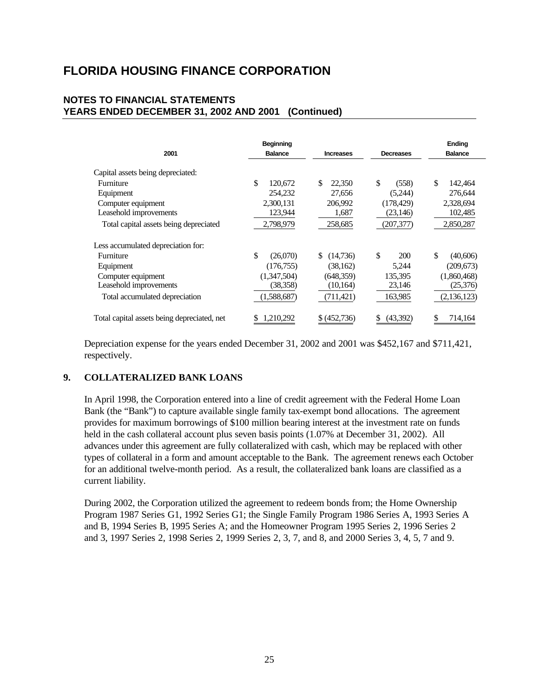### **NOTES TO FINANCIAL STATEMENTS YEARS ENDED DECEMBER 31, 2002 AND 2001 (Continued)**

| 2001                                        | <b>Beginning</b><br><b>Balance</b> | <b>Increases</b> | <b>Decreases</b> | Ending<br><b>Balance</b> |
|---------------------------------------------|------------------------------------|------------------|------------------|--------------------------|
|                                             |                                    |                  |                  |                          |
| Capital assets being depreciated:           |                                    |                  |                  |                          |
| Furniture                                   | \$<br>120,672                      | \$<br>22,350     | \$<br>(558)      | \$<br>142,464            |
| Equipment                                   | 254.232                            | 27,656           | (5,244)          | 276,644                  |
| Computer equipment                          | 2,300,131                          | 206,992          | (178, 429)       | 2,328,694                |
| Leasehold improvements                      | 123,944                            | 1,687            | (23, 146)        | 102,485                  |
| Total capital assets being depreciated      | 2,798,979                          | 258,685          | (207,377)        | 2,850,287                |
| Less accumulated depreciation for:          |                                    |                  |                  |                          |
| Furniture                                   | \$<br>(26,070)                     | \$<br>(14,736)   | \$<br>200        | \$<br>(40,606)           |
| Equipment                                   | (176, 755)                         | (38, 162)        | 5,244            | (209,673)                |
| Computer equipment                          | (1,347,504)                        | (648, 359)       | 135,395          | (1,860,468)              |
| Leasehold improvements                      | (38,358)                           | (10, 164)        | 23,146           | (25,376)                 |
| Total accumulated depreciation              | (1,588,687)                        | (711,421)        | 163,985          | (2,136,123)              |
| Total capital assets being depreciated, net | 1,210,292                          | (452, 736)<br>S. | \$<br>(43,392)   | 714,164                  |

Depreciation expense for the years ended December 31, 2002 and 2001 was \$452,167 and \$711,421, respectively.

### **9. COLLATERALIZED BANK LOANS**

In April 1998, the Corporation entered into a line of credit agreement with the Federal Home Loan Bank (the "Bank") to capture available single family tax-exempt bond allocations. The agreement provides for maximum borrowings of \$100 million bearing interest at the investment rate on funds held in the cash collateral account plus seven basis points (1.07% at December 31, 2002). All advances under this agreement are fully collateralized with cash, which may be replaced with other types of collateral in a form and amount acceptable to the Bank. The agreement renews each October for an additional twelve-month period. As a result, the collateralized bank loans are classified as a current liability.

During 2002, the Corporation utilized the agreement to redeem bonds from; the Home Ownership Program 1987 Series G1, 1992 Series G1; the Single Family Program 1986 Series A, 1993 Series A and B, 1994 Series B, 1995 Series A; and the Homeowner Program 1995 Series 2, 1996 Series 2 and 3, 1997 Series 2, 1998 Series 2, 1999 Series 2, 3, 7, and 8, and 2000 Series 3, 4, 5, 7 and 9.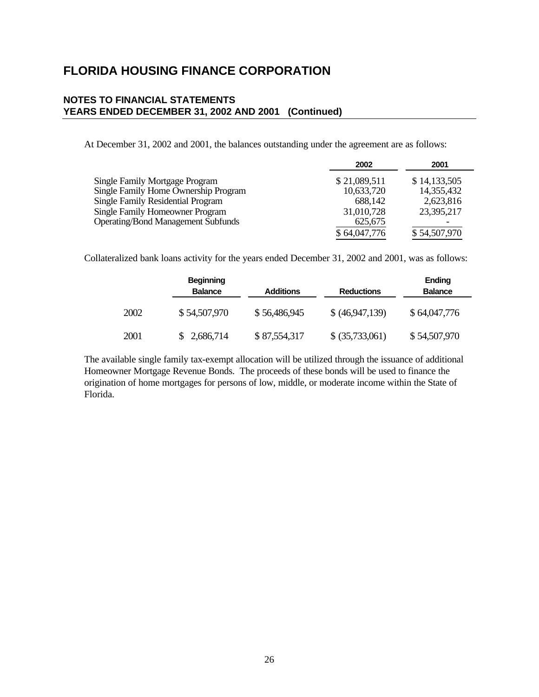### **NOTES TO FINANCIAL STATEMENTS YEARS ENDED DECEMBER 31, 2002 AND 2001 (Continued)**

At December 31, 2002 and 2001, the balances outstanding under the agreement are as follows:

|                                           | 2002         | 2001         |
|-------------------------------------------|--------------|--------------|
| Single Family Mortgage Program            | \$21,089,511 | \$14,133,505 |
| Single Family Home Ownership Program      | 10,633,720   | 14,355,432   |
| <b>Single Family Residential Program</b>  | 688.142      | 2,623,816    |
| Single Family Homeowner Program           | 31,010,728   | 23,395,217   |
| <b>Operating/Bond Management Subfunds</b> | 625,675      |              |
|                                           | \$64,047,776 | \$54,507,970 |

Collateralized bank loans activity for the years ended December 31, 2002 and 2001, was as follows:

|      | <b>Beginning</b><br><b>Balance</b> | Additions    | <b>Reductions</b> | Ending<br><b>Balance</b> |
|------|------------------------------------|--------------|-------------------|--------------------------|
| 2002 | \$54,507,970                       | \$56,486,945 | \$ (46,947,139)   | \$64,047,776             |
| 2001 | 2,686,714                          | \$87,554,317 | \$ (35,733,061)   | \$54,507,970             |

The available single family tax-exempt allocation will be utilized through the issuance of additional Homeowner Mortgage Revenue Bonds. The proceeds of these bonds will be used to finance the origination of home mortgages for persons of low, middle, or moderate income within the State of Florida.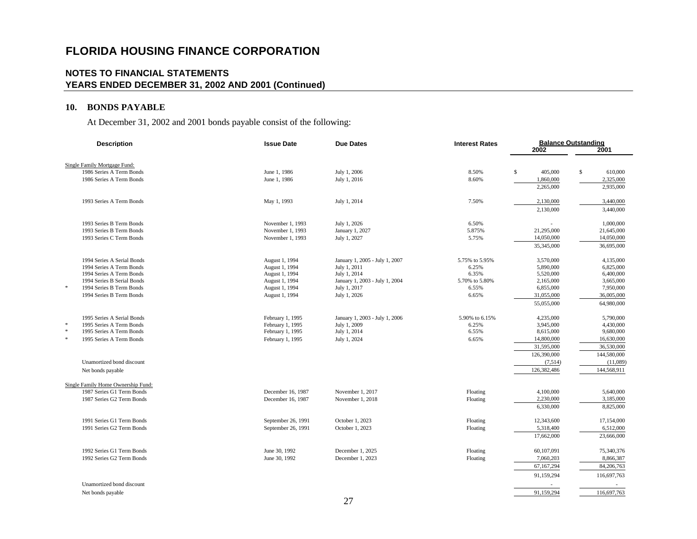### **NOTES TO FINANCIAL STATEMENTS YEARS ENDED DECEMBER 31, 2002 AND 2001 (Continued)**

### **10. BONDS PAYABLE**

At December 31, 2002 and 2001 bonds payable consist of the following:

| <b>Description</b>                                       | <b>Issue Date</b>  | <b>Due Dates</b>               | <b>Interest Rates</b><br>2002 |               | <b>Balance Outstanding</b><br>2001 |  |
|----------------------------------------------------------|--------------------|--------------------------------|-------------------------------|---------------|------------------------------------|--|
|                                                          |                    |                                |                               |               |                                    |  |
| Single Family Mortgage Fund:<br>1986 Series A Term Bonds | June 1, 1986       | July 1, 2006                   | 8.50%                         | \$<br>405,000 | \$<br>610,000                      |  |
| 1986 Series A Term Bonds                                 | June 1, 1986       | July 1, 2016                   | 8.60%                         | 1,860,000     | 2,325,000                          |  |
|                                                          |                    |                                |                               | 2,265,000     | 2,935,000                          |  |
|                                                          |                    |                                |                               |               |                                    |  |
| 1993 Series A Term Bonds                                 | May 1, 1993        | July 1, 2014                   | 7.50%                         | 2,130,000     | 3,440,000                          |  |
|                                                          |                    |                                |                               | 2,130,000     | 3,440,000                          |  |
| 1993 Series B Term Bonds                                 | November 1, 1993   | July 1, 2026                   | 6.50%                         |               | 1,000,000                          |  |
| 1993 Series B Term Bonds                                 | November 1, 1993   | January 1, 2027                | 5.875%                        | 21,295,000    | 21,645,000                         |  |
| 1993 Series C Term Bonds                                 | November 1, 1993   | July 1, 2027                   | 5.75%                         | 14,050,000    | 14,050,000                         |  |
|                                                          |                    |                                |                               | 35,345,000    | 36,695,000                         |  |
| 1994 Series A Serial Bonds                               | August 1, 1994     | January 1, 2005 - July 1, 2007 | 5.75% to 5.95%                | 3,570,000     | 4,135,000                          |  |
| 1994 Series A Term Bonds                                 | August 1, 1994     | July 1, 2011                   | 6.25%                         | 5,890,000     | 6,825,000                          |  |
| 1994 Series A Term Bonds                                 | August 1, 1994     | July 1, 2014                   | 6.35%                         | 5,520,000     | 6,400,000                          |  |
| 1994 Series B Serial Bonds                               | August 1, 1994     | January 1, 2003 - July 1, 2004 | 5.70% to 5.80%                | 2,165,000     | 3,665,000                          |  |
| $\ast$<br>1994 Series B Term Bonds                       | August 1, 1994     | July 1, 2017                   | 6.55%                         | 6,855,000     | 7,950,000                          |  |
| 1994 Series B Term Bonds                                 | August 1, 1994     | July 1, 2026                   | 6.65%                         | 31,055,000    | 36,005,000                         |  |
|                                                          |                    |                                |                               | 55,055,000    | 64,980,000                         |  |
| 1995 Series A Serial Bonds                               | February 1, 1995   | January 1, 2003 - July 1, 2006 | 5.90% to 6.15%                | 4,235,000     | 5,790,000                          |  |
| $\ast$<br>1995 Series A Term Bonds                       | February 1, 1995   | July 1, 2009                   | 6.25%                         | 3,945,000     | 4,430,000                          |  |
| $\ast$<br>1995 Series A Term Bonds                       | February 1, 1995   | July 1, 2014                   | 6.55%                         | 8,615,000     | 9,680,000                          |  |
| $\ast$<br>1995 Series A Term Bonds                       | February 1, 1995   | July 1, 2024                   | 6.65%                         | 14,800,000    | 16,630,000                         |  |
|                                                          |                    |                                |                               | 31,595,000    | 36,530,000                         |  |
|                                                          |                    |                                |                               | 126,390,000   | 144,580,000                        |  |
| Unamortized bond discount                                |                    |                                |                               | (7,514)       | (11,089)                           |  |
| Net bonds payable                                        |                    |                                |                               | 126,382,486   | 144,568,911                        |  |
| Single Family Home Ownership Fund:                       |                    |                                |                               |               |                                    |  |
| 1987 Series G1 Term Bonds                                | December 16, 1987  | November 1, 2017               | Floating                      | 4,100,000     | 5,640,000                          |  |
| 1987 Series G2 Term Bonds                                | December 16, 1987  | November 1, 2018               | Floating                      | 2,230,000     | 3,185,000                          |  |
|                                                          |                    |                                |                               | 6,330,000     | 8,825,000                          |  |
| 1991 Series G1 Term Bonds                                | September 26, 1991 | October 1, 2023                | Floating                      | 12,343,600    | 17,154,000                         |  |
| 1991 Series G2 Term Bonds                                | September 26, 1991 | October 1, 2023                | Floating                      | 5,318,400     | 6,512,000                          |  |
|                                                          |                    |                                |                               | 17,662,000    | 23,666,000                         |  |
| 1992 Series G1 Term Bonds                                | June 30, 1992      | December 1, 2025               | Floating                      | 60,107,091    | 75,340,376                         |  |
| 1992 Series G2 Term Bonds                                | June 30, 1992      | December 1, 2023               | Floating                      | 7,060,203     | 8,866,387                          |  |
|                                                          |                    |                                |                               | 67,167,294    | 84,206,763                         |  |
|                                                          |                    |                                |                               |               |                                    |  |
|                                                          |                    |                                |                               | 91,159,294    | 116,697,763                        |  |
| Unamortized bond discount                                |                    |                                |                               | ٠             |                                    |  |
| Net bonds payable                                        |                    |                                |                               | 91,159,294    | 116,697,763                        |  |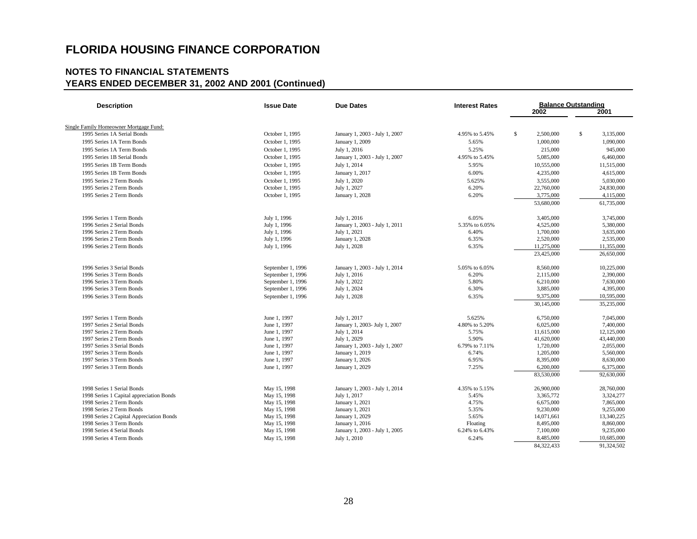| <b>Description</b>                       | <b>Issue Date</b> | <b>Due Dates</b>               | <b>Interest Rates</b> |                 | <b>Balance Outstanding</b> |  |  |  |
|------------------------------------------|-------------------|--------------------------------|-----------------------|-----------------|----------------------------|--|--|--|
|                                          |                   |                                |                       | 2002            | 2001                       |  |  |  |
| Single Family Homeowner Mortgage Fund:   |                   |                                |                       |                 |                            |  |  |  |
| 1995 Series 1A Serial Bonds              | October 1, 1995   | January 1, 2003 - July 1, 2007 | 4.95% to 5.45%        | \$<br>2,500,000 | \$<br>3,135,000            |  |  |  |
| 1995 Series 1A Term Bonds                | October 1, 1995   | January 1, 2009                | 5.65%                 | 1,000,000       | 1,090,000                  |  |  |  |
| 1995 Series 1A Term Bonds                | October 1, 1995   | July 1, 2016                   | 5.25%                 | 215,000         | 945,000                    |  |  |  |
| 1995 Series 1B Serial Bonds              | October 1, 1995   | January 1, 2003 - July 1, 2007 | 4.95% to 5.45%        | 5,085,000       | 6,460,000                  |  |  |  |
| 1995 Series 1B Term Bonds                | October 1, 1995   |                                | 5.95%                 | 10,555,000      | 11,515,000                 |  |  |  |
|                                          |                   | July 1, 2014                   |                       |                 |                            |  |  |  |
| 1995 Series 1B Term Bonds                | October 1, 1995   | January 1, 2017                | 6.00%                 | 4,235,000       | 4,615,000                  |  |  |  |
| 1995 Series 2 Term Bonds                 | October 1, 1995   | July 1, 2020                   | 5.625%                | 3,555,000       | 5,030,000                  |  |  |  |
| 1995 Series 2 Term Bonds                 | October 1, 1995   | July 1, 2027                   | 6.20%                 | 22,760,000      | 24,830,000                 |  |  |  |
| 1995 Series 2 Term Bonds                 | October 1, 1995   | January 1, 2028                | 6.20%                 | 3,775,000       | 4,115,000                  |  |  |  |
|                                          |                   |                                |                       | 53,680,000      | 61,735,000                 |  |  |  |
| 1996 Series 1 Term Bonds                 | July 1, 1996      | July 1, 2016                   | 6.05%                 | 3,405,000       | 3,745,000                  |  |  |  |
| 1996 Series 2 Serial Bonds               | July 1, 1996      | January 1, 2003 - July 1, 2011 | 5.35% to 6.05%        | 4,525,000       | 5.380,000                  |  |  |  |
| 1996 Series 2 Term Bonds                 | July 1, 1996      | July 1, 2021                   | 6.40%                 | 1,700,000       | 3,635,000                  |  |  |  |
| 1996 Series 2 Term Bonds                 | July 1, 1996      | January 1, 2028                | 6.35%                 | 2,520,000       | 2,535,000                  |  |  |  |
| 1996 Series 2 Term Bonds                 | July 1, 1996      | July 1, 2028                   | 6.35%                 | 11,275,000      | 11,355,000                 |  |  |  |
|                                          |                   |                                |                       | 23,425,000      | 26,650,000                 |  |  |  |
| 1996 Series 3 Serial Bonds               | September 1, 1996 | January 1, 2003 - July 1, 2014 | 5.05% to 6.05%        | 8,560,000       | 10,225,000                 |  |  |  |
| 1996 Series 3 Term Bonds                 | September 1, 1996 | July 1, 2016                   | 6.20%                 | 2,115,000       | 2,390,000                  |  |  |  |
| 1996 Series 3 Term Bonds                 | September 1, 1996 | July 1, 2022                   | 5.80%                 | 6,210,000       | 7,630,000                  |  |  |  |
| 1996 Series 3 Term Bonds                 | September 1, 1996 | July 1, 2024                   | 6.30%                 | 3,885,000       | 4,395,000                  |  |  |  |
| 1996 Series 3 Term Bonds                 | September 1, 1996 | July 1, 2028                   | 6.35%                 | 9,375,000       | 10,595,000                 |  |  |  |
|                                          |                   |                                |                       | 30,145,000      | 35,235,000                 |  |  |  |
| 1997 Series 1 Term Bonds                 | June 1, 1997      | July 1, 2017                   | 5.625%                | 6,750,000       | 7,045,000                  |  |  |  |
| 1997 Series 2 Serial Bonds               | June 1, 1997      | January 1, 2003- July 1, 2007  | 4.80% to 5.20%        | 6,025,000       | 7,400,000                  |  |  |  |
| 1997 Series 2 Term Bonds                 | June 1, 1997      | July 1, 2014                   | 5.75%                 | 11,615,000      | 12,125,000                 |  |  |  |
| 1997 Series 2 Term Bonds                 | June 1, 1997      | July 1, 2029                   | 5.90%                 | 41,620,000      | 43,440,000                 |  |  |  |
| 1997 Series 3 Serial Bonds               | June 1, 1997      | January 1, 2003 - July 1, 2007 | 6.79% to 7.11%        | 1,720,000       | 2,055,000                  |  |  |  |
| 1997 Series 3 Term Bonds                 | June 1, 1997      | January 1, 2019                | 6.74%                 | 1,205,000       | 5,560,000                  |  |  |  |
| 1997 Series 3 Term Bonds                 | June 1, 1997      | January 1, 2026                | 6.95%                 | 8,395,000       | 8,630,000                  |  |  |  |
| 1997 Series 3 Term Bonds                 | June 1, 1997      | January 1, 2029                | 7.25%                 | 6,200,000       | 6,375,000                  |  |  |  |
|                                          |                   |                                |                       | 83,530,000      | 92,630,000                 |  |  |  |
| 1998 Series 1 Serial Bonds               | May 15, 1998      | January 1, 2003 - July 1, 2014 | 4.35% to 5.15%        | 26,900,000      | 28,760,000                 |  |  |  |
| 1998 Series 1 Capital appreciation Bonds | May 15, 1998      | July 1, 2017                   | 5.45%                 | 3.365.772       | 3.324.277                  |  |  |  |
| 1998 Series 2 Term Bonds                 | May 15, 1998      | January 1, 2021                | 4.75%                 | 6,675,000       | 7,865,000                  |  |  |  |
| 1998 Series 2 Term Bonds                 | May 15, 1998      | January 1, 2021                | 5.35%                 | 9,230,000       | 9,255,000                  |  |  |  |
| 1998 Series 2 Capital Appreciation Bonds | May 15, 1998      | January 1, 2029                | 5.65%                 | 14,071,661      | 13,340,225                 |  |  |  |
| 1998 Series 3 Term Bonds                 | May 15, 1998      | January 1, 2016                | Floating              | 8,495,000       | 8,860,000                  |  |  |  |
| 1998 Series 4 Serial Bonds               | May 15, 1998      | January 1, 2003 - July 1, 2005 | 6.24% to 6.43%        | 7,100,000       | 9,235,000                  |  |  |  |
| 1998 Series 4 Term Bonds                 | May 15, 1998      | July 1, 2010                   | 6.24%                 | 8,485,000       | 10,685,000                 |  |  |  |
|                                          |                   |                                |                       | 84,322,433      | 91,324,502                 |  |  |  |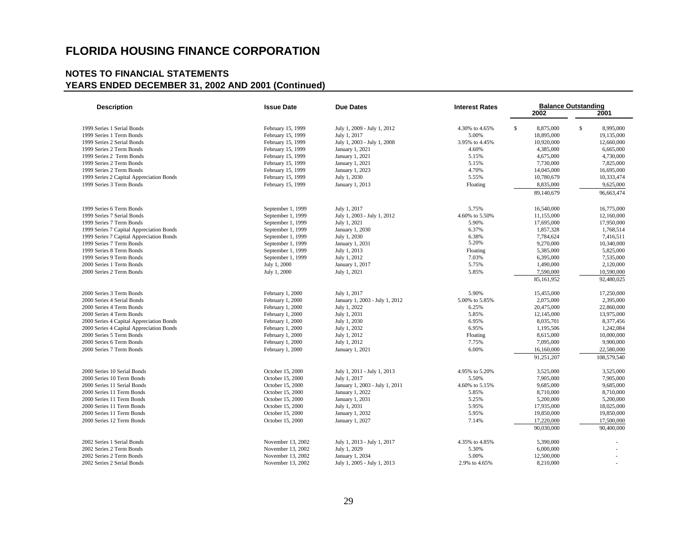| <b>Description</b>                       | <b>Issue Date</b> | <b>Due Dates</b>               | <b>Interest Rates</b> |                 | <b>Balance Outstanding</b> |  |  |  |
|------------------------------------------|-------------------|--------------------------------|-----------------------|-----------------|----------------------------|--|--|--|
|                                          |                   |                                |                       | 2002            | 2001                       |  |  |  |
| 1999 Series 1 Serial Bonds               | February 15, 1999 | July 1, 2009 - July 1, 2012    | 4.30% to 4.65%        | s.<br>8,875,000 | $\mathbb{S}$<br>8,995,000  |  |  |  |
| 1999 Series 1 Term Bonds                 | February 15, 1999 | July 1, 2017                   | 5.00%                 | 18,895,000      | 19,135,000                 |  |  |  |
| 1999 Series 2 Serial Bonds               | February 15, 1999 | July 1, 2003 - July 1, 2008    | 3.95% to 4.45%        | 10,920,000      | 12,660,000                 |  |  |  |
| 1999 Series 2 Term Bonds                 | February 15, 1999 | January 1, 2021                | 4.60%                 | 4,385,000       | 6,665,000                  |  |  |  |
| 1999 Series 2 Term Bonds                 | February 15, 1999 | January 1, 2021                | 5.15%                 | 4,675,000       | 4,730,000                  |  |  |  |
| 1999 Series 2 Term Bonds                 | February 15, 1999 | January 1, 2021                | 5.15%                 | 7,730,000       | 7,825,000                  |  |  |  |
| 1999 Series 2 Term Bonds                 | February 15, 1999 | January 1, 2023                | 4.70%                 | 14,045,000      | 16,695,000                 |  |  |  |
| 1999 Series 2 Capital Appreciation Bonds | February 15, 1999 | July 1, 2030                   | 5.55%                 | 10,780,679      | 10,333,474                 |  |  |  |
| 1999 Series 3 Term Bonds                 | February 15, 1999 | January 1, 2013                | Floating              | 8,835,000       | 9,625,000                  |  |  |  |
|                                          |                   |                                |                       | 89,140,679      | 96,663,474                 |  |  |  |
| 1999 Series 6 Term Bonds                 | September 1, 1999 | July 1, 2017                   | 5.75%                 | 16,540,000      | 16,775,000                 |  |  |  |
| 1999 Series 7 Serial Bonds               | September 1, 1999 | July 1, 2003 - July 1, 2012    | 4.60% to 5.50%        | 11,155,000      | 12.160,000                 |  |  |  |
| 1999 Series 7 Term Bonds                 | September 1, 1999 | July 1, 2021                   | 5.90%                 | 17,695,000      | 17,950,000                 |  |  |  |
| 1999 Series 7 Capital Appreciation Bonds | September 1, 1999 | January 1, 2030                | 6.37%                 | 1,857,328       | 1,768,514                  |  |  |  |
| 1999 Series 7 Capital Appreciation Bonds | September 1, 1999 | July 1, 2030                   | 6.38%                 | 7,784,624       | 7,416,511                  |  |  |  |
| 1999 Series 7 Term Bonds                 | September 1, 1999 | January 1, 2031                | 5.20%                 | 9,270,000       | 10,340,000                 |  |  |  |
| 1999 Series 8 Term Bonds                 | September 1, 1999 | July 1, 2013                   | Floating              | 5,385,000       | 5,825,000                  |  |  |  |
| 1999 Series 9 Term Bonds                 | September 1, 1999 | July 1, 2012                   | 7.03%                 | 6,395,000       | 7,535,000                  |  |  |  |
| 2000 Series 1 Term Bonds                 | July 1, 2000      | January 1, 2017                | 5.75%                 | 1,490,000       | 2,120,000                  |  |  |  |
| 2000 Series 2 Term Bonds                 | July 1, 2000      | July 1, 2021                   | 5.85%                 | 7,590,000       | 10,590,000                 |  |  |  |
|                                          |                   |                                |                       | 85,161,952      | 92,480,025                 |  |  |  |
| 2000 Series 3 Term Bonds                 | February 1, 2000  | July 1, 2017                   | 5.90%                 | 15,455,000      | 17,250,000                 |  |  |  |
| 2000 Series 4 Serial Bonds               | February 1, 2000  | January 1, 2003 - July 1, 2012 | 5.00% to 5.85%        | 2,075,000       | 2,395,000                  |  |  |  |
| 2000 Series 4 Term Bonds                 | February 1, 2000  | July 1, 2022                   | 6.25%                 | 20,475,000      | 22,860,000                 |  |  |  |
| 2000 Series 4 Term Bonds                 | February 1, 2000  | July 1, 2031                   | 5.85%                 | 12,145,000      | 13,975,000                 |  |  |  |
| 2000 Series 4 Capital Appreciation Bonds | February 1, 2000  | July 1, 2030                   | 6.95%                 | 8,035,701       | 8,377,456                  |  |  |  |
| 2000 Series 4 Capital Appreciation Bonds | February 1, 2000  | July 1, 2032                   | 6.95%                 | 1,195,506       | 1,242,084                  |  |  |  |
| 2000 Series 5 Term Bonds                 | February 1, 2000  | July 1, 2012                   | Floating              | 8,615,000       | 10,000,000                 |  |  |  |
| 2000 Series 6 Term Bonds                 | February 1, 2000  | July 1, 2012                   | 7.75%                 | 7,095,000       | 9,900,000                  |  |  |  |
| 2000 Series 7 Term Bonds                 | February 1, 2000  | January 1, 2021                | 6.00%                 | 16,160,000      | 22,580,000                 |  |  |  |
|                                          |                   |                                |                       | 91,251,207      | 108,579,540                |  |  |  |
| 2000 Series 10 Serial Bonds              | October 15, 2000  | July 1, 2011 - July 1, 2013    | 4.95% to 5.20%        | 3,525,000       | 3,525,000                  |  |  |  |
| 2000 Series 10 Term Bonds                | October 15, 2000  | July 1, 2017                   | 5.50%                 | 7,905,000       | 7,905,000                  |  |  |  |
| 2000 Series 11 Serial Bonds              | October 15, 2000  | January 1, 2003 - July 1, 2011 | 4.60% to 5.15%        | 9,685,000       | 9,685,000                  |  |  |  |
| 2000 Series 11 Term Bonds                | October 15, 2000  | January 1, 2022                | 5.85%                 | 8,710,000       | 8,710,000                  |  |  |  |
| 2000 Series 11 Term Bonds                | October 15, 2000  | January 1, 2031                | 5.25%                 | 5,200,000       | 5,200,000                  |  |  |  |
| 2000 Series 11 Term Bonds                | October 15, 2000  | July 1, 2031                   | 5.95%                 | 17,935,000      | 18,025,000                 |  |  |  |
| 2000 Series 11 Term Bonds                | October 15, 2000  | January 1, 2032                | 5.95%                 | 19,850,000      | 19,850,000                 |  |  |  |
| 2000 Series 12 Term Bonds                | October 15, 2000  | January 1, 2027                | 7.14%                 | 17,220,000      | 17,500,000                 |  |  |  |
|                                          |                   |                                |                       | 90,030,000      | 90,400,000                 |  |  |  |
| 2002 Series 1 Serial Bonds               | November 13, 2002 | July 1, 2013 - July 1, 2017    | 4.35% to 4.85%        | 5,390,000       |                            |  |  |  |
| 2002 Series 2 Term Bonds                 | November 13, 2002 | July 1, 2029                   | 5.30%                 | 6,000,000       |                            |  |  |  |
| 2002 Series 2 Term Bonds                 | November 13, 2002 | January 1, 2034                | 5.00%                 | 12,500,000      |                            |  |  |  |
| 2002 Series 2 Serial Bonds               | November 13, 2002 | July 1, 2005 - July 1, 2013    | 2.9% to 4.65%         | 8,210,000       |                            |  |  |  |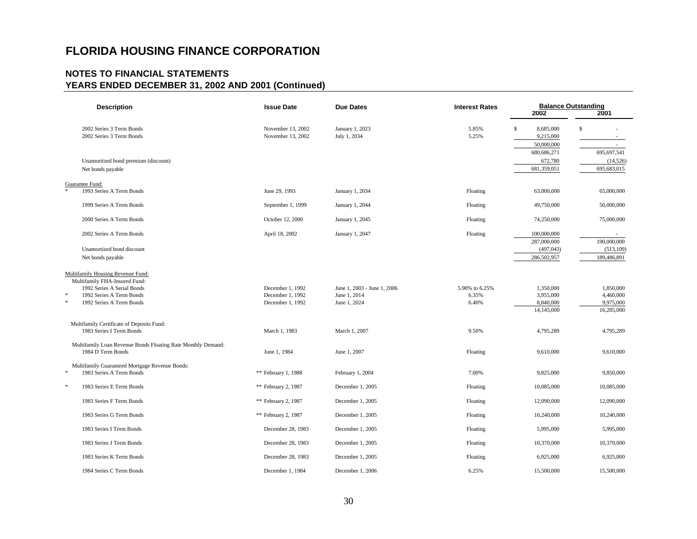| <b>Description</b>                                                                | <b>Issue Date</b><br><b>Due Dates</b> |                              | <b>Interest Rates</b> | <b>Balance Outstanding</b> |                        |  |  |
|-----------------------------------------------------------------------------------|---------------------------------------|------------------------------|-----------------------|----------------------------|------------------------|--|--|
|                                                                                   |                                       |                              |                       | 2002                       | 2001                   |  |  |
| 2002 Series 3 Term Bonds                                                          | November 13, 2002                     | January 1, 2023              | 5.85%                 | $\mathbb S$<br>8,685,000   | \$                     |  |  |
| 2002 Series 3 Term Bonds                                                          | November 13, 2002                     | July 1, 2034                 | 5.25%                 | 9,215,000                  | $\sim$                 |  |  |
|                                                                                   |                                       |                              |                       | 50,000,000                 | $\sim$                 |  |  |
|                                                                                   |                                       |                              |                       | 680, 686, 271              | 695,697,541            |  |  |
| Unamortized bond premium (discount)                                               |                                       |                              |                       | 672,780                    | (14, 526)              |  |  |
| Net bonds payable                                                                 |                                       |                              |                       | 681,359,051                | 695,683,015            |  |  |
| Guarantee Fund:                                                                   |                                       |                              |                       |                            |                        |  |  |
| $\frac{1}{2}$<br>1993 Series A Term Bonds                                         | June 29, 1993                         | January 1, 2034              | Floating              | 63,000,000                 | 65,000,000             |  |  |
| 1999 Series A Term Bonds                                                          | September 1, 1999                     | January 1, 2044              | Floating              | 49,750,000                 | 50,000,000             |  |  |
| 2000 Series A Term Bonds                                                          | October 12, 2000                      | January 1, 2045              | Floating              | 74,250,000                 | 75,000,000             |  |  |
| 2002 Series A Term Bonds                                                          | April 18, 2002                        | January 1, 2047              | Floating              | 100,000,000                |                        |  |  |
|                                                                                   |                                       |                              |                       | 287,000,000                | 190,000,000            |  |  |
| Unamortized bond discount                                                         |                                       |                              |                       | (497, 043)                 | (513, 109)             |  |  |
| Net bonds payable                                                                 |                                       |                              |                       | 286,502,957                | 189,486,891            |  |  |
| Multifamily Housing Revenue Fund:                                                 |                                       |                              |                       |                            |                        |  |  |
| Multifamily FHA-Insured Fund:                                                     |                                       |                              |                       |                            |                        |  |  |
| 1992 Series A Serial Bonds                                                        | December 1, 1992                      | June 1, 2003 - June 1, 2006  | 5.90% to 6.25%        | 1,350,000                  | 1,850,000              |  |  |
| 1992 Series A Term Bonds<br>$\ast$<br>1992 Series A Term Bonds                    | December 1, 1992<br>December 1, 1992  | June 1, 2014<br>June 1, 2024 | 6.35%<br>6.40%        | 3,955,000<br>8,840,000     | 4,460,000<br>9,975,000 |  |  |
|                                                                                   |                                       |                              |                       | 14,145,000                 | 16,285,000             |  |  |
| Multifamily Certificate of Deposits Fund:                                         |                                       |                              |                       |                            |                        |  |  |
| 1983 Series I Term Bonds                                                          | March 1, 1983                         | March 1, 2007                | 9.50%                 | 4,795,289                  | 4,795,289              |  |  |
|                                                                                   |                                       |                              |                       |                            |                        |  |  |
| Multifamily Loan Revenue Bonds Floating Rate Monthly Demand:<br>1984 D Term Bonds |                                       |                              |                       |                            |                        |  |  |
|                                                                                   | June 1, 1984                          | June 1, 2007                 | Floating              | 9,610,000                  | 9,610,000              |  |  |
| Multifamily Guaranteed Mortgage Revenue Bonds:                                    |                                       |                              |                       |                            |                        |  |  |
| 1983 Series A Term Bonds<br>*                                                     | ** February 1, 1988                   | February 1, 2004             | 7.00%                 | 9,825,000                  | 9,850,000              |  |  |
| $\ast$<br>1983 Series E Term Bonds                                                | ** February 2, 1987                   | December 1, 2005             | Floating              | 10,085,000                 | 10,085,000             |  |  |
| 1983 Series F Term Bonds                                                          | ** February 2, 1987                   | December 1, 2005             | Floating              | 12,090,000                 | 12,090,000             |  |  |
| 1983 Series G Term Bonds                                                          | ** February 2, 1987                   | December 1, 2005             | Floating              | 10,240,000                 | 10,240,000             |  |  |
| 1983 Series I Term Bonds                                                          | December 28, 1983                     | December 1, 2005             | Floating              | 5,995,000                  | 5,995,000              |  |  |
| 1983 Series J Term Bonds                                                          | December 28, 1983                     | December 1, 2005             | Floating              | 10,370,000                 | 10,370,000             |  |  |
| 1983 Series K Term Bonds                                                          | December 28, 1983                     | December 1, 2005             | Floating              | 6,925,000                  | 6,925,000              |  |  |
| 1984 Series C Term Bonds                                                          | December 1, 1984                      | December 1, 2006             | 6.25%                 | 15,500,000                 | 15,500,000             |  |  |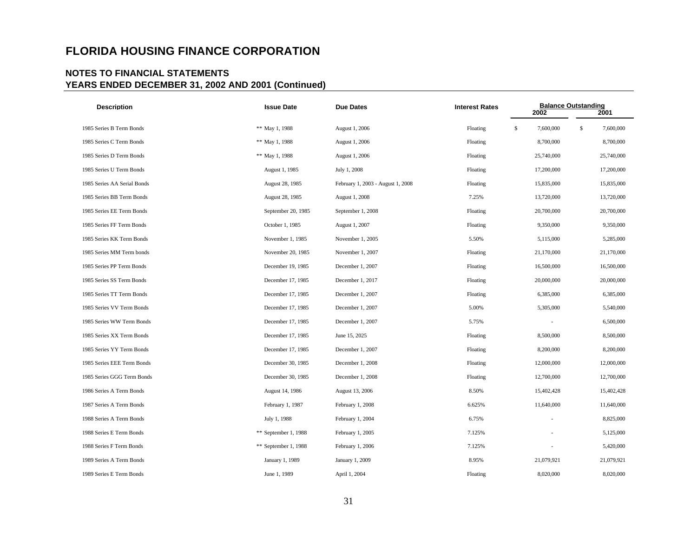| <b>Description</b>          | <b>Issue Date</b>    | <b>Due Dates</b>                  | <b>Interest Rates</b> | <b>Balance Outstanding</b><br>2002 | 2001            |
|-----------------------------|----------------------|-----------------------------------|-----------------------|------------------------------------|-----------------|
| 1985 Series B Term Bonds    | ** May 1, 1988       | August 1, 2006                    | Floating              | \$<br>7,600,000                    | \$<br>7,600,000 |
| 1985 Series C Term Bonds    | ** May 1, 1988       | August 1, 2006                    | Floating              | 8,700,000                          | 8,700,000       |
| 1985 Series D Term Bonds    | ** May 1, 1988       | August 1, 2006                    | Floating              | 25,740,000                         | 25,740,000      |
| 1985 Series U Term Bonds    | August 1, 1985       | July 1, 2008                      | Floating              | 17,200,000                         | 17,200,000      |
| 1985 Series AA Serial Bonds | August 28, 1985      | February 1, 2003 - August 1, 2008 | Floating              | 15,835,000                         | 15,835,000      |
| 1985 Series BB Term Bonds   | August 28, 1985      | August 1, 2008                    | 7.25%                 | 13,720,000                         | 13,720,000      |
| 1985 Series EE Term Bonds   | September 20, 1985   | September 1, 2008                 | Floating              | 20,700,000                         | 20,700,000      |
| 1985 Series FF Term Bonds   | October 1, 1985      | August 1, 2007                    | Floating              | 9,350,000                          | 9,350,000       |
| 1985 Series KK Term Bonds   | November 1, 1985     | November 1, 2005                  | 5.50%                 | 5,115,000                          | 5,285,000       |
| 1985 Series MM Term bonds   | November 20, 1985    | November 1, 2007                  | Floating              | 21,170,000                         | 21,170,000      |
| 1985 Series PP Term Bonds   | December 19, 1985    | December 1, 2007                  | Floating              | 16,500,000                         | 16,500,000      |
| 1985 Series SS Term Bonds   | December 17, 1985    | December 1, 2017                  | Floating              | 20,000,000                         | 20,000,000      |
| 1985 Series TT Term Bonds   | December 17, 1985    | December 1, 2007                  | Floating              | 6,385,000                          | 6,385,000       |
| 1985 Series VV Term Bonds   | December 17, 1985    | December 1, 2007                  | 5.00%                 | 5,305,000                          | 5,540,000       |
| 1985 Series WW Term Bonds   | December 17, 1985    | December 1, 2007                  | 5.75%                 |                                    | 6,500,000       |
| 1985 Series XX Term Bonds   | December 17, 1985    | June 15, 2025                     | Floating              | 8,500,000                          | 8,500,000       |
| 1985 Series YY Term Bonds   | December 17, 1985    | December 1, 2007                  | Floating              | 8,200,000                          | 8,200,000       |
| 1985 Series EEE Term Bonds  | December 30, 1985    | December 1, 2008                  | Floating              | 12,000,000                         | 12,000,000      |
| 1985 Series GGG Term Bonds  | December 30, 1985    | December 1, 2008                  | Floating              | 12,700,000                         | 12,700,000      |
| 1986 Series A Term Bonds    | August 14, 1986      | August 13, 2006                   | 8.50%                 | 15,402,428                         | 15,402,428      |
| 1987 Series A Term Bonds    | February 1, 1987     | February 1, 2008                  | 6.625%                | 11,640,000                         | 11,640,000      |
| 1988 Series A Term Bonds    | July 1, 1988         | February 1, 2004                  | 6.75%                 |                                    | 8,825,000       |
| 1988 Series E Term Bonds    | ** September 1, 1988 | February 1, 2005                  | 7.125%                |                                    | 5,125,000       |
| 1988 Series F Term Bonds    | ** September 1, 1988 | February 1, 2006                  | 7.125%                |                                    | 5,420,000       |
| 1989 Series A Term Bonds    | January 1, 1989      | January 1, 2009                   | 8.95%                 | 21,079,921                         | 21,079,921      |
| 1989 Series E Term Bonds    | June 1, 1989         | April 1, 2004                     | Floating              | 8,020,000                          | 8,020,000       |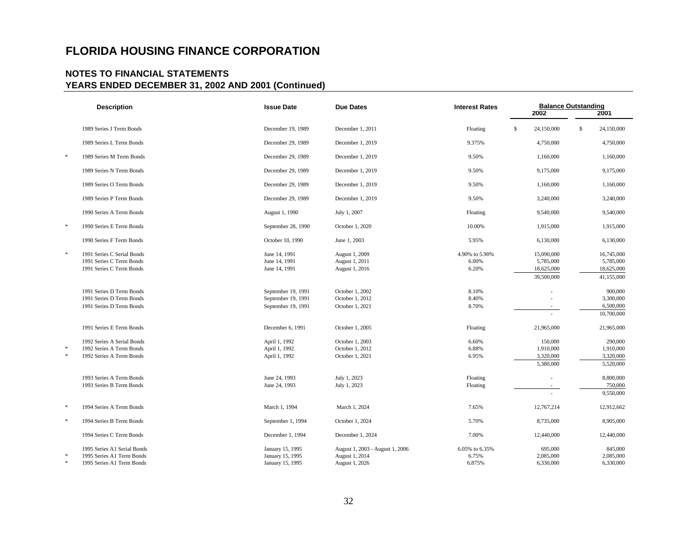|                  | <b>Description</b>                                                                    | <b>Issue Date</b>                                              | <b>Due Dates</b>                                                    | <b>Balance Outstanding</b><br><b>Interest Rates</b><br>2002 |    |                                                     |    |                                                     |  | 2001 |
|------------------|---------------------------------------------------------------------------------------|----------------------------------------------------------------|---------------------------------------------------------------------|-------------------------------------------------------------|----|-----------------------------------------------------|----|-----------------------------------------------------|--|------|
|                  | 1989 Series J Term Bonds                                                              | December 19, 1989                                              | December 1, 2011                                                    | Floating                                                    | \$ | 24,150,000                                          | \$ | 24,150,000                                          |  |      |
|                  | 1989 Series L Term Bonds                                                              | December 29, 1989                                              | December 1, 2019                                                    | 9.375%                                                      |    | 4,750,000                                           |    | 4,750,000                                           |  |      |
| $\ast$           | 1989 Series M Term Bonds                                                              | December 29, 1989                                              | December 1, 2019                                                    | 9.50%                                                       |    | 1,160,000                                           |    | 1,160,000                                           |  |      |
|                  | 1989 Series N Term Bonds                                                              | December 29, 1989                                              | December 1, 2019                                                    | 9.50%                                                       |    | 9,175,000                                           |    | 9,175,000                                           |  |      |
|                  | 1989 Series O Term Bonds                                                              | December 29, 1989                                              | December 1, 2019                                                    | 9.50%                                                       |    | 1,160,000                                           |    | 1,160,000                                           |  |      |
|                  | 1989 Series P Term Bonds                                                              | December 29, 1989                                              | December 1, 2019                                                    | 9.50%                                                       |    | 3,240,000                                           |    | 3,240,000                                           |  |      |
|                  | 1990 Series A Term Bonds                                                              | August 1, 1990                                                 | July 1, 2007                                                        | Floating                                                    |    | 9,540,000                                           |    | 9,540,000                                           |  |      |
| $\ast$           | 1990 Series E Term Bonds                                                              | September 28, 1990                                             | October 1, 2020                                                     | 10.00%                                                      |    | 1,915,000                                           |    | 1,915,000                                           |  |      |
|                  | 1990 Series F Term Bonds                                                              | October 10, 1990                                               | June 1, 2003                                                        | 5.95%                                                       |    | 6,130,000                                           |    | 6,130,000                                           |  |      |
| $\ast$           | 1991 Series C Serial Bonds<br>1991 Series C Term Bonds<br>1991 Series C Term Bonds    | June 14, 1991<br>June 14, 1991<br>June 14, 1991                | August 1, 2009<br>August 1, 2011<br>August 1, 2016                  | 4.90% to 5.90%<br>6.00%<br>6.20%                            |    | 15,090,000<br>5,785,000<br>18,625,000<br>39,500,000 |    | 16,745,000<br>5,785,000<br>18,625,000<br>41,155,000 |  |      |
|                  | 1991 Series D Term Bonds<br>1991 Series D Term Bonds<br>1991 Series D Term Bonds      | September 19, 1991<br>September 19, 1991<br>September 19, 1991 | October 1, 2002<br>October 1, 2012<br>October 1, 2021               | 8.10%<br>8.40%<br>8.70%                                     |    |                                                     |    | 900,000<br>3,300,000<br>6,500,000<br>10,700,000     |  |      |
|                  | 1991 Series E Term Bonds                                                              | December 6, 1991                                               | October 1, 2005                                                     | Floating                                                    |    | 21,965,000                                          |    | 21,965,000                                          |  |      |
| $\ast$<br>$\ast$ | 1992 Series A Serial Bonds<br>1992 Series A Term Bonds<br>1992 Series A Term Bonds    | April 1, 1992<br>April 1, 1992<br>April 1, 1992                | October 1, 2003<br>October 1, 2012<br>October 1, 2021               | 6.60%<br>6.88%<br>6.95%                                     |    | 150,000<br>1,910,000<br>3,320,000<br>5,380,000      |    | 290,000<br>1,910,000<br>3,320,000<br>5,520,000      |  |      |
|                  | 1993 Series A Term Bonds<br>1993 Series B Term Bonds                                  | June 24, 1993<br>June 24, 1993                                 | July 1, 2023<br>July 1, 2023                                        | Floating<br>Floating                                        |    |                                                     |    | 8,800,000<br>750,000<br>9,550,000                   |  |      |
| $\ast$           | 1994 Series A Term Bonds                                                              | March 1, 1994                                                  | March 1, 2024                                                       | 7.65%                                                       |    | 12,767,214                                          |    | 12,912,662                                          |  |      |
| $\ast$           | 1994 Series B Term Bonds                                                              | September 1, 1994                                              | October 1, 2024                                                     | 5.70%                                                       |    | 8,735,000                                           |    | 8,905,000                                           |  |      |
|                  | 1994 Series C Term Bonds                                                              | December 1, 1994                                               | December 1, 2024                                                    | 7.00%                                                       |    | 12,440,000                                          |    | 12,440,000                                          |  |      |
| 宋                | 1995 Series A1 Serial Bonds<br>1995 Series A1 Term Bonds<br>1995 Series A1 Term Bonds | January 15, 1995<br>January 15, 1995<br>January 15, 1995       | August 1, 2003 - August 1, 2006<br>August 1, 2014<br>August 1, 2026 | 6.05% to 6.35%<br>6.75%<br>6.875%                           |    | 695,000<br>2,085,000<br>6,330,000                   |    | 845,000<br>2,085,000<br>6,330,000                   |  |      |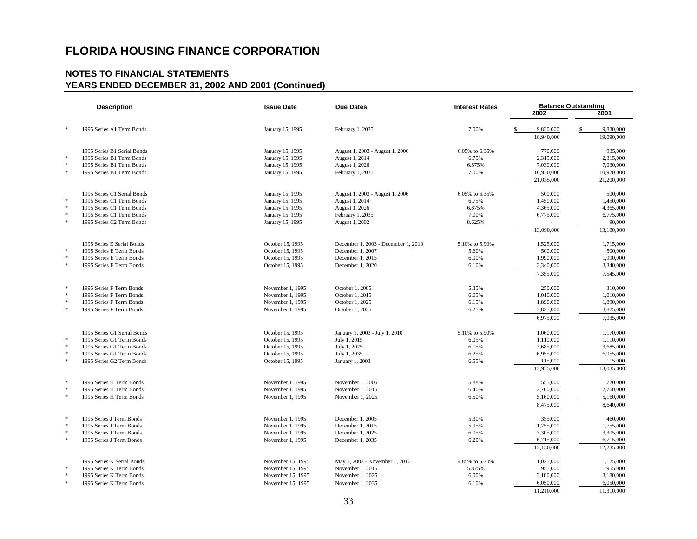| <b>Description</b> |                             | <b>Issue Date</b> | <b>Due Dates</b>                    | <b>Interest Rates</b> | <b>Balance Outstanding</b> |                 |  |
|--------------------|-----------------------------|-------------------|-------------------------------------|-----------------------|----------------------------|-----------------|--|
|                    |                             |                   |                                     |                       | 2002                       | 2001            |  |
| $\ast$             | 1995 Series A1 Term Bonds   | January 15, 1995  | February 1, 2035                    | 7.00%                 | \$<br>9,830,000            | \$<br>9,830,000 |  |
|                    |                             |                   |                                     |                       | 18,940,000                 | 19,090,000      |  |
|                    | 1995 Series B1 Serial Bonds | January 15, 1995  | August 1, 2003 - August 1, 2006     | 6.05% to 6.35%        | 770,000                    | 935,000         |  |
| $\ast$             | 1995 Series B1 Term Bonds   | January 15, 1995  | August 1, 2014                      | 6.75%                 | 2,315,000                  | 2,315,000       |  |
| $\ast$             | 1995 Series B1 Term Bonds   | January 15, 1995  | August 1, 2026                      | 6.875%                | 7,030,000                  | 7,030,000       |  |
| $\ast$             | 1995 Series B1 Term Bonds   | January 15, 1995  | February 1, 2035                    | 7.00%                 | 10,920,000                 | 10,920,000      |  |
|                    |                             |                   |                                     |                       | 21,035,000                 | 21,200,000      |  |
|                    | 1995 Series C1 Serial Bonds | January 15, 1995  | August 1, 2003 - August 1, 2006     | 6.05% to 6.35%        | 500,000                    | 500,000         |  |
| $\ast$             | 1995 Series C1 Term Bonds   | January 15, 1995  | August 1, 2014                      | 6.75%                 | 1,450,000                  | 1,450,000       |  |
| $\ast$             | 1995 Series C1 Term Bonds   | January 15, 1995  | August 1, 2026                      | 6.875%                | 4,365,000                  | 4,365,000       |  |
| $\ast$             | 1995 Series C1 Term Bonds   | January 15, 1995  | February 1, 2035                    | 7.00%                 | 6,775,000                  | 6,775,000       |  |
| $\ast$             | 1995 Series C2 Term Bonds   | January 15, 1995  | August 1, 2002                      | 8.625%                |                            | 90,000          |  |
|                    |                             |                   |                                     |                       | 13,090,000                 | 13,180,000      |  |
|                    | 1995 Series E Serial Bonds  | October 15, 1995  | December 1, 2003 - December 1, 2010 | 5.10% to 5.90%        | 1,525,000                  | 1,715,000       |  |
| $\ast$             | 1995 Series E Term Bonds    | October 15, 1995  | December 1, 2007                    | 5.60%                 | 500,000                    | 500,000         |  |
| $\ast$             | 1995 Series E Term Bonds    | October 15, 1995  | December 1, 2015                    | 6.00%                 | 1,990,000                  | 1,990,000       |  |
| $\ast$             | 1995 Series E Term Bonds    | October 15, 1995  | December 1, 2020                    | 6.10%                 | 3,340,000                  | 3,340,000       |  |
|                    |                             |                   |                                     |                       | 7,355,000                  | 7,545,000       |  |
| $\ast$             | 1995 Series F Term Bonds    | November 1, 1995  | October 1, 2005                     | 5.35%                 | 250,000                    | 310,000         |  |
| $\ast$             | 1995 Series F Term Bonds    | November 1, 1995  | October 1, 2015                     | 6.05%                 | 1,010,000                  | 1,010,000       |  |
| $\ast$             | 1995 Series F Term Bonds    | November 1, 1995  | October 1, 2025                     | 6.15%                 | 1,890,000                  | 1,890,000       |  |
| $\ast$             | 1995 Series F Term Bonds    | November 1, 1995  | October 1, 2035                     | 6.25%                 | 3,825,000                  | 3,825,000       |  |
|                    |                             |                   |                                     |                       | 6,975,000                  | 7,035,000       |  |
|                    | 1995 Series G1 Serial Bonds | October 15, 1995  | January 1, 2003 - July 1, 2010      | 5.10% to 5.90%        | 1,060,000                  | 1,170,000       |  |
| $\ast$             | 1995 Series G1 Term Bonds   | October 15, 1995  | July 1, 2015                        | 6.05%                 | 1,110,000                  | 1,110,000       |  |
| $\ast$             | 1995 Series G1 Term Bonds   | October 15, 1995  | July 1, 2025                        | 6.15%                 | 3,685,000                  | 3,685,000       |  |
| $\ast$             | 1995 Series G1 Term Bonds   | October 15, 1995  | July 1, 2035                        | 6.25%                 | 6,955,000                  | 6,955,000       |  |
| $\ast$             | 1995 Series G2 Term Bonds   | October 15, 1995  | January 1, 2003                     | 6.55%                 | 115,000                    | 115,000         |  |
|                    |                             |                   |                                     |                       | 12,925,000                 | 13,035,000      |  |
| $\ast$             | 1995 Series H Term Bonds    | November 1, 1995  | November 1, 2005                    | 5.88%                 | 555,000                    | 720,000         |  |
| $\ast$             | 1995 Series H Term Bonds    | November 1, 1995  | November 1, 2015                    | 6.40%                 | 2,760,000                  | 2,760,000       |  |
| $\ast$             | 1995 Series H Term Bonds    | November 1, 1995  | November 1, 2025                    | 6.50%                 | 5,160,000                  | 5,160,000       |  |
|                    |                             |                   |                                     |                       | 8,475,000                  | 8,640,000       |  |
| $\ast$             | 1995 Series J Term Bonds    | November 1, 1995  | December 1, 2005                    | 5.30%                 | 355,000                    | 460,000         |  |
| $\ast$             | 1995 Series J Term Bonds    | November 1, 1995  | December 1, 2015                    | 5.95%                 | 1,755,000                  | 1,755,000       |  |
| $\ast$             | 1995 Series J Term Bonds    | November 1, 1995  | December 1, 2025                    | 6.05%                 | 3,305,000                  | 3,305,000       |  |
| $\ast$             | 1995 Series J Term Bonds    | November 1, 1995  | December 1, 2035                    | 6.20%                 | 6,715,000                  | 6,715,000       |  |
|                    |                             |                   |                                     |                       | 12,130,000                 | 12,235,000      |  |
|                    | 1995 Series K Serial Bonds  | November 15, 1995 | May 1, 2003 - November 1, 2010      | 4.85% to 5.70%        | 1,025,000                  | 1,125,000       |  |
| $\ast$             | 1995 Series K Term Bonds    | November 15, 1995 | November 1, 2015                    | 5.875%                | 955,000                    | 955,000         |  |
| $\ast$             | 1995 Series K Term Bonds    | November 15, 1995 | November 1, 2025                    | 6.00%                 | 3,180,000                  | 3,180,000       |  |
| $\ast$             | 1995 Series K Term Bonds    | November 15, 1995 | November 1, 2035                    | 6.10%                 | 6,050,000                  | 6,050,000       |  |
|                    |                             |                   |                                     |                       | 11,210,000                 | 11,310,000      |  |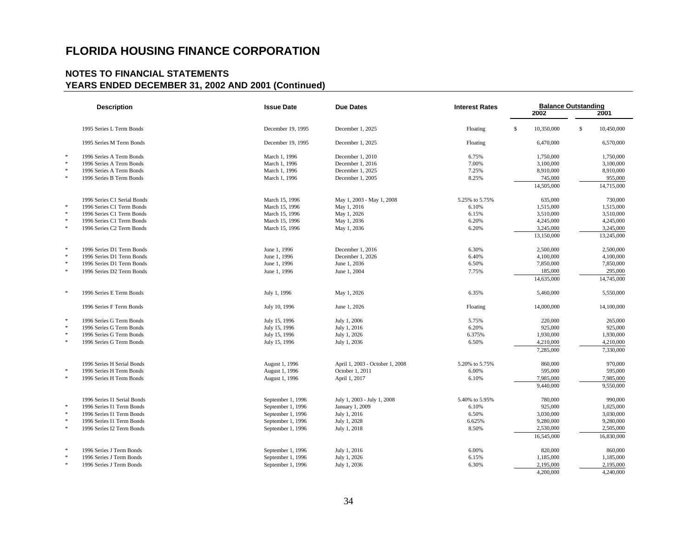|              | <b>Description</b>          | <b>Issue Date</b> | <b>Due Dates</b>                | <b>Interest Rates</b> | <b>Balance Outstanding</b><br>2002 |            |    |            |
|--------------|-----------------------------|-------------------|---------------------------------|-----------------------|------------------------------------|------------|----|------------|
|              |                             |                   |                                 |                       |                                    |            |    | 2001       |
|              | 1995 Series L Term Bonds    | December 19, 1995 | December 1, 2025                | Floating              | \$                                 | 10,350,000 | \$ | 10,450,000 |
|              | 1995 Series M Term Bonds    | December 19, 1995 | December 1, 2025                | Floating              |                                    | 6,470,000  |    | 6,570,000  |
| $\ast$       | 1996 Series A Term Bonds    | March 1, 1996     | December 1, 2010                | 6.75%                 |                                    | 1,750,000  |    | 1,750,000  |
| $\ast$       | 1996 Series A Term Bonds    | March 1, 1996     | December 1, 2016                | 7.00%                 |                                    | 3,100,000  |    | 3,100,000  |
| $\ast$       | 1996 Series A Term Bonds    | March 1, 1996     | December 1, 2025                | 7.25%                 |                                    | 8,910,000  |    | 8,910,000  |
| $\ast$       | 1996 Series B Term Bonds    | March 1, 1996     | December 1, 2005                | 8.25%                 |                                    | 745,000    |    | 955,000    |
|              |                             |                   |                                 |                       |                                    | 14,505,000 |    | 14,715,000 |
|              | 1996 Series C1 Serial Bonds | March 15, 1996    | May 1, 2003 - May 1, 2008       | 5.25% to 5.75%        |                                    | 635,000    |    | 730,000    |
| $\ast$       | 1996 Series C1 Term Bonds   | March 15, 1996    | May 1, 2016                     | 6.10%                 |                                    | 1,515,000  |    | 1,515,000  |
| $\ast$       | 1996 Series C1 Term Bonds   | March 15, 1996    | May 1, 2026                     | 6.15%                 |                                    | 3,510,000  |    | 3,510,000  |
| $\ast$       | 1996 Series C1 Term Bonds   | March 15, 1996    | May 1, 2036                     | 6.20%                 |                                    | 4,245,000  |    | 4,245,000  |
| $\ast$       | 1996 Series C2 Term Bonds   | March 15, 1996    | May 1, 2036                     | 6.20%                 |                                    | 3,245,000  |    | 3,245,000  |
|              |                             |                   |                                 |                       |                                    | 13,150,000 |    | 13,245,000 |
| $\ast$       | 1996 Series D1 Term Bonds   | June 1, 1996      | December 1, 2016                | 6.30%                 |                                    | 2,500,000  |    | 2,500,000  |
| $\ast$       | 1996 Series D1 Term Bonds   | June 1, 1996      | December 1, 2026                | 6.40%                 |                                    | 4,100,000  |    | 4,100,000  |
| $\ast$       | 1996 Series D1 Term Bonds   | June 1, 1996      | June 1, 2036                    | 6.50%                 |                                    | 7,850,000  |    | 7,850,000  |
| $\ast$       | 1996 Series D2 Term Bonds   | June 1, 1996      | June 1, 2004                    | 7.75%                 |                                    | 185,000    |    | 295,000    |
|              |                             |                   |                                 |                       |                                    | 14,635,000 |    | 14,745,000 |
| $\ast$       | 1996 Series E Term Bonds    | July 1, 1996      | May 1, 2026                     | 6.35%                 |                                    | 5,460,000  |    | 5,550,000  |
|              | 1996 Series F Term Bonds    | July 10, 1996     | June 1, 2026                    | Floating              |                                    | 14,000,000 |    | 14,100,000 |
| $\ast$       | 1996 Series G Term Bonds    | July 15, 1996     | July 1, 2006                    | 5.75%                 |                                    | 220,000    |    | 265,000    |
| $\ast$       | 1996 Series G Term Bonds    | July 15, 1996     | July 1, 2016                    | 6.20%                 |                                    | 925,000    |    | 925,000    |
| $\ast$       | 1996 Series G Term Bonds    | July 15, 1996     | July 1, 2026                    | 6.375%                |                                    | 1,930,000  |    | 1,930,000  |
| $\ast$       | 1996 Series G Term Bonds    | July 15, 1996     | July 1, 2036                    | 6.50%                 |                                    | 4,210,000  |    | 4,210,000  |
|              |                             |                   |                                 |                       |                                    | 7,285,000  |    | 7,330,000  |
|              | 1996 Series H Serial Bonds  | August 1, 1996    | April 1, 2003 - October 1, 2008 | 5.20% to 5.75%        |                                    | 860,000    |    | 970,000    |
| $\ast$       | 1996 Series H Term Bonds    | August 1, 1996    | October 1, 2011                 | 6.00%                 |                                    | 595,000    |    | 595,000    |
| $\ast$       | 1996 Series H Term Bonds    | August 1, 1996    | April 1, 2017                   | 6.10%                 |                                    | 7,985,000  |    | 7,985,000  |
|              |                             |                   |                                 |                       |                                    | 9,440,000  |    | 9,550,000  |
|              | 1996 Series I1 Serial Bonds | September 1, 1996 | July 1, 2003 - July 1, 2008     | 5.40% to 5.95%        |                                    | 780,000    |    | 990,000    |
| $\ast$       | 1996 Series I1 Term Bonds   | September 1, 1996 | January 1, 2009                 | 6.10%                 |                                    | 925,000    |    | 1,025,000  |
| $\ast$       | 1996 Series I1 Term Bonds   | September 1, 1996 | July 1, 2016                    | 6.50%                 |                                    | 3,030,000  |    | 3,030,000  |
| $\ast$       | 1996 Series I1 Term Bonds   | September 1, 1996 | July 1, 2028                    | 6.625%                |                                    | 9,280,000  |    | 9,280,000  |
| $\ast$       | 1996 Series I2 Term Bonds   | September 1, 1996 | July 1, 2018                    | 8.50%                 |                                    | 2,530,000  |    | 2,505,000  |
|              |                             |                   |                                 |                       |                                    | 16,545,000 |    | 16,830,000 |
| $\mathbf{r}$ | 1996 Series J Term Bonds    | September 1, 1996 | July 1, 2016                    | 6.00%                 |                                    | 820,000    |    | 860,000    |
|              | 1996 Series J Term Bonds    | September 1, 1996 | July 1, 2026                    | 6.15%                 |                                    | 1,185,000  |    | 1,185,000  |
|              | 1996 Series J Term Bonds    | September 1, 1996 | July 1, 2036                    | 6.30%                 |                                    | 2,195,000  |    | 2,195,000  |
|              |                             |                   |                                 |                       |                                    | 4,200,000  |    | 4,240,000  |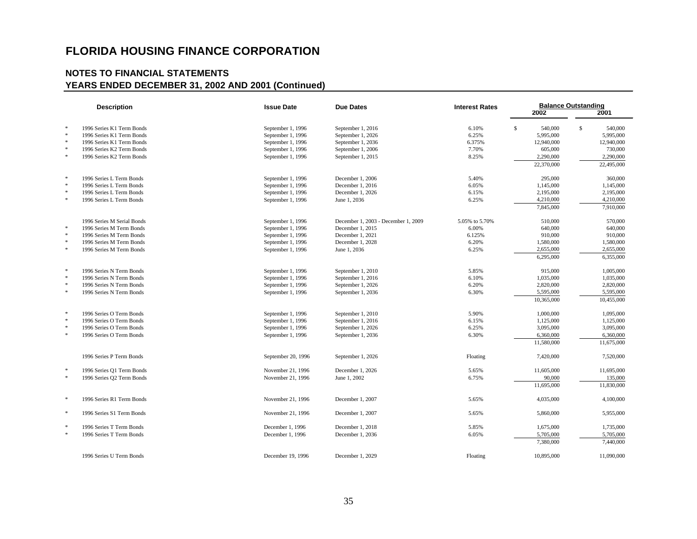| <b>Description</b> |                            | <b>Issue Date</b>  | <b>Due Dates</b>                    | <b>Interest Rates</b> | <b>Balance Outstanding</b><br>2002<br>2001 |    |            |
|--------------------|----------------------------|--------------------|-------------------------------------|-----------------------|--------------------------------------------|----|------------|
| $\ast$             | 1996 Series K1 Term Bonds  | September 1, 1996  | September 1, 2016                   | 6.10%                 | \$<br>540,000                              | \$ | 540,000    |
| $\ast$             | 1996 Series K1 Term Bonds  | September 1, 1996  | September 1, 2026                   | 6.25%                 | 5,995,000                                  |    | 5,995,000  |
| $\ast$             | 1996 Series K1 Term Bonds  | September 1, 1996  | September 1, 2036                   | 6.375%                | 12,940,000                                 |    | 12,940,000 |
| $\ast$             | 1996 Series K2 Term Bonds  | September 1, 1996  | September 1, 2006                   | 7.70%                 | 605,000                                    |    | 730,000    |
| $\ast$             | 1996 Series K2 Term Bonds  | September 1, 1996  | September 1, 2015                   | 8.25%                 | 2,290,000                                  |    | 2,290,000  |
|                    |                            |                    |                                     |                       | 22,370,000                                 |    | 22,495,000 |
|                    |                            |                    |                                     |                       |                                            |    |            |
| $\ast$             | 1996 Series L Term Bonds   | September 1, 1996  | December 1, 2006                    | 5.40%                 | 295,000                                    |    | 360,000    |
| $\ast$             | 1996 Series L Term Bonds   | September 1, 1996  | December 1, 2016                    | 6.05%                 | 1,145,000                                  |    | 1,145,000  |
| $\ast$             | 1996 Series L Term Bonds   | September 1, 1996  | December 1, 2026                    | 6.15%                 | 2,195,000                                  |    | 2,195,000  |
| $\ast$             | 1996 Series L Term Bonds   | September 1, 1996  | June 1, 2036                        | 6.25%                 | 4,210,000                                  |    | 4,210,000  |
|                    |                            |                    |                                     |                       | 7,845,000                                  |    | 7,910,000  |
|                    | 1996 Series M Serial Bonds | September 1, 1996  | December 1, 2003 - December 1, 2009 | 5.05% to 5.70%        | 510,000                                    |    | 570,000    |
| $\ast$             | 1996 Series M Term Bonds   | September 1, 1996  | December 1, 2015                    | 6.00%                 | 640,000                                    |    | 640,000    |
| $\ast$             | 1996 Series M Term Bonds   | September 1, 1996  | December 1, 2021                    | 6.125%                | 910,000                                    |    | 910,000    |
| $\ast$             | 1996 Series M Term Bonds   | September 1, 1996  | December 1, 2028                    | 6.20%                 | 1,580,000                                  |    | 1,580,000  |
| $\ast$             | 1996 Series M Term Bonds   | September 1, 1996  | June 1, 2036                        | 6.25%                 | 2,655,000                                  |    | 2,655,000  |
|                    |                            |                    |                                     |                       | 6,295,000                                  |    | 6,355,000  |
| $\ast$             | 1996 Series N Term Bonds   | September 1, 1996  | September 1, 2010                   | 5.85%                 | 915,000                                    |    | 1,005,000  |
| $\ast$             | 1996 Series N Term Bonds   | September 1, 1996  | September 1, 2016                   | 6.10%                 | 1,035,000                                  |    | 1,035,000  |
| $\ast$             | 1996 Series N Term Bonds   | September 1, 1996  | September 1, 2026                   | 6.20%                 | 2,820,000                                  |    | 2,820,000  |
| $\ast$             | 1996 Series N Term Bonds   | September 1, 1996  | September 1, 2036                   | 6.30%                 | 5,595,000                                  |    | 5,595,000  |
|                    |                            |                    |                                     |                       | 10.365,000                                 |    | 10.455,000 |
|                    |                            |                    |                                     |                       |                                            |    |            |
| $\ast$             | 1996 Series O Term Bonds   | September 1, 1996  | September 1, 2010                   | 5.90%                 | 1,000,000                                  |    | 1,095,000  |
| $\ast$             | 1996 Series O Term Bonds   | September 1, 1996  | September 1, 2016                   | 6.15%                 | 1,125,000                                  |    | 1,125,000  |
| $\ast$             | 1996 Series O Term Bonds   | September 1, 1996  | September 1, 2026                   | 6.25%                 | 3,095,000                                  |    | 3,095,000  |
| $\ast$             | 1996 Series O Term Bonds   | September 1, 1996  | September 1, 2036                   | 6.30%                 | 6,360,000                                  |    | 6,360,000  |
|                    |                            |                    |                                     |                       | 11,580,000                                 |    | 11,675,000 |
|                    | 1996 Series P Term Bonds   | September 20, 1996 | September 1, 2026                   | Floating              | 7,420,000                                  |    | 7,520,000  |
| $\ast$             | 1996 Series Q1 Term Bonds  | November 21, 1996  | December 1, 2026                    | 5.65%                 | 11,605,000                                 |    | 11,695,000 |
| $\ast$             | 1996 Series Q2 Term Bonds  | November 21, 1996  | June 1, 2002                        | 6.75%                 | 90,000                                     |    | 135,000    |
|                    |                            |                    |                                     |                       | 11,695,000                                 |    | 11,830,000 |
| $\ast$             | 1996 Series R1 Term Bonds  | November 21, 1996  | December 1, 2007                    | 5.65%                 | 4,035,000                                  |    | 4,100,000  |
| $\ast$             | 1996 Series S1 Term Bonds  | November 21, 1996  | December 1, 2007                    | 5.65%                 | 5,860,000                                  |    | 5,955,000  |
| $\ast$             | 1996 Series T Term Bonds   | December 1, 1996   | December 1, 2018                    | 5.85%                 | 1,675,000                                  |    | 1,735,000  |
| $\ast$             | 1996 Series T Term Bonds   | December 1, 1996   | December 1, 2036                    | 6.05%                 | 5,705,000                                  |    | 5,705,000  |
|                    |                            |                    |                                     |                       | 7,380,000                                  |    | 7,440,000  |
|                    |                            |                    |                                     |                       |                                            |    |            |
|                    | 1996 Series U Term Bonds   | December 19, 1996  | December 1, 2029                    | Floating              | 10,895,000                                 |    | 11,090,000 |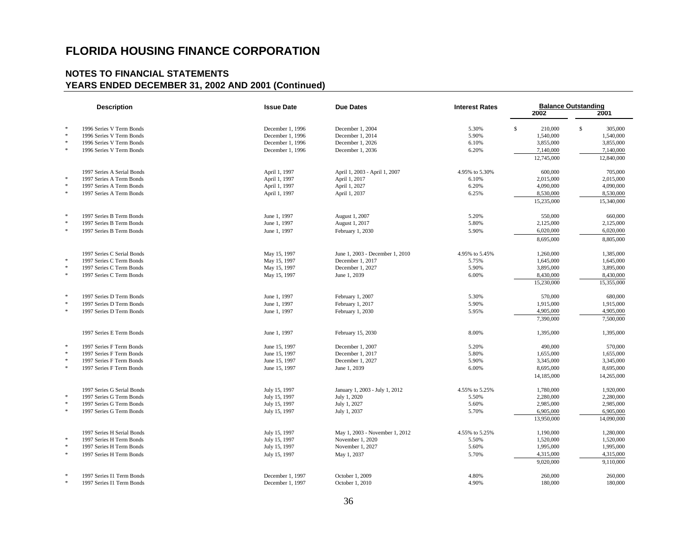| $\ast$<br>1996 Series V Term Bonds<br>\$<br>210,000<br>\$<br>305,000<br>December 1, 1996<br>December 1, 2004<br>5.30%<br>$\ast$<br>December 1, 1996<br>December 1, 2014<br>5.90%<br>1,540,000<br>1996 Series V Term Bonds<br>1,540,000<br>$\ast$<br>1996 Series V Term Bonds<br>December 1, 1996<br>December 1, 2026<br>6.10%<br>3,855,000<br>3,855,000<br>$\ast$<br>1996 Series V Term Bonds<br>December 1, 1996<br>December 1, 2036<br>6.20%<br>7,140,000<br>7,140,000<br>12,745,000<br>12,840,000<br>1997 Series A Serial Bonds<br>April 1, 1997<br>4.95% to 5.30%<br>705,000<br>April 1, 2003 - April 1, 2007<br>600,000<br>$\ast$<br>April 1, 1997<br>1997 Series A Term Bonds<br>April 1, 2017<br>6.10%<br>2,015,000<br>2,015,000<br>$\ast$<br>1997 Series A Term Bonds<br>April 1, 1997<br>April 1, 2027<br>6.20%<br>4,090,000<br>4,090,000<br>$\ast$<br>1997 Series A Term Bonds<br>April 1, 1997<br>6.25%<br>8,530,000<br>8,530,000<br>April 1, 2037<br>15,235,000<br>15,340,000<br>$\ast$<br>1997 Series B Term Bonds<br>June 1, 1997<br>5.20%<br>August 1, 2007<br>550,000<br>660,000<br>$\ast$<br>1997 Series B Term Bonds<br>June 1, 1997<br>August 1, 2017<br>5.80%<br>2,125,000<br>2,125,000<br>$\ast$<br>1997 Series B Term Bonds<br>June 1, 1997<br>6,020,000<br>6,020,000<br>February 1, 2030<br>5.90%<br>8,695,000<br>8,805,000<br>1997 Series C Serial Bonds<br>May 15, 1997<br>June 1, 2003 - December 1, 2010<br>4.95% to 5.45%<br>1,260,000<br>1,385,000<br>$\ast$<br>1997 Series C Term Bonds<br>May 15, 1997<br>December 1, 2017<br>5.75%<br>1,645,000<br>1,645,000<br>$\ast$<br>5.90%<br>1997 Series C Term Bonds<br>May 15, 1997<br>December 1, 2027<br>3,895,000<br>3,895,000<br>$\ast$<br>6.00%<br>8,430,000<br>1997 Series C Term Bonds<br>May 15, 1997<br>June 1, 2039<br>8,430,000<br>15,230,000<br>15,355,000<br>$\ast$<br>1997 Series D Term Bonds<br>June 1, 1997<br>February 1, 2007<br>5.30%<br>570,000<br>680,000<br>$\ast$<br>June 1, 1997<br>5.90%<br>1997 Series D Term Bonds<br>February 1, 2017<br>1,915,000<br>1,915,000<br>$\ast$<br>4,905,000<br>4,905,000<br>1997 Series D Term Bonds<br>June 1, 1997<br>February 1, 2030<br>5.95%<br>7,390,000<br>7,500,000<br>1997 Series E Term Bonds<br>June 1, 1997<br>8.00%<br>1,395,000<br>February 15, 2030<br>1,395,000<br>December 1, 2007<br>未<br>1997 Series F Term Bonds<br>June 15, 1997<br>5.20%<br>490,000<br>570,000<br>$\,$ $\,$<br>1997 Series F Term Bonds<br>June 15, 1997<br>December 1, 2017<br>5.80%<br>1,655,000<br>1,655,000<br>$\ast$<br>1997 Series F Term Bonds<br>June 15, 1997<br>December 1, 2027<br>5.90%<br>3,345,000<br>3,345,000<br>$\ast$<br>8,695,000<br>8,695,000<br>1997 Series F Term Bonds<br>June 15, 1997<br>June 1, 2039<br>6.00%<br>14,265,000<br>14,185,000<br>1,920,000<br>1997 Series G Serial Bonds<br>July 15, 1997<br>January 1, 2003 - July 1, 2012<br>4.55% to 5.25%<br>1,780,000<br>$\ast$<br>1997 Series G Term Bonds<br>July 15, 1997<br>July 1, 2020<br>5.50%<br>2,280,000<br>2,280,000<br>$\ast$<br>1997 Series G Term Bonds<br>July 15, 1997<br>July 1, 2027<br>5.60%<br>2,985,000<br>2,985,000<br>$\ast$<br>1997 Series G Term Bonds<br>July 15, 1997<br>July 1, 2037<br>5.70%<br>6,905,000<br>6,905,000<br>14,090,000<br>13,950,000<br>1997 Series H Serial Bonds<br>July 15, 1997<br>May 1, 2003 - November 1, 2012<br>4.55% to 5.25%<br>1,190,000<br>1,280,000<br>$\ast$<br>1997 Series H Term Bonds<br>July 15, 1997<br>November 1, 2020<br>5.50%<br>1,520,000<br>1,520,000<br>$\ast$<br>1997 Series H Term Bonds<br>July 15, 1997<br>November 1, 2027<br>5.60%<br>1,995,000<br>1,995,000<br>$\ast$<br>4,315,000<br>4,315,000<br>1997 Series H Term Bonds<br>5.70%<br>July 15, 1997<br>May 1, 2037<br>9,020,000<br>9,110,000<br>$\ast$<br>1997 Series I1 Term Bonds<br>October 1, 2009<br>260,000<br>December 1, 1997<br>4.80%<br>260,000<br>$\ast$<br>180,000<br>180,000<br>1997 Series I1 Term Bonds<br>December 1, 1997<br>October 1, 2010<br>4.90% | <b>Description</b> | <b>Issue Date</b> | <b>Due Dates</b> | <b>Interest Rates</b> | <b>Balance Outstanding</b><br>2002<br>2001 |  |  |
|--------------------------------------------------------------------------------------------------------------------------------------------------------------------------------------------------------------------------------------------------------------------------------------------------------------------------------------------------------------------------------------------------------------------------------------------------------------------------------------------------------------------------------------------------------------------------------------------------------------------------------------------------------------------------------------------------------------------------------------------------------------------------------------------------------------------------------------------------------------------------------------------------------------------------------------------------------------------------------------------------------------------------------------------------------------------------------------------------------------------------------------------------------------------------------------------------------------------------------------------------------------------------------------------------------------------------------------------------------------------------------------------------------------------------------------------------------------------------------------------------------------------------------------------------------------------------------------------------------------------------------------------------------------------------------------------------------------------------------------------------------------------------------------------------------------------------------------------------------------------------------------------------------------------------------------------------------------------------------------------------------------------------------------------------------------------------------------------------------------------------------------------------------------------------------------------------------------------------------------------------------------------------------------------------------------------------------------------------------------------------------------------------------------------------------------------------------------------------------------------------------------------------------------------------------------------------------------------------------------------------------------------------------------------------------------------------------------------------------------------------------------------------------------------------------------------------------------------------------------------------------------------------------------------------------------------------------------------------------------------------------------------------------------------------------------------------------------------------------------------------------------------------------------------------------------------------------------------------------------------------------------------------------------------------------------------------------------------------------------------------------------------------------------------------------------------------------------------------------------------------------------------------------------------------------------------------------------------------------------------------------------------------------------------------------------------------------------------------------------------------------------------------------------------------------------------------------------------------------------------------------------------------------------------------------------------------------------------------------------------------------|--------------------|-------------------|------------------|-----------------------|--------------------------------------------|--|--|
|                                                                                                                                                                                                                                                                                                                                                                                                                                                                                                                                                                                                                                                                                                                                                                                                                                                                                                                                                                                                                                                                                                                                                                                                                                                                                                                                                                                                                                                                                                                                                                                                                                                                                                                                                                                                                                                                                                                                                                                                                                                                                                                                                                                                                                                                                                                                                                                                                                                                                                                                                                                                                                                                                                                                                                                                                                                                                                                                                                                                                                                                                                                                                                                                                                                                                                                                                                                                                                                                                                                                                                                                                                                                                                                                                                                                                                                                                                                                                                                                        |                    |                   |                  |                       |                                            |  |  |
|                                                                                                                                                                                                                                                                                                                                                                                                                                                                                                                                                                                                                                                                                                                                                                                                                                                                                                                                                                                                                                                                                                                                                                                                                                                                                                                                                                                                                                                                                                                                                                                                                                                                                                                                                                                                                                                                                                                                                                                                                                                                                                                                                                                                                                                                                                                                                                                                                                                                                                                                                                                                                                                                                                                                                                                                                                                                                                                                                                                                                                                                                                                                                                                                                                                                                                                                                                                                                                                                                                                                                                                                                                                                                                                                                                                                                                                                                                                                                                                                        |                    |                   |                  |                       |                                            |  |  |
|                                                                                                                                                                                                                                                                                                                                                                                                                                                                                                                                                                                                                                                                                                                                                                                                                                                                                                                                                                                                                                                                                                                                                                                                                                                                                                                                                                                                                                                                                                                                                                                                                                                                                                                                                                                                                                                                                                                                                                                                                                                                                                                                                                                                                                                                                                                                                                                                                                                                                                                                                                                                                                                                                                                                                                                                                                                                                                                                                                                                                                                                                                                                                                                                                                                                                                                                                                                                                                                                                                                                                                                                                                                                                                                                                                                                                                                                                                                                                                                                        |                    |                   |                  |                       |                                            |  |  |
|                                                                                                                                                                                                                                                                                                                                                                                                                                                                                                                                                                                                                                                                                                                                                                                                                                                                                                                                                                                                                                                                                                                                                                                                                                                                                                                                                                                                                                                                                                                                                                                                                                                                                                                                                                                                                                                                                                                                                                                                                                                                                                                                                                                                                                                                                                                                                                                                                                                                                                                                                                                                                                                                                                                                                                                                                                                                                                                                                                                                                                                                                                                                                                                                                                                                                                                                                                                                                                                                                                                                                                                                                                                                                                                                                                                                                                                                                                                                                                                                        |                    |                   |                  |                       |                                            |  |  |
|                                                                                                                                                                                                                                                                                                                                                                                                                                                                                                                                                                                                                                                                                                                                                                                                                                                                                                                                                                                                                                                                                                                                                                                                                                                                                                                                                                                                                                                                                                                                                                                                                                                                                                                                                                                                                                                                                                                                                                                                                                                                                                                                                                                                                                                                                                                                                                                                                                                                                                                                                                                                                                                                                                                                                                                                                                                                                                                                                                                                                                                                                                                                                                                                                                                                                                                                                                                                                                                                                                                                                                                                                                                                                                                                                                                                                                                                                                                                                                                                        |                    |                   |                  |                       |                                            |  |  |
|                                                                                                                                                                                                                                                                                                                                                                                                                                                                                                                                                                                                                                                                                                                                                                                                                                                                                                                                                                                                                                                                                                                                                                                                                                                                                                                                                                                                                                                                                                                                                                                                                                                                                                                                                                                                                                                                                                                                                                                                                                                                                                                                                                                                                                                                                                                                                                                                                                                                                                                                                                                                                                                                                                                                                                                                                                                                                                                                                                                                                                                                                                                                                                                                                                                                                                                                                                                                                                                                                                                                                                                                                                                                                                                                                                                                                                                                                                                                                                                                        |                    |                   |                  |                       |                                            |  |  |
|                                                                                                                                                                                                                                                                                                                                                                                                                                                                                                                                                                                                                                                                                                                                                                                                                                                                                                                                                                                                                                                                                                                                                                                                                                                                                                                                                                                                                                                                                                                                                                                                                                                                                                                                                                                                                                                                                                                                                                                                                                                                                                                                                                                                                                                                                                                                                                                                                                                                                                                                                                                                                                                                                                                                                                                                                                                                                                                                                                                                                                                                                                                                                                                                                                                                                                                                                                                                                                                                                                                                                                                                                                                                                                                                                                                                                                                                                                                                                                                                        |                    |                   |                  |                       |                                            |  |  |
|                                                                                                                                                                                                                                                                                                                                                                                                                                                                                                                                                                                                                                                                                                                                                                                                                                                                                                                                                                                                                                                                                                                                                                                                                                                                                                                                                                                                                                                                                                                                                                                                                                                                                                                                                                                                                                                                                                                                                                                                                                                                                                                                                                                                                                                                                                                                                                                                                                                                                                                                                                                                                                                                                                                                                                                                                                                                                                                                                                                                                                                                                                                                                                                                                                                                                                                                                                                                                                                                                                                                                                                                                                                                                                                                                                                                                                                                                                                                                                                                        |                    |                   |                  |                       |                                            |  |  |
|                                                                                                                                                                                                                                                                                                                                                                                                                                                                                                                                                                                                                                                                                                                                                                                                                                                                                                                                                                                                                                                                                                                                                                                                                                                                                                                                                                                                                                                                                                                                                                                                                                                                                                                                                                                                                                                                                                                                                                                                                                                                                                                                                                                                                                                                                                                                                                                                                                                                                                                                                                                                                                                                                                                                                                                                                                                                                                                                                                                                                                                                                                                                                                                                                                                                                                                                                                                                                                                                                                                                                                                                                                                                                                                                                                                                                                                                                                                                                                                                        |                    |                   |                  |                       |                                            |  |  |
|                                                                                                                                                                                                                                                                                                                                                                                                                                                                                                                                                                                                                                                                                                                                                                                                                                                                                                                                                                                                                                                                                                                                                                                                                                                                                                                                                                                                                                                                                                                                                                                                                                                                                                                                                                                                                                                                                                                                                                                                                                                                                                                                                                                                                                                                                                                                                                                                                                                                                                                                                                                                                                                                                                                                                                                                                                                                                                                                                                                                                                                                                                                                                                                                                                                                                                                                                                                                                                                                                                                                                                                                                                                                                                                                                                                                                                                                                                                                                                                                        |                    |                   |                  |                       |                                            |  |  |
|                                                                                                                                                                                                                                                                                                                                                                                                                                                                                                                                                                                                                                                                                                                                                                                                                                                                                                                                                                                                                                                                                                                                                                                                                                                                                                                                                                                                                                                                                                                                                                                                                                                                                                                                                                                                                                                                                                                                                                                                                                                                                                                                                                                                                                                                                                                                                                                                                                                                                                                                                                                                                                                                                                                                                                                                                                                                                                                                                                                                                                                                                                                                                                                                                                                                                                                                                                                                                                                                                                                                                                                                                                                                                                                                                                                                                                                                                                                                                                                                        |                    |                   |                  |                       |                                            |  |  |
|                                                                                                                                                                                                                                                                                                                                                                                                                                                                                                                                                                                                                                                                                                                                                                                                                                                                                                                                                                                                                                                                                                                                                                                                                                                                                                                                                                                                                                                                                                                                                                                                                                                                                                                                                                                                                                                                                                                                                                                                                                                                                                                                                                                                                                                                                                                                                                                                                                                                                                                                                                                                                                                                                                                                                                                                                                                                                                                                                                                                                                                                                                                                                                                                                                                                                                                                                                                                                                                                                                                                                                                                                                                                                                                                                                                                                                                                                                                                                                                                        |                    |                   |                  |                       |                                            |  |  |
|                                                                                                                                                                                                                                                                                                                                                                                                                                                                                                                                                                                                                                                                                                                                                                                                                                                                                                                                                                                                                                                                                                                                                                                                                                                                                                                                                                                                                                                                                                                                                                                                                                                                                                                                                                                                                                                                                                                                                                                                                                                                                                                                                                                                                                                                                                                                                                                                                                                                                                                                                                                                                                                                                                                                                                                                                                                                                                                                                                                                                                                                                                                                                                                                                                                                                                                                                                                                                                                                                                                                                                                                                                                                                                                                                                                                                                                                                                                                                                                                        |                    |                   |                  |                       |                                            |  |  |
|                                                                                                                                                                                                                                                                                                                                                                                                                                                                                                                                                                                                                                                                                                                                                                                                                                                                                                                                                                                                                                                                                                                                                                                                                                                                                                                                                                                                                                                                                                                                                                                                                                                                                                                                                                                                                                                                                                                                                                                                                                                                                                                                                                                                                                                                                                                                                                                                                                                                                                                                                                                                                                                                                                                                                                                                                                                                                                                                                                                                                                                                                                                                                                                                                                                                                                                                                                                                                                                                                                                                                                                                                                                                                                                                                                                                                                                                                                                                                                                                        |                    |                   |                  |                       |                                            |  |  |
|                                                                                                                                                                                                                                                                                                                                                                                                                                                                                                                                                                                                                                                                                                                                                                                                                                                                                                                                                                                                                                                                                                                                                                                                                                                                                                                                                                                                                                                                                                                                                                                                                                                                                                                                                                                                                                                                                                                                                                                                                                                                                                                                                                                                                                                                                                                                                                                                                                                                                                                                                                                                                                                                                                                                                                                                                                                                                                                                                                                                                                                                                                                                                                                                                                                                                                                                                                                                                                                                                                                                                                                                                                                                                                                                                                                                                                                                                                                                                                                                        |                    |                   |                  |                       |                                            |  |  |
|                                                                                                                                                                                                                                                                                                                                                                                                                                                                                                                                                                                                                                                                                                                                                                                                                                                                                                                                                                                                                                                                                                                                                                                                                                                                                                                                                                                                                                                                                                                                                                                                                                                                                                                                                                                                                                                                                                                                                                                                                                                                                                                                                                                                                                                                                                                                                                                                                                                                                                                                                                                                                                                                                                                                                                                                                                                                                                                                                                                                                                                                                                                                                                                                                                                                                                                                                                                                                                                                                                                                                                                                                                                                                                                                                                                                                                                                                                                                                                                                        |                    |                   |                  |                       |                                            |  |  |
|                                                                                                                                                                                                                                                                                                                                                                                                                                                                                                                                                                                                                                                                                                                                                                                                                                                                                                                                                                                                                                                                                                                                                                                                                                                                                                                                                                                                                                                                                                                                                                                                                                                                                                                                                                                                                                                                                                                                                                                                                                                                                                                                                                                                                                                                                                                                                                                                                                                                                                                                                                                                                                                                                                                                                                                                                                                                                                                                                                                                                                                                                                                                                                                                                                                                                                                                                                                                                                                                                                                                                                                                                                                                                                                                                                                                                                                                                                                                                                                                        |                    |                   |                  |                       |                                            |  |  |
|                                                                                                                                                                                                                                                                                                                                                                                                                                                                                                                                                                                                                                                                                                                                                                                                                                                                                                                                                                                                                                                                                                                                                                                                                                                                                                                                                                                                                                                                                                                                                                                                                                                                                                                                                                                                                                                                                                                                                                                                                                                                                                                                                                                                                                                                                                                                                                                                                                                                                                                                                                                                                                                                                                                                                                                                                                                                                                                                                                                                                                                                                                                                                                                                                                                                                                                                                                                                                                                                                                                                                                                                                                                                                                                                                                                                                                                                                                                                                                                                        |                    |                   |                  |                       |                                            |  |  |
|                                                                                                                                                                                                                                                                                                                                                                                                                                                                                                                                                                                                                                                                                                                                                                                                                                                                                                                                                                                                                                                                                                                                                                                                                                                                                                                                                                                                                                                                                                                                                                                                                                                                                                                                                                                                                                                                                                                                                                                                                                                                                                                                                                                                                                                                                                                                                                                                                                                                                                                                                                                                                                                                                                                                                                                                                                                                                                                                                                                                                                                                                                                                                                                                                                                                                                                                                                                                                                                                                                                                                                                                                                                                                                                                                                                                                                                                                                                                                                                                        |                    |                   |                  |                       |                                            |  |  |
|                                                                                                                                                                                                                                                                                                                                                                                                                                                                                                                                                                                                                                                                                                                                                                                                                                                                                                                                                                                                                                                                                                                                                                                                                                                                                                                                                                                                                                                                                                                                                                                                                                                                                                                                                                                                                                                                                                                                                                                                                                                                                                                                                                                                                                                                                                                                                                                                                                                                                                                                                                                                                                                                                                                                                                                                                                                                                                                                                                                                                                                                                                                                                                                                                                                                                                                                                                                                                                                                                                                                                                                                                                                                                                                                                                                                                                                                                                                                                                                                        |                    |                   |                  |                       |                                            |  |  |
|                                                                                                                                                                                                                                                                                                                                                                                                                                                                                                                                                                                                                                                                                                                                                                                                                                                                                                                                                                                                                                                                                                                                                                                                                                                                                                                                                                                                                                                                                                                                                                                                                                                                                                                                                                                                                                                                                                                                                                                                                                                                                                                                                                                                                                                                                                                                                                                                                                                                                                                                                                                                                                                                                                                                                                                                                                                                                                                                                                                                                                                                                                                                                                                                                                                                                                                                                                                                                                                                                                                                                                                                                                                                                                                                                                                                                                                                                                                                                                                                        |                    |                   |                  |                       |                                            |  |  |
|                                                                                                                                                                                                                                                                                                                                                                                                                                                                                                                                                                                                                                                                                                                                                                                                                                                                                                                                                                                                                                                                                                                                                                                                                                                                                                                                                                                                                                                                                                                                                                                                                                                                                                                                                                                                                                                                                                                                                                                                                                                                                                                                                                                                                                                                                                                                                                                                                                                                                                                                                                                                                                                                                                                                                                                                                                                                                                                                                                                                                                                                                                                                                                                                                                                                                                                                                                                                                                                                                                                                                                                                                                                                                                                                                                                                                                                                                                                                                                                                        |                    |                   |                  |                       |                                            |  |  |
|                                                                                                                                                                                                                                                                                                                                                                                                                                                                                                                                                                                                                                                                                                                                                                                                                                                                                                                                                                                                                                                                                                                                                                                                                                                                                                                                                                                                                                                                                                                                                                                                                                                                                                                                                                                                                                                                                                                                                                                                                                                                                                                                                                                                                                                                                                                                                                                                                                                                                                                                                                                                                                                                                                                                                                                                                                                                                                                                                                                                                                                                                                                                                                                                                                                                                                                                                                                                                                                                                                                                                                                                                                                                                                                                                                                                                                                                                                                                                                                                        |                    |                   |                  |                       |                                            |  |  |
|                                                                                                                                                                                                                                                                                                                                                                                                                                                                                                                                                                                                                                                                                                                                                                                                                                                                                                                                                                                                                                                                                                                                                                                                                                                                                                                                                                                                                                                                                                                                                                                                                                                                                                                                                                                                                                                                                                                                                                                                                                                                                                                                                                                                                                                                                                                                                                                                                                                                                                                                                                                                                                                                                                                                                                                                                                                                                                                                                                                                                                                                                                                                                                                                                                                                                                                                                                                                                                                                                                                                                                                                                                                                                                                                                                                                                                                                                                                                                                                                        |                    |                   |                  |                       |                                            |  |  |
|                                                                                                                                                                                                                                                                                                                                                                                                                                                                                                                                                                                                                                                                                                                                                                                                                                                                                                                                                                                                                                                                                                                                                                                                                                                                                                                                                                                                                                                                                                                                                                                                                                                                                                                                                                                                                                                                                                                                                                                                                                                                                                                                                                                                                                                                                                                                                                                                                                                                                                                                                                                                                                                                                                                                                                                                                                                                                                                                                                                                                                                                                                                                                                                                                                                                                                                                                                                                                                                                                                                                                                                                                                                                                                                                                                                                                                                                                                                                                                                                        |                    |                   |                  |                       |                                            |  |  |
|                                                                                                                                                                                                                                                                                                                                                                                                                                                                                                                                                                                                                                                                                                                                                                                                                                                                                                                                                                                                                                                                                                                                                                                                                                                                                                                                                                                                                                                                                                                                                                                                                                                                                                                                                                                                                                                                                                                                                                                                                                                                                                                                                                                                                                                                                                                                                                                                                                                                                                                                                                                                                                                                                                                                                                                                                                                                                                                                                                                                                                                                                                                                                                                                                                                                                                                                                                                                                                                                                                                                                                                                                                                                                                                                                                                                                                                                                                                                                                                                        |                    |                   |                  |                       |                                            |  |  |
|                                                                                                                                                                                                                                                                                                                                                                                                                                                                                                                                                                                                                                                                                                                                                                                                                                                                                                                                                                                                                                                                                                                                                                                                                                                                                                                                                                                                                                                                                                                                                                                                                                                                                                                                                                                                                                                                                                                                                                                                                                                                                                                                                                                                                                                                                                                                                                                                                                                                                                                                                                                                                                                                                                                                                                                                                                                                                                                                                                                                                                                                                                                                                                                                                                                                                                                                                                                                                                                                                                                                                                                                                                                                                                                                                                                                                                                                                                                                                                                                        |                    |                   |                  |                       |                                            |  |  |
|                                                                                                                                                                                                                                                                                                                                                                                                                                                                                                                                                                                                                                                                                                                                                                                                                                                                                                                                                                                                                                                                                                                                                                                                                                                                                                                                                                                                                                                                                                                                                                                                                                                                                                                                                                                                                                                                                                                                                                                                                                                                                                                                                                                                                                                                                                                                                                                                                                                                                                                                                                                                                                                                                                                                                                                                                                                                                                                                                                                                                                                                                                                                                                                                                                                                                                                                                                                                                                                                                                                                                                                                                                                                                                                                                                                                                                                                                                                                                                                                        |                    |                   |                  |                       |                                            |  |  |
|                                                                                                                                                                                                                                                                                                                                                                                                                                                                                                                                                                                                                                                                                                                                                                                                                                                                                                                                                                                                                                                                                                                                                                                                                                                                                                                                                                                                                                                                                                                                                                                                                                                                                                                                                                                                                                                                                                                                                                                                                                                                                                                                                                                                                                                                                                                                                                                                                                                                                                                                                                                                                                                                                                                                                                                                                                                                                                                                                                                                                                                                                                                                                                                                                                                                                                                                                                                                                                                                                                                                                                                                                                                                                                                                                                                                                                                                                                                                                                                                        |                    |                   |                  |                       |                                            |  |  |
|                                                                                                                                                                                                                                                                                                                                                                                                                                                                                                                                                                                                                                                                                                                                                                                                                                                                                                                                                                                                                                                                                                                                                                                                                                                                                                                                                                                                                                                                                                                                                                                                                                                                                                                                                                                                                                                                                                                                                                                                                                                                                                                                                                                                                                                                                                                                                                                                                                                                                                                                                                                                                                                                                                                                                                                                                                                                                                                                                                                                                                                                                                                                                                                                                                                                                                                                                                                                                                                                                                                                                                                                                                                                                                                                                                                                                                                                                                                                                                                                        |                    |                   |                  |                       |                                            |  |  |
|                                                                                                                                                                                                                                                                                                                                                                                                                                                                                                                                                                                                                                                                                                                                                                                                                                                                                                                                                                                                                                                                                                                                                                                                                                                                                                                                                                                                                                                                                                                                                                                                                                                                                                                                                                                                                                                                                                                                                                                                                                                                                                                                                                                                                                                                                                                                                                                                                                                                                                                                                                                                                                                                                                                                                                                                                                                                                                                                                                                                                                                                                                                                                                                                                                                                                                                                                                                                                                                                                                                                                                                                                                                                                                                                                                                                                                                                                                                                                                                                        |                    |                   |                  |                       |                                            |  |  |
|                                                                                                                                                                                                                                                                                                                                                                                                                                                                                                                                                                                                                                                                                                                                                                                                                                                                                                                                                                                                                                                                                                                                                                                                                                                                                                                                                                                                                                                                                                                                                                                                                                                                                                                                                                                                                                                                                                                                                                                                                                                                                                                                                                                                                                                                                                                                                                                                                                                                                                                                                                                                                                                                                                                                                                                                                                                                                                                                                                                                                                                                                                                                                                                                                                                                                                                                                                                                                                                                                                                                                                                                                                                                                                                                                                                                                                                                                                                                                                                                        |                    |                   |                  |                       |                                            |  |  |
|                                                                                                                                                                                                                                                                                                                                                                                                                                                                                                                                                                                                                                                                                                                                                                                                                                                                                                                                                                                                                                                                                                                                                                                                                                                                                                                                                                                                                                                                                                                                                                                                                                                                                                                                                                                                                                                                                                                                                                                                                                                                                                                                                                                                                                                                                                                                                                                                                                                                                                                                                                                                                                                                                                                                                                                                                                                                                                                                                                                                                                                                                                                                                                                                                                                                                                                                                                                                                                                                                                                                                                                                                                                                                                                                                                                                                                                                                                                                                                                                        |                    |                   |                  |                       |                                            |  |  |
|                                                                                                                                                                                                                                                                                                                                                                                                                                                                                                                                                                                                                                                                                                                                                                                                                                                                                                                                                                                                                                                                                                                                                                                                                                                                                                                                                                                                                                                                                                                                                                                                                                                                                                                                                                                                                                                                                                                                                                                                                                                                                                                                                                                                                                                                                                                                                                                                                                                                                                                                                                                                                                                                                                                                                                                                                                                                                                                                                                                                                                                                                                                                                                                                                                                                                                                                                                                                                                                                                                                                                                                                                                                                                                                                                                                                                                                                                                                                                                                                        |                    |                   |                  |                       |                                            |  |  |
|                                                                                                                                                                                                                                                                                                                                                                                                                                                                                                                                                                                                                                                                                                                                                                                                                                                                                                                                                                                                                                                                                                                                                                                                                                                                                                                                                                                                                                                                                                                                                                                                                                                                                                                                                                                                                                                                                                                                                                                                                                                                                                                                                                                                                                                                                                                                                                                                                                                                                                                                                                                                                                                                                                                                                                                                                                                                                                                                                                                                                                                                                                                                                                                                                                                                                                                                                                                                                                                                                                                                                                                                                                                                                                                                                                                                                                                                                                                                                                                                        |                    |                   |                  |                       |                                            |  |  |
|                                                                                                                                                                                                                                                                                                                                                                                                                                                                                                                                                                                                                                                                                                                                                                                                                                                                                                                                                                                                                                                                                                                                                                                                                                                                                                                                                                                                                                                                                                                                                                                                                                                                                                                                                                                                                                                                                                                                                                                                                                                                                                                                                                                                                                                                                                                                                                                                                                                                                                                                                                                                                                                                                                                                                                                                                                                                                                                                                                                                                                                                                                                                                                                                                                                                                                                                                                                                                                                                                                                                                                                                                                                                                                                                                                                                                                                                                                                                                                                                        |                    |                   |                  |                       |                                            |  |  |
|                                                                                                                                                                                                                                                                                                                                                                                                                                                                                                                                                                                                                                                                                                                                                                                                                                                                                                                                                                                                                                                                                                                                                                                                                                                                                                                                                                                                                                                                                                                                                                                                                                                                                                                                                                                                                                                                                                                                                                                                                                                                                                                                                                                                                                                                                                                                                                                                                                                                                                                                                                                                                                                                                                                                                                                                                                                                                                                                                                                                                                                                                                                                                                                                                                                                                                                                                                                                                                                                                                                                                                                                                                                                                                                                                                                                                                                                                                                                                                                                        |                    |                   |                  |                       |                                            |  |  |
|                                                                                                                                                                                                                                                                                                                                                                                                                                                                                                                                                                                                                                                                                                                                                                                                                                                                                                                                                                                                                                                                                                                                                                                                                                                                                                                                                                                                                                                                                                                                                                                                                                                                                                                                                                                                                                                                                                                                                                                                                                                                                                                                                                                                                                                                                                                                                                                                                                                                                                                                                                                                                                                                                                                                                                                                                                                                                                                                                                                                                                                                                                                                                                                                                                                                                                                                                                                                                                                                                                                                                                                                                                                                                                                                                                                                                                                                                                                                                                                                        |                    |                   |                  |                       |                                            |  |  |
|                                                                                                                                                                                                                                                                                                                                                                                                                                                                                                                                                                                                                                                                                                                                                                                                                                                                                                                                                                                                                                                                                                                                                                                                                                                                                                                                                                                                                                                                                                                                                                                                                                                                                                                                                                                                                                                                                                                                                                                                                                                                                                                                                                                                                                                                                                                                                                                                                                                                                                                                                                                                                                                                                                                                                                                                                                                                                                                                                                                                                                                                                                                                                                                                                                                                                                                                                                                                                                                                                                                                                                                                                                                                                                                                                                                                                                                                                                                                                                                                        |                    |                   |                  |                       |                                            |  |  |
|                                                                                                                                                                                                                                                                                                                                                                                                                                                                                                                                                                                                                                                                                                                                                                                                                                                                                                                                                                                                                                                                                                                                                                                                                                                                                                                                                                                                                                                                                                                                                                                                                                                                                                                                                                                                                                                                                                                                                                                                                                                                                                                                                                                                                                                                                                                                                                                                                                                                                                                                                                                                                                                                                                                                                                                                                                                                                                                                                                                                                                                                                                                                                                                                                                                                                                                                                                                                                                                                                                                                                                                                                                                                                                                                                                                                                                                                                                                                                                                                        |                    |                   |                  |                       |                                            |  |  |
|                                                                                                                                                                                                                                                                                                                                                                                                                                                                                                                                                                                                                                                                                                                                                                                                                                                                                                                                                                                                                                                                                                                                                                                                                                                                                                                                                                                                                                                                                                                                                                                                                                                                                                                                                                                                                                                                                                                                                                                                                                                                                                                                                                                                                                                                                                                                                                                                                                                                                                                                                                                                                                                                                                                                                                                                                                                                                                                                                                                                                                                                                                                                                                                                                                                                                                                                                                                                                                                                                                                                                                                                                                                                                                                                                                                                                                                                                                                                                                                                        |                    |                   |                  |                       |                                            |  |  |
|                                                                                                                                                                                                                                                                                                                                                                                                                                                                                                                                                                                                                                                                                                                                                                                                                                                                                                                                                                                                                                                                                                                                                                                                                                                                                                                                                                                                                                                                                                                                                                                                                                                                                                                                                                                                                                                                                                                                                                                                                                                                                                                                                                                                                                                                                                                                                                                                                                                                                                                                                                                                                                                                                                                                                                                                                                                                                                                                                                                                                                                                                                                                                                                                                                                                                                                                                                                                                                                                                                                                                                                                                                                                                                                                                                                                                                                                                                                                                                                                        |                    |                   |                  |                       |                                            |  |  |
|                                                                                                                                                                                                                                                                                                                                                                                                                                                                                                                                                                                                                                                                                                                                                                                                                                                                                                                                                                                                                                                                                                                                                                                                                                                                                                                                                                                                                                                                                                                                                                                                                                                                                                                                                                                                                                                                                                                                                                                                                                                                                                                                                                                                                                                                                                                                                                                                                                                                                                                                                                                                                                                                                                                                                                                                                                                                                                                                                                                                                                                                                                                                                                                                                                                                                                                                                                                                                                                                                                                                                                                                                                                                                                                                                                                                                                                                                                                                                                                                        |                    |                   |                  |                       |                                            |  |  |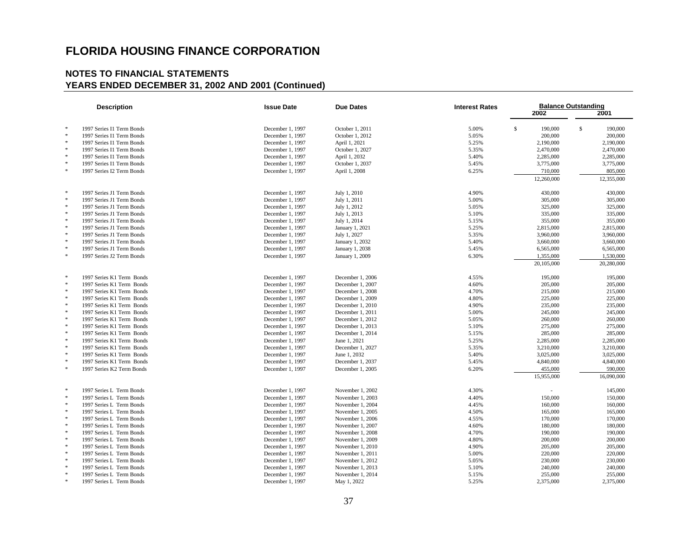|        | <b>Description</b>        | <b>Issue Date</b><br><b>Due Dates</b><br><b>Interest Rates</b> |                  |       | <b>Balance Outstanding</b> |               |
|--------|---------------------------|----------------------------------------------------------------|------------------|-------|----------------------------|---------------|
|        |                           |                                                                |                  |       | 2002                       | 2001          |
|        |                           |                                                                |                  |       |                            |               |
| $\ast$ | 1997 Series I1 Term Bonds | December 1, 1997                                               | October 1, 2011  | 5.00% | $\mathbb{S}$<br>190,000    | \$<br>190,000 |
| *      | 1997 Series I1 Term Bonds | December 1, 1997                                               | October 1, 2012  | 5.05% | 200,000                    | 200,000       |
| $\ast$ | 1997 Series I1 Term Bonds | December 1, 1997                                               | April 1, 2021    | 5.25% | 2,190,000                  | 2,190,000     |
| $\ast$ | 1997 Series I1 Term Bonds | December 1, 1997                                               | October 1, 2027  | 5.35% | 2,470,000                  | 2,470,000     |
| $\ast$ | 1997 Series I1 Term Bonds | December 1, 1997                                               | April 1, 2032    | 5.40% | 2,285,000                  | 2,285,000     |
| $\ast$ | 1997 Series I1 Term Bonds | December 1, 1997                                               | October 1, 2037  | 5.45% | 3,775,000                  | 3,775,000     |
| $\ast$ | 1997 Series I2 Term Bonds |                                                                |                  |       | 710,000                    | 805,000       |
|        |                           | December 1, 1997                                               | April 1, 2008    | 6.25% |                            |               |
|        |                           |                                                                |                  |       | 12,260,000                 | 12,355,000    |
| 宋      | 1997 Series J1 Term Bonds | December 1, 1997                                               | July 1, 2010     | 4.90% | 430,000                    | 430,000       |
| $\ast$ | 1997 Series J1 Term Bonds | December 1, 1997                                               | July 1, 2011     | 5.00% | 305,000                    | 305,000       |
| $\ast$ | 1997 Series J1 Term Bonds | December 1, 1997                                               | July 1, 2012     | 5.05% | 325,000                    | 325,000       |
| $\ast$ | 1997 Series J1 Term Bonds | December 1, 1997                                               | July 1, 2013     | 5.10% | 335,000                    | 335,000       |
| $\ast$ | 1997 Series J1 Term Bonds | December 1, 1997                                               | July 1, 2014     | 5.15% | 355,000                    | 355,000       |
| $\ast$ | 1997 Series J1 Term Bonds | December 1, 1997                                               | January 1, 2021  | 5.25% | 2,815,000                  | 2,815,000     |
| $\ast$ | 1997 Series J1 Term Bonds | December 1, 1997                                               | July 1, 2027     | 5.35% | 3,960,000                  | 3,960,000     |
| $\ast$ | 1997 Series J1 Term Bonds | December 1, 1997                                               | January 1, 2032  | 5.40% | 3,660,000                  | 3,660,000     |
| $\ast$ | 1997 Series J1 Term Bonds | December 1, 1997                                               | January 1, 2038  | 5.45% | 6,565,000                  | 6,565,000     |
| $\ast$ | 1997 Series J2 Term Bonds | December 1, 1997                                               |                  |       | 1,355,000                  | 1,530,000     |
|        |                           |                                                                | January 1, 2009  | 6.30% | 20,105,000                 | 20,280,000    |
|        |                           |                                                                |                  |       |                            |               |
| $\ast$ | 1997 Series K1 Term Bonds | December 1, 1997                                               | December 1, 2006 | 4.55% | 195,000                    | 195,000       |
| $\ast$ | 1997 Series K1 Term Bonds | December 1, 1997                                               | December 1, 2007 | 4.60% | 205,000                    | 205,000       |
| $\ast$ | 1997 Series K1 Term Bonds | December 1, 1997                                               | December 1, 2008 | 4.70% | 215,000                    | 215,000       |
| $\ast$ | 1997 Series K1 Term Bonds | December 1, 1997                                               | December 1, 2009 | 4.80% | 225,000                    | 225,000       |
| $\ast$ | 1997 Series K1 Term Bonds | December 1, 1997                                               | December 1, 2010 | 4.90% | 235,000                    | 235,000       |
| $\ast$ | 1997 Series K1 Term Bonds | December 1, 1997                                               | December 1, 2011 | 5.00% | 245,000                    | 245,000       |
| $\ast$ | 1997 Series K1 Term Bonds | December 1, 1997                                               | December 1, 2012 | 5.05% | 260,000                    | 260,000       |
| $\ast$ | 1997 Series K1 Term Bonds | December 1, 1997                                               | December 1, 2013 | 5.10% | 275,000                    | 275,000       |
| *      | 1997 Series K1 Term Bonds | December 1, 1997                                               | December 1, 2014 | 5.15% | 285,000                    | 285,000       |
| $\ast$ | 1997 Series K1 Term Bonds | December 1, 1997                                               | June 1, 2021     | 5.25% | 2,285,000                  | 2,285,000     |
| $\ast$ | 1997 Series K1 Term Bonds | December 1, 1997                                               | December 1, 2027 | 5.35% | 3,210,000                  | 3,210,000     |
| $\ast$ | 1997 Series K1 Term Bonds | December 1, 1997                                               | June 1, 2032     | 5.40% | 3,025,000                  | 3,025,000     |
| $\ast$ | 1997 Series K1 Term Bonds | December 1, 1997                                               | December 1, 2037 | 5.45% | 4,840,000                  | 4,840,000     |
| $\ast$ | 1997 Series K2 Term Bonds | December 1, 1997                                               | December 1, 2005 | 6.20% | 455,000                    | 590,000       |
|        |                           |                                                                |                  |       | 15,955,000                 | 16,090,000    |
|        |                           |                                                                |                  |       |                            |               |
| $\ast$ | 1997 Series L Term Bonds  | December 1, 1997                                               | November 1, 2002 | 4.30% |                            | 145,000       |
| $\ast$ | 1997 Series L Term Bonds  | December 1, 1997                                               | November 1, 2003 | 4.40% | 150,000                    | 150,000       |
| $\ast$ | 1997 Series L Term Bonds  | December 1, 1997                                               | November 1, 2004 | 4.45% | 160,000                    | 160,000       |
| $\ast$ | 1997 Series L Term Bonds  | December 1, 1997                                               | November 1, 2005 | 4.50% | 165,000                    | 165,000       |
| $\ast$ | 1997 Series L Term Bonds  | December 1, 1997                                               | November 1, 2006 | 4.55% | 170,000                    | 170,000       |
| $\ast$ | 1997 Series L Term Bonds  | December 1, 1997                                               | November 1, 2007 | 4.60% | 180,000                    | 180,000       |
| $\ast$ | 1997 Series L Term Bonds  | December 1, 1997                                               | November 1, 2008 | 4.70% | 190,000                    | 190,000       |
| *      | 1997 Series L Term Bonds  | December 1, 1997                                               | November 1, 2009 | 4.80% | 200,000                    | 200,000       |
| $\ast$ | 1997 Series L Term Bonds  | December 1, 1997                                               | November 1, 2010 | 4.90% | 205,000                    | 205,000       |
| $\ast$ | 1997 Series L Term Bonds  | December 1, 1997                                               | November 1, 2011 | 5.00% | 220,000                    | 220,000       |
| $\ast$ | 1997 Series L Term Bonds  | December 1, 1997                                               | November 1, 2012 | 5.05% | 230,000                    | 230,000       |
| $\ast$ | 1997 Series L Term Bonds  | December 1, 1997                                               | November 1, 2013 | 5.10% | 240,000                    | 240,000       |
| $\ast$ | 1997 Series L Term Bonds  | December 1, 1997                                               | November 1, 2014 | 5.15% | 255,000                    | 255,000       |
|        | 1997 Series L Term Bonds  | December 1, 1997                                               | May 1, 2022      | 5.25% | 2,375,000                  | 2,375,000     |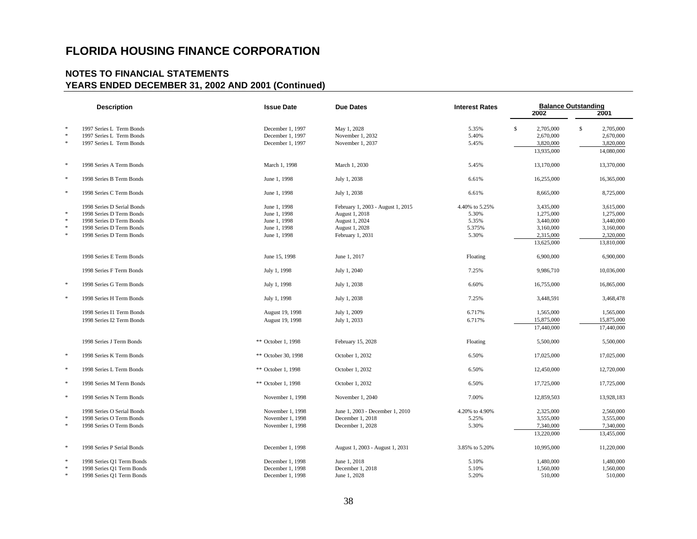| <b>Description</b> |                            | <b>Issue Date</b>   | <b>Due Dates</b>                  | <b>Interest Rates</b> | <b>Balance Outstanding</b><br>2002<br>2001 |                           |  |
|--------------------|----------------------------|---------------------|-----------------------------------|-----------------------|--------------------------------------------|---------------------------|--|
|                    |                            |                     |                                   |                       |                                            |                           |  |
| $\ast$             | 1997 Series L Term Bonds   | December 1, 1997    | May 1, 2028                       | 5.35%                 | \$<br>2,705,000                            | $\mathbb{S}$<br>2,705,000 |  |
| $\ast$             | 1997 Series L Term Bonds   | December 1, 1997    | November 1, 2032                  | 5.40%                 | 2,670,000                                  | 2,670,000                 |  |
| $\ast$             | 1997 Series L Term Bonds   | December 1, 1997    | November 1, 2037                  | 5.45%                 | 3,820,000                                  | 3,820,000                 |  |
|                    |                            |                     |                                   |                       | 13,935,000                                 | 14,080,000                |  |
| $\ast$             | 1998 Series A Term Bonds   | March 1, 1998       | March 1, 2030                     | 5.45%                 | 13,170,000                                 | 13,370,000                |  |
| $\ast$             | 1998 Series B Term Bonds   | June 1, 1998        | July 1, 2038                      | 6.61%                 | 16,255,000                                 | 16,365,000                |  |
| $\ast$             | 1998 Series C Term Bonds   | June 1, 1998        | July 1, 2038                      | 6.61%                 | 8,665,000                                  | 8,725,000                 |  |
|                    | 1998 Series D Serial Bonds | June 1, 1998        | February 1, 2003 - August 1, 2015 | 4.40% to 5.25%        | 3,435,000                                  | 3,615,000                 |  |
| $\ast$             | 1998 Series D Term Bonds   | June 1, 1998        | August 1, 2018                    | 5.30%                 | 1,275,000                                  | 1,275,000                 |  |
| $\ast$             | 1998 Series D Term Bonds   | June 1, 1998        | August 1, 2024                    | 5.35%                 | 3,440,000                                  | 3,440,000                 |  |
| $\ast$             | 1998 Series D Term Bonds   | June 1, 1998        | August 1, 2028                    | 5.375%                | 3,160,000                                  | 3,160,000                 |  |
| $\ast$             | 1998 Series D Term Bonds   | June 1, 1998        | February 1, 2031                  | 5.30%                 | 2,315,000                                  | 2,320,000                 |  |
|                    |                            |                     |                                   |                       | 13,625,000                                 | 13,810,000                |  |
|                    | 1998 Series E Term Bonds   | June 15, 1998       | June 1, 2017                      | Floating              | 6,900,000                                  | 6,900,000                 |  |
|                    | 1998 Series F Term Bonds   | July 1, 1998        | July 1, 2040                      | 7.25%                 | 9,986,710                                  | 10,036,000                |  |
| $\ast$             | 1998 Series G Term Bonds   | July 1, 1998        | July 1, 2038                      | 6.60%                 | 16,755,000                                 | 16,865,000                |  |
| $\ast$             | 1998 Series H Term Bonds   | July 1, 1998        | July 1, 2038                      | 7.25%                 | 3,448,591                                  | 3,468,478                 |  |
|                    | 1998 Series I1 Term Bonds  | August 19, 1998     | July 1, 2009                      | 6.717%                | 1,565,000                                  | 1,565,000                 |  |
|                    | 1998 Series I2 Term Bonds  | August 19, 1998     | July 1, 2033                      | 6.717%                | 15,875,000                                 | 15,875,000                |  |
|                    |                            |                     |                                   |                       | 17,440,000                                 | 17,440,000                |  |
|                    | 1998 Series J Term Bonds   | ** October 1, 1998  | February 15, 2028                 | Floating              | 5,500,000                                  | 5,500,000                 |  |
| $\ast$             | 1998 Series K Term Bonds   | ** October 30, 1998 | October 1, 2032                   | 6.50%                 | 17,025,000                                 | 17,025,000                |  |
| $\ast$             | 1998 Series L Term Bonds   | ** October 1, 1998  | October 1, 2032                   | 6.50%                 | 12,450,000                                 | 12,720,000                |  |
| $\ast$             | 1998 Series M Term Bonds   | ** October 1, 1998  | October 1, 2032                   | 6.50%                 | 17,725,000                                 | 17,725,000                |  |
| $\ast$             | 1998 Series N Term Bonds   | November 1, 1998    | November 1, 2040                  | 7.00%                 | 12,859,503                                 | 13,928,183                |  |
|                    | 1998 Series O Serial Bonds | November 1, 1998    | June 1, 2003 - December 1, 2010   | 4.20% to 4.90%        | 2,325,000                                  | 2,560,000                 |  |
| $\ast$             | 1998 Series O Term Bonds   | November 1, 1998    | December 1, 2018                  | 5.25%                 | 3,555,000                                  | 3,555,000                 |  |
| $\ast$             | 1998 Series O Term Bonds   | November 1, 1998    | December 1, 2028                  | 5.30%                 | 7,340,000                                  | 7,340,000                 |  |
|                    |                            |                     |                                   |                       | 13,220,000                                 | 13,455,000                |  |
| $\ast$             | 1998 Series P Serial Bonds | December 1, 1998    | August 1, 2003 - August 1, 2031   | 3.85% to 5.20%        | 10,995,000                                 | 11,220,000                |  |
| $\ast$             | 1998 Series Q1 Term Bonds  | December 1, 1998    | June 1, 2018                      | 5.10%                 | 1,480,000                                  | 1,480,000                 |  |
| $\ast$             | 1998 Series Q1 Term Bonds  | December 1, 1998    | December 1, 2018                  | 5.10%                 | 1,560,000                                  | 1,560,000                 |  |
| $\ast$             | 1998 Series Q1 Term Bonds  | December 1, 1998    | June 1, 2028                      | 5.20%                 | 510,000                                    | 510,000                   |  |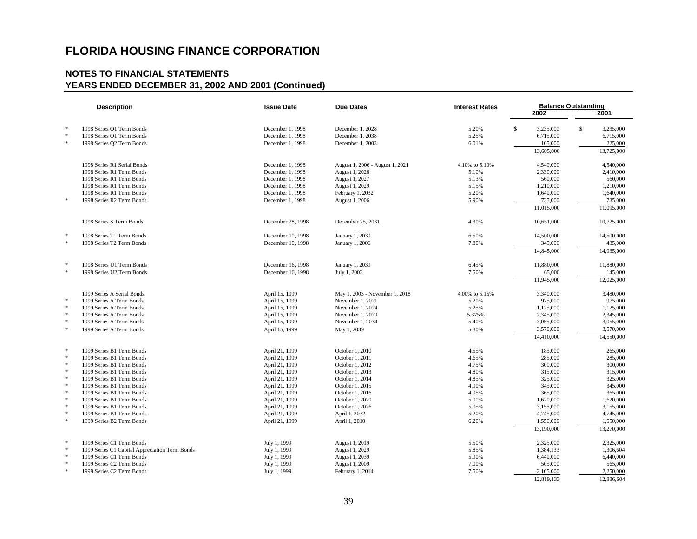| <b>Description</b> |                                                        | <b>Issue Date</b>                | <b>Due Dates</b>                   | <b>Interest Rates</b> | <b>Balance Outstanding</b><br>2001<br>2002 |                           |  |
|--------------------|--------------------------------------------------------|----------------------------------|------------------------------------|-----------------------|--------------------------------------------|---------------------------|--|
| $\ast$             | 1998 Series Q1 Term Bonds                              | December 1, 1998                 | December 1, 2028                   | 5.20%                 | $\mathbb{S}$<br>3,235,000                  | $\mathbb{S}$<br>3.235,000 |  |
| $\ast$             | 1998 Series Q1 Term Bonds                              | December 1, 1998                 | December 1, 2038                   | 5.25%                 | 6,715,000                                  | 6,715,000                 |  |
| $\ast$             | 1998 Series Q2 Term Bonds                              | December 1, 1998                 | December 1, 2003                   | 6.01%                 | 105,000                                    | 225,000                   |  |
|                    |                                                        |                                  |                                    |                       | 13,605,000                                 | 13,725,000                |  |
|                    | 1998 Series R1 Serial Bonds                            | December 1, 1998                 | August 1, 2006 - August 1, 2021    | 4.10% to 5.10%        | 4,540,000                                  | 4,540,000                 |  |
|                    | 1998 Series R1 Term Bonds                              | December 1, 1998                 | August 1, 2026                     | 5.10%                 | 2,330,000                                  | 2,410,000                 |  |
|                    | 1998 Series R1 Term Bonds                              | December 1, 1998                 | August 1, 2027                     | 5.13%                 | 560,000                                    | 560,000                   |  |
|                    | 1998 Series R1 Term Bonds                              | December 1, 1998                 | August 1, 2029                     | 5.15%                 | 1,210,000                                  | 1,210,000                 |  |
|                    | 1998 Series R1 Term Bonds                              | December 1, 1998                 | February 1, 2032                   | 5.20%                 | 1,640,000                                  | 1,640,000                 |  |
| $\ast$             | 1998 Series R2 Term Bonds                              | December 1, 1998                 | August 1, 2006                     | 5.90%                 | 735,000                                    | 735,000                   |  |
|                    |                                                        |                                  |                                    |                       | 11,015,000                                 | 11,095,000                |  |
|                    | 1998 Series S Term Bonds                               | December 28, 1998                | December 25, 2031                  | 4.30%                 | 10,651,000                                 | 10,725,000                |  |
| 冰                  | 1998 Series T1 Term Bonds                              | December 10, 1998                | January 1, 2039                    | 6.50%                 | 14,500,000                                 | 14,500,000                |  |
| $\ast$             | 1998 Series T2 Term Bonds                              | December 10, 1998                | January 1, 2006                    | 7.80%                 | 345,000                                    | 435,000                   |  |
|                    |                                                        |                                  |                                    |                       | 14,845,000                                 | 14,935,000                |  |
| $\ast$             | 1998 Series U1 Term Bonds                              | December 16, 1998                | January 1, 2039                    | 6.45%                 | 11,880,000                                 | 11,880,000                |  |
| $\ast$             | 1998 Series U2 Term Bonds                              | December 16, 1998                | July 1, 2003                       | 7.50%                 | 65,000                                     | 145,000                   |  |
|                    |                                                        |                                  |                                    |                       | 11,945,000                                 | 12,025,000                |  |
|                    | 1999 Series A Serial Bonds                             | April 15, 1999                   | May 1, 2003 - November 1, 2018     | 4.00% to 5.15%        | 3,340,000                                  | 3,480,000                 |  |
| $\ast$             | 1999 Series A Term Bonds                               | April 15, 1999                   | November 1, 2021                   | 5.20%                 | 975,000                                    | 975,000                   |  |
| $\ast$             | 1999 Series A Term Bonds                               | April 15, 1999                   | November 1, 2024                   | 5.25%                 | 1,125,000                                  | 1,125,000                 |  |
| $\ast$             | 1999 Series A Term Bonds                               | April 15, 1999                   | November 1, 2029                   | 5.375%                | 2,345,000                                  | 2,345,000                 |  |
| $\ast$             | 1999 Series A Term Bonds                               | April 15, 1999                   | November 1, 2034                   | 5.40%                 | 3,055,000                                  | 3,055,000                 |  |
| $\ast$             | 1999 Series A Term Bonds                               | April 15, 1999                   | May 1, 2039                        | 5.30%                 | 3,570,000                                  | 3,570,000                 |  |
|                    |                                                        |                                  |                                    |                       | 14,410,000                                 | 14,550,000                |  |
| $\ast$             | 1999 Series B1 Term Bonds                              | April 21, 1999                   | October 1, 2010                    | 4.55%                 | 185,000                                    | 265,000                   |  |
| $\ast$             | 1999 Series B1 Term Bonds                              | April 21, 1999                   | October 1, 2011                    | 4.65%                 | 285,000                                    | 285,000                   |  |
| $\ast$<br>$\ast$   | 1999 Series B1 Term Bonds                              | April 21, 1999                   | October 1, 2012                    | 4.75%                 | 300,000                                    | 300,000                   |  |
| $\ast$             | 1999 Series B1 Term Bonds                              | April 21, 1999                   | October 1, 2013                    | 4.80%                 | 315,000                                    | 315,000                   |  |
| $\ast$             | 1999 Series B1 Term Bonds                              | April 21, 1999                   | October 1, 2014                    | 4.85%                 | 325,000                                    | 325,000                   |  |
| $\ast$             | 1999 Series B1 Term Bonds<br>1999 Series B1 Term Bonds | April 21, 1999<br>April 21, 1999 | October 1, 2015<br>October 1, 2016 | 4.90%<br>4.95%        | 345,000<br>365,000                         | 345,000<br>365,000        |  |
| $\ast$             | 1999 Series B1 Term Bonds                              | April 21, 1999                   | October 1, 2020                    | 5.00%                 | 1,620,000                                  | 1,620,000                 |  |
| $\ast$             | 1999 Series B1 Term Bonds                              | April 21, 1999                   | October 1, 2026                    | 5.05%                 | 3,155,000                                  | 3,155,000                 |  |
| $\ast$             | 1999 Series B1 Term Bonds                              | April 21, 1999                   | April 1, 2032                      | 5.20%                 | 4,745,000                                  | 4,745,000                 |  |
| $\ast$             | 1999 Series B2 Term Bonds                              | April 21, 1999                   | April 1, 2010                      | 6.20%                 | 1,550,000                                  | 1,550,000                 |  |
|                    |                                                        |                                  |                                    |                       | 13,190,000                                 | 13,270,000                |  |
| $\cdot$            | 1999 Series C1 Term Bonds                              | July 1, 1999                     | August 1, 2019                     | 5.50%                 | 2,325,000                                  | 2,325,000                 |  |
| $\ast$             | 1999 Series C1 Capital Appreciation Term Bonds         | July 1, 1999                     | August 1, 2029                     | 5.85%                 | 1,384,133                                  | 1,306,604                 |  |
| $\ast$             | 1999 Series C1 Term Bonds                              | July 1, 1999                     | August 1, 2039                     | 5.90%                 | 6,440,000                                  | 6,440,000                 |  |
| $\ast$             | 1999 Series C2 Term Bonds                              | July 1, 1999                     | August 1, 2009                     | 7.00%                 | 505,000                                    | 565,000                   |  |
| $\ast$             | 1999 Series C2 Term Bonds                              | July 1, 1999                     | February 1, 2014                   | 7.50%                 | 2,165,000                                  | 2,250,000                 |  |
|                    |                                                        |                                  |                                    |                       | 12,819,133                                 | 12,886,604                |  |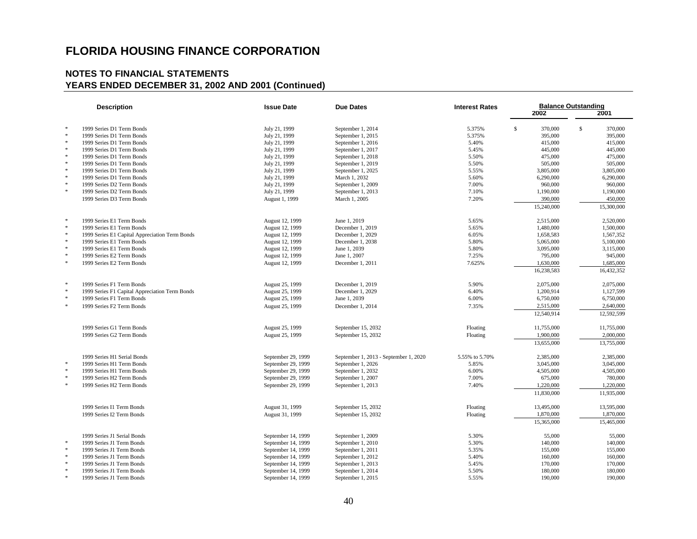| <b>Description</b> |                                                | <b>Issue Date</b>              | <b>Due Dates</b>                      | <b>Interest Rates</b> | <b>Balance Outstanding</b> |                         |  |  |
|--------------------|------------------------------------------------|--------------------------------|---------------------------------------|-----------------------|----------------------------|-------------------------|--|--|
|                    |                                                |                                |                                       |                       | 2002                       | 2001                    |  |  |
| $\ast$             | 1999 Series D1 Term Bonds                      | July 21, 1999                  | September 1, 2014                     | 5.375%                | s.<br>370,000              | $\mathbb{S}$<br>370,000 |  |  |
| $\ast$             | 1999 Series D1 Term Bonds                      | July 21, 1999                  | September 1, 2015                     | 5.375%                | 395,000                    | 395,000                 |  |  |
| $\ast$             | 1999 Series D1 Term Bonds                      | July 21, 1999                  | September 1, 2016                     | 5.40%                 | 415,000                    | 415,000                 |  |  |
| $\ast$             | 1999 Series D1 Term Bonds                      | July 21, 1999                  | September 1, 2017                     | 5.45%                 | 445,000                    | 445,000                 |  |  |
| $\ast$             | 1999 Series D1 Term Bonds                      | July 21, 1999                  | September 1, 2018                     | 5.50%                 | 475,000                    | 475,000                 |  |  |
| $\ast$             | 1999 Series D1 Term Bonds                      |                                | September 1, 2019                     | 5.50%                 | 505,000                    | 505,000                 |  |  |
| $\ast$             | 1999 Series D1 Term Bonds                      | July 21, 1999<br>July 21, 1999 | September 1, 2025                     | 5.55%                 | 3,805,000                  | 3,805,000               |  |  |
| $\ast$             | 1999 Series D1 Term Bonds                      | July 21, 1999                  | March 1, 2032                         | 5.60%                 | 6,290,000                  | 6,290,000               |  |  |
| $\ast$             | 1999 Series D2 Term Bonds                      | July 21, 1999                  | September 1, 2009                     | 7.00%                 | 960,000                    | 960,000                 |  |  |
| $\ast$             | 1999 Series D2 Term Bonds                      |                                |                                       | 7.10%                 | 1,190,000                  |                         |  |  |
|                    |                                                | July 21, 1999                  | September 1, 2013                     |                       |                            | 1,190,000               |  |  |
|                    | 1999 Series D3 Term Bonds                      | August 1, 1999                 | March 1, 2005                         | 7.20%                 | 390,000                    | 450,000                 |  |  |
|                    |                                                |                                |                                       |                       | 15,240,000                 | 15,300,000              |  |  |
| $\ast$             | 1999 Series E1 Term Bonds                      | August 12, 1999                | June 1, 2019                          | 5.65%                 | 2,515,000                  | 2,520,000               |  |  |
| $\ast$             | 1999 Series E1 Term Bonds                      | August 12, 1999                | December 1, 2019                      | 5.65%                 | 1,480,000                  | 1,500,000               |  |  |
| $\ast$             | 1999 Series E1 Capital Appreciation Term Bonds | August 12, 1999                | December 1, 2029                      | 6.05%                 | 1,658,583                  | 1,567,352               |  |  |
| $\ast$             | 1999 Series E1 Term Bonds                      | August 12, 1999                | December 1, 2038                      | 5.80%                 | 5,065,000                  | 5,100,000               |  |  |
| $\ast$             | 1999 Series E1 Term Bonds                      | August 12, 1999                | June 1, 2039                          | 5.80%                 | 3,095,000                  | 3,115,000               |  |  |
| $\ast$             | 1999 Series E2 Term Bonds                      | August 12, 1999                | June 1, 2007                          | 7.25%                 | 795,000                    | 945,000                 |  |  |
| $\ast$             | 1999 Series E2 Term Bonds                      | August 12, 1999                | December 1, 2011                      | 7.625%                | 1,630,000                  | 1,685,000               |  |  |
|                    |                                                |                                |                                       |                       | 16,238,583                 | 16,432,352              |  |  |
| $\ast$             | 1999 Series F1 Term Bonds                      | August 25, 1999                | December 1, 2019                      | 5.90%                 | 2,075,000                  | 2,075,000               |  |  |
| $\ast$             | 1999 Series F1 Capital Appreciation Term Bonds | August 25, 1999                | December 1, 2029                      | 6.40%                 | 1,200,914                  | 1,127,599               |  |  |
| $\ast$             | 1999 Series F1 Term Bonds                      | August 25, 1999                | June 1, 2039                          | 6.00%                 | 6,750,000                  | 6,750,000               |  |  |
| $\ast$             | 1999 Series F2 Term Bonds                      | August 25, 1999                | December 1, 2014                      | 7.35%                 | 2,515,000                  | 2,640,000               |  |  |
|                    |                                                |                                |                                       |                       | 12,540,914                 | 12,592,599              |  |  |
|                    | 1999 Series G1 Term Bonds                      | August 25, 1999                | September 15, 2032                    | Floating              | 11,755,000                 | 11,755,000              |  |  |
|                    | 1999 Series G2 Term Bonds                      | August 25, 1999                | September 15, 2032                    | Floating              | 1,900,000                  | 2,000,000               |  |  |
|                    |                                                |                                |                                       |                       | 13,655,000                 | 13,755,000              |  |  |
|                    |                                                |                                |                                       |                       |                            |                         |  |  |
| $\ast$             | 1999 Series H1 Serial Bonds                    | September 29, 1999             | September 1, 2013 - September 1, 2020 | 5.55% to 5.70%        | 2,385,000                  | 2,385,000               |  |  |
|                    | 1999 Series H1 Term Bonds                      | September 29, 1999             | September 1, 2026                     | 5.85%                 | 3,045,000                  | 3,045,000               |  |  |
| $\ast$<br>$\ast$   | 1999 Series H1 Term Bonds                      | September 29, 1999             | September 1, 2032                     | 6.00%                 | 4,505,000                  | 4,505,000               |  |  |
|                    | 1999 Series H2 Term Bonds                      | September 29, 1999             | September 1, 2007                     | 7.00%                 | 675,000                    | 780,000                 |  |  |
| $\ast$             | 1999 Series H2 Term Bonds                      | September 29, 1999             | September 1, 2013                     | 7.40%                 | 1,220,000                  | 1,220,000               |  |  |
|                    |                                                |                                |                                       |                       | 11,830,000                 | 11,935,000              |  |  |
|                    | 1999 Series I1 Term Bonds                      | August 31, 1999                | September 15, 2032                    | Floating              | 13,495,000                 | 13,595,000              |  |  |
|                    | 1999 Series I2 Term Bonds                      | August 31, 1999                | September 15, 2032                    | Floating              | 1,870,000                  | 1,870,000               |  |  |
|                    |                                                |                                |                                       |                       | 15,365,000                 | 15,465,000              |  |  |
|                    | 1999 Series J1 Serial Bonds                    | September 14, 1999             | September 1, 2009                     | 5.30%                 | 55,000                     | 55,000                  |  |  |
| $\ast$             | 1999 Series J1 Term Bonds                      | September 14, 1999             | September 1, 2010                     | 5.30%                 | 140,000                    | 140,000                 |  |  |
| $\ast$             | 1999 Series J1 Term Bonds                      | September 14, 1999             | September 1, 2011                     | 5.35%                 | 155,000                    | 155,000                 |  |  |
| $\ast$             | 1999 Series J1 Term Bonds                      | September 14, 1999             | September 1, 2012                     | 5.40%                 | 160,000                    | 160,000                 |  |  |
| $\ast$             | 1999 Series J1 Term Bonds                      | September 14, 1999             | September 1, 2013                     | 5.45%                 | 170,000                    | 170,000                 |  |  |
| $\ast$             | 1999 Series J1 Term Bonds                      | September 14, 1999             | September 1, 2014                     | 5.50%                 | 180,000                    | 180,000                 |  |  |
| $\ast$             | 1999 Series J1 Term Bonds                      | September 14, 1999             | September 1, 2015                     | 5.55%                 | 190,000                    | 190,000                 |  |  |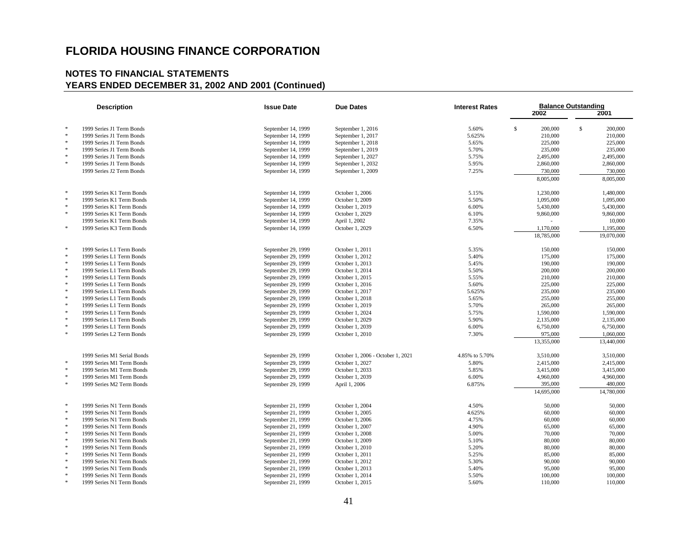| <b>Description</b> |                             | <b>Issue Date</b><br><b>Due Dates</b> |                                   | <b>Interest Rates</b> | <b>Balance Outstanding</b> |                         |  |  |
|--------------------|-----------------------------|---------------------------------------|-----------------------------------|-----------------------|----------------------------|-------------------------|--|--|
|                    |                             |                                       |                                   |                       | 2002                       | 2001                    |  |  |
|                    |                             |                                       |                                   |                       |                            |                         |  |  |
| $\ast$             | 1999 Series J1 Term Bonds   | September 14, 1999                    | September 1, 2016                 | 5.60%                 | \$<br>200,000              | $\mathbb{S}$<br>200,000 |  |  |
| $\ast$             | 1999 Series J1 Term Bonds   | September 14, 1999                    | September 1, 2017                 | 5.625%                | 210,000                    | 210,000                 |  |  |
|                    | 1999 Series J1 Term Bonds   | September 14, 1999                    | September 1, 2018                 | 5.65%                 | 225,000                    | 225,000                 |  |  |
| $\ast$             | 1999 Series J1 Term Bonds   | September 14, 1999                    | September 1, 2019                 | 5.70%                 | 235,000                    | 235,000                 |  |  |
| $\ast$             | 1999 Series J1 Term Bonds   | September 14, 1999                    | September 1, 2027                 | 5.75%                 | 2,495,000                  | 2,495,000               |  |  |
| $\ast$             | 1999 Series J1 Term Bonds   | September 14, 1999                    | September 1, 2032                 | 5.95%                 | 2,860,000                  | 2,860,000               |  |  |
|                    | 1999 Series J2 Term Bonds   | September 14, 1999                    | September 1, 2009                 | 7.25%                 | 730,000                    | 730,000                 |  |  |
|                    |                             |                                       |                                   |                       | 8,005,000                  | 8,005,000               |  |  |
|                    |                             |                                       |                                   |                       |                            |                         |  |  |
| $\ast$<br>$\ast$   | 1999 Series K1 Term Bonds   | September 14, 1999                    | October 1, 2006                   | 5.15%                 | 1,230,000                  | 1,480,000               |  |  |
|                    | 1999 Series K1 Term Bonds   | September 14, 1999                    | October 1, 2009                   | 5.50%                 | 1,095,000                  | 1,095,000               |  |  |
| $\ast$             | 1999 Series K1 Term Bonds   | September 14, 1999                    | October 1, 2019                   | 6.00%                 | 5,430,000                  | 5,430,000               |  |  |
| $\ast$             | 1999 Series K1 Term Bonds   | September 14, 1999                    | October 1, 2029                   | 6.10%                 | 9,860,000                  | 9,860,000               |  |  |
|                    | 1999 Series K1 Term Bonds   | September 14, 1999                    | April 1, 2002                     | 7.35%                 |                            | 10,000                  |  |  |
| $\ast$             | 1999 Series K3 Term Bonds   | September 14, 1999                    | October 1, 2029                   | 6.50%                 | 1,170,000                  | 1,195,000               |  |  |
|                    |                             |                                       |                                   |                       | 18,785,000                 | 19,070,000              |  |  |
| $\ast$             | 1999 Series L1 Term Bonds   | September 29, 1999                    | October 1, 2011                   | 5.35%                 | 150,000                    | 150,000                 |  |  |
| $\ast$             | 1999 Series L1 Term Bonds   | September 29, 1999                    | October 1, 2012                   | 5.40%                 | 175,000                    | 175,000                 |  |  |
| $\ast$             | 1999 Series L1 Term Bonds   | September 29, 1999                    | October 1, 2013                   | 5.45%                 | 190,000                    | 190,000                 |  |  |
| $\ast$             | 1999 Series L1 Term Bonds   | September 29, 1999                    | October 1, 2014                   | 5.50%                 | 200,000                    | 200,000                 |  |  |
| $\ast$             | 1999 Series L1 Term Bonds   | September 29, 1999                    | October 1, 2015                   | 5.55%                 | 210,000                    | 210,000                 |  |  |
| $\ast$             | 1999 Series L1 Term Bonds   | September 29, 1999                    | October 1, 2016                   | 5.60%                 | 225,000                    | 225,000                 |  |  |
| $\ast$             | 1999 Series L1 Term Bonds   | September 29, 1999                    | October 1, 2017                   | 5.625%                | 235,000                    | 235,000                 |  |  |
| $\ast$             | 1999 Series L1 Term Bonds   | September 29, 1999                    | October 1, 2018                   | 5.65%                 | 255,000                    | 255,000                 |  |  |
| $\ast$             | 1999 Series L1 Term Bonds   | September 29, 1999                    | October 1, 2019                   | 5.70%                 | 265,000                    | 265,000                 |  |  |
| $\ast$             | 1999 Series L1 Term Bonds   | September 29, 1999                    | October 1, 2024                   | 5.75%                 | 1,590,000                  | 1,590,000               |  |  |
| $\ast$             | 1999 Series L1 Term Bonds   | September 29, 1999                    | October 1, 2029                   | 5.90%                 | 2,135,000                  | 2,135,000               |  |  |
| $\ast$             | 1999 Series L1 Term Bonds   | September 29, 1999                    | October 1, 2039                   | 6.00%                 | 6,750,000                  | 6,750,000               |  |  |
| $\ast$             | 1999 Series L2 Term Bonds   | September 29, 1999                    | October 1, 2010                   | 7.30%                 | 975,000                    | 1,060,000               |  |  |
|                    |                             |                                       |                                   |                       | 13,355,000                 | 13,440,000              |  |  |
|                    | 1999 Series M1 Serial Bonds | September 29, 1999                    | October 1, 2006 - October 1, 2021 | 4.85% to 5.70%        | 3,510,000                  | 3.510,000               |  |  |
| $\ast$             | 1999 Series M1 Term Bonds   | September 29, 1999                    | October 1, 2027                   | 5.80%                 | 2,415,000                  | 2,415,000               |  |  |
| $\ast$             | 1999 Series M1 Term Bonds   | September 29, 1999                    | October 1, 2033                   | 5.85%                 | 3,415,000                  | 3,415,000               |  |  |
| $\ast$             | 1999 Series M1 Term Bonds   | September 29, 1999                    | October 1, 2039                   | 6.00%                 | 4,960,000                  | 4,960,000               |  |  |
| $\ast$             | 1999 Series M2 Term Bonds   | September 29, 1999                    | April 1, 2006                     | 6.875%                | 395,000                    | 480,000                 |  |  |
|                    |                             |                                       |                                   |                       | 14,695,000                 | 14,780,000              |  |  |
| $\ast$             |                             |                                       |                                   |                       |                            |                         |  |  |
| $\ast$             | 1999 Series N1 Term Bonds   | September 21, 1999                    | October 1, 2004                   | 4.50%                 | 50,000                     | 50,000                  |  |  |
| $\ast$             | 1999 Series N1 Term Bonds   | September 21, 1999                    | October 1, 2005                   | 4.625%                | 60,000                     | 60,000                  |  |  |
| $\ast$             | 1999 Series N1 Term Bonds   | September 21, 1999                    | October 1, 2006                   | 4.75%                 | 60,000                     | 60,000                  |  |  |
| $\ast$             | 1999 Series N1 Term Bonds   | September 21, 1999                    | October 1, 2007                   | 4.90%                 | 65,000                     | 65,000                  |  |  |
| $\ast$             | 1999 Series N1 Term Bonds   | September 21, 1999                    | October 1, 2008                   | 5.00%                 | 70,000                     | 70,000                  |  |  |
| $\ast$             | 1999 Series N1 Term Bonds   | September 21, 1999                    | October 1, 2009                   | 5.10%                 | 80,000                     | 80,000                  |  |  |
| $\ast$             | 1999 Series N1 Term Bonds   | September 21, 1999                    | October 1, 2010                   | 5.20%                 | 80,000                     | 80,000                  |  |  |
| $\ast$             | 1999 Series N1 Term Bonds   | September 21, 1999                    | October 1, 2011                   | 5.25%                 | 85,000                     | 85,000                  |  |  |
| $\ast$             | 1999 Series N1 Term Bonds   | September 21, 1999                    | October 1, 2012                   | 5.30%                 | 90,000                     | 90,000                  |  |  |
|                    | 1999 Series N1 Term Bonds   | September 21, 1999                    | October 1, 2013                   | 5.40%                 | 95,000                     | 95,000                  |  |  |
| $\frac{1}{2}$      | 1999 Series N1 Term Bonds   | September 21, 1999                    | October 1, 2014                   | 5.50%                 | 100,000                    | 100,000                 |  |  |
|                    | 1999 Series N1 Term Bonds   | September 21, 1999                    | October 1, 2015                   | 5.60%                 | 110,000                    | 110,000                 |  |  |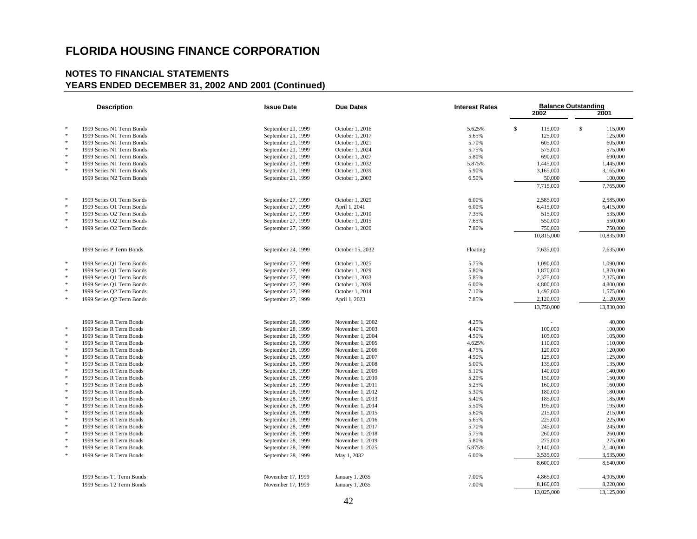| <b>Description</b> |                           | <b>Issue Date</b>  | <b>Due Dates</b> | <b>Interest Rates</b> | <b>Balance Outstanding</b> |               |  |  |
|--------------------|---------------------------|--------------------|------------------|-----------------------|----------------------------|---------------|--|--|
|                    |                           |                    |                  |                       | 2002                       | 2001          |  |  |
|                    |                           |                    |                  |                       |                            |               |  |  |
| $\ast$             | 1999 Series N1 Term Bonds | September 21, 1999 | October 1, 2016  | 5.625%                | $\mathbb{S}$<br>115,000    | \$<br>115,000 |  |  |
| $\ast$             | 1999 Series N1 Term Bonds | September 21, 1999 | October 1, 2017  | 5.65%                 | 125,000                    | 125,000       |  |  |
| $\ast$             | 1999 Series N1 Term Bonds | September 21, 1999 | October 1, 2021  | 5.70%                 | 605,000                    | 605,000       |  |  |
| $\ast$             | 1999 Series N1 Term Bonds | September 21, 1999 | October 1, 2024  | 5.75%                 | 575,000                    | 575,000       |  |  |
| $\ast$             | 1999 Series N1 Term Bonds | September 21, 1999 | October 1, 2027  | 5.80%                 | 690,000                    | 690,000       |  |  |
| $\ast$             | 1999 Series N1 Term Bonds | September 21, 1999 | October 1, 2032  | 5.875%                | 1,445,000                  | 1,445,000     |  |  |
| $\ast$             | 1999 Series N1 Term Bonds | September 21, 1999 | October 1, 2039  | 5.90%                 | 3,165,000                  | 3,165,000     |  |  |
|                    | 1999 Series N2 Term Bonds | September 21, 1999 | October 1, 2003  | 6.50%                 | 50,000                     | 100,000       |  |  |
|                    |                           |                    |                  |                       | 7,715,000                  | 7,765,000     |  |  |
| $\ast$             | 1999 Series O1 Term Bonds | September 27, 1999 | October 1, 2029  | 6.00%                 | 2,585,000                  | 2,585,000     |  |  |
| $\ast$             | 1999 Series O1 Term Bonds | September 27, 1999 | April 1, 2041    | 6.00%                 | 6,415,000                  | 6,415,000     |  |  |
| $\ast$             | 1999 Series O2 Term Bonds | September 27, 1999 | October 1, 2010  | 7.35%                 | 515,000                    | 535,000       |  |  |
| $\ast$             | 1999 Series O2 Term Bonds | September 27, 1999 | October 1, 2015  | 7.65%                 | 550,000                    | 550,000       |  |  |
| $\ast$             | 1999 Series O2 Term Bonds | September 27, 1999 | October 1, 2020  | 7.80%                 | 750,000                    | 750,000       |  |  |
|                    |                           |                    |                  |                       | 10,815,000                 | 10,835,000    |  |  |
|                    | 1999 Series P Term Bonds  | September 24, 1999 | October 15, 2032 | Floating              | 7,635,000                  | 7,635,000     |  |  |
| $\ast$             |                           |                    |                  |                       |                            |               |  |  |
| $\ast$             | 1999 Series Q1 Term Bonds | September 27, 1999 | October 1, 2025  | 5.75%                 | 1,090,000                  | 1,090,000     |  |  |
| $\ast$             | 1999 Series Q1 Term Bonds | September 27, 1999 | October 1, 2029  | 5.80%                 | 1,870,000                  | 1,870,000     |  |  |
| $\ast$             | 1999 Series Q1 Term Bonds | September 27, 1999 | October 1, 2033  | 5.85%                 | 2,375,000                  | 2,375,000     |  |  |
| $\ast$             | 1999 Series Q1 Term Bonds | September 27, 1999 | October 1, 2039  | 6.00%                 | 4,800,000                  | 4,800,000     |  |  |
| $\ast$             | 1999 Series Q2 Term Bonds | September 27, 1999 | October 1, 2014  | 7.10%                 | 1,495,000                  | 1,575,000     |  |  |
|                    | 1999 Series Q2 Term Bonds | September 27, 1999 | April 1, 2023    | 7.85%                 | 2,120,000                  | 2,120,000     |  |  |
|                    |                           |                    |                  |                       | 13,750,000                 | 13,830,000    |  |  |
|                    | 1999 Series R Term Bonds  | September 28, 1999 | November 1, 2002 | 4.25%                 |                            | 40,000        |  |  |
| $\ast$             | 1999 Series R Term Bonds  | September 28, 1999 | November 1, 2003 | 4.40%                 | 100,000                    | 100,000       |  |  |
| $\ast$             | 1999 Series R Term Bonds  | September 28, 1999 | November 1, 2004 | 4.50%                 | 105,000                    | 105,000       |  |  |
| $\ast$             | 1999 Series R Term Bonds  | September 28, 1999 | November 1, 2005 | 4.625%                | 110,000                    | 110,000       |  |  |
| $\frac{1}{2}$      | 1999 Series R Term Bonds  | September 28, 1999 | November 1, 2006 | 4.75%                 | 120,000                    | 120,000       |  |  |
| $\ast$             | 1999 Series R Term Bonds  | September 28, 1999 | November 1, 2007 | 4.90%                 | 125,000                    | 125,000       |  |  |
| $\ast$             | 1999 Series R Term Bonds  | September 28, 1999 | November 1, 2008 | 5.00%                 | 135,000                    | 135,000       |  |  |
| $\ast$             | 1999 Series R Term Bonds  | September 28, 1999 | November 1, 2009 | 5.10%                 | 140,000                    | 140,000       |  |  |
| $\ast$             | 1999 Series R Term Bonds  | September 28, 1999 | November 1, 2010 | 5.20%                 | 150,000                    | 150,000       |  |  |
| $\ast$             | 1999 Series R Term Bonds  | September 28, 1999 | November 1, 2011 | 5.25%                 | 160,000                    | 160,000       |  |  |
| $\ast$             | 1999 Series R Term Bonds  | September 28, 1999 | November 1, 2012 | 5.30%                 | 180,000                    | 180,000       |  |  |
| $\ast$             | 1999 Series R Term Bonds  | September 28, 1999 | November 1, 2013 | 5.40%                 | 185,000                    | 185,000       |  |  |
| $\ast$             | 1999 Series R Term Bonds  | September 28, 1999 | November 1, 2014 | 5.50%                 | 195,000                    | 195,000       |  |  |
| $\ast$             | 1999 Series R Term Bonds  | September 28, 1999 | November 1, 2015 | 5.60%                 | 215,000                    | 215,000       |  |  |
| $\ast$<br>$\ast$   | 1999 Series R Term Bonds  | September 28, 1999 | November 1, 2016 | 5.65%                 | 225,000                    | 225,000       |  |  |
| $\ast$             | 1999 Series R Term Bonds  | September 28, 1999 | November 1, 2017 | 5.70%                 | 245,000                    | 245,000       |  |  |
| $\ast$             | 1999 Series R Term Bonds  | September 28, 1999 | November 1, 2018 | 5.75%                 | 260,000                    | 260,000       |  |  |
| $\ast$             | 1999 Series R Term Bonds  | September 28, 1999 | November 1, 2019 | 5.80%                 | 275,000                    | 275,000       |  |  |
|                    | 1999 Series R Term Bonds  | September 28, 1999 | November 1, 2025 | 5.875%                | 2,140,000                  | 2,140,000     |  |  |
| $\ast$             | 1999 Series R Term Bonds  | September 28, 1999 | May 1, 2032      | 6.00%                 | 3,535,000                  | 3,535,000     |  |  |
|                    |                           |                    |                  |                       | 8,600,000                  | 8,640,000     |  |  |
|                    | 1999 Series T1 Term Bonds | November 17, 1999  | January 1, 2035  | 7.00%                 | 4,865,000                  | 4,905,000     |  |  |
|                    | 1999 Series T2 Term Bonds | November 17, 1999  | January 1, 2035  | 7.00%                 | 8,160,000                  | 8,220,000     |  |  |
|                    |                           |                    |                  |                       | 13,025,000                 | 13,125,000    |  |  |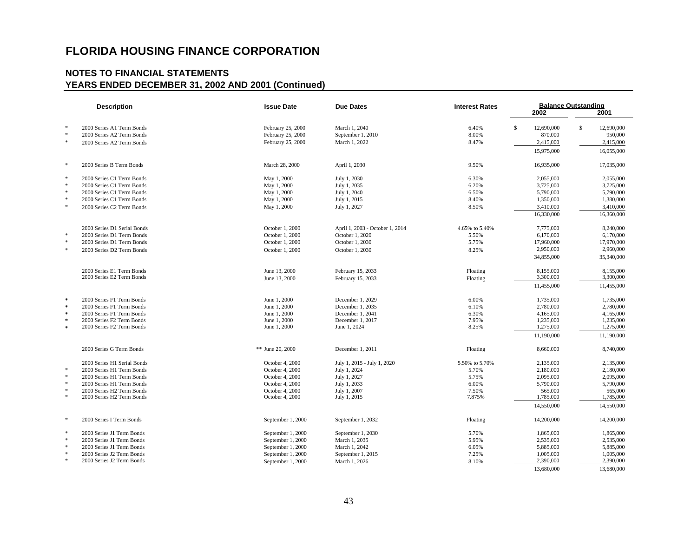|                  | <b>Description</b>                                     | <b>Issue Date</b>                  | <b>Due Dates</b>                | <b>Interest Rates</b> | <b>Balance Outstanding</b><br>2001<br>2002 |              |                      |  |
|------------------|--------------------------------------------------------|------------------------------------|---------------------------------|-----------------------|--------------------------------------------|--------------|----------------------|--|
| $\ast$           | 2000 Series A1 Term Bonds                              | February 25, 2000                  | March 1, 2040                   | 6.40%                 | $\mathbf{s}$<br>12,690,000                 | $\mathbb{S}$ | 12,690,000           |  |
| $\ast$           | 2000 Series A2 Term Bonds                              | February 25, 2000                  | September 1, 2010               | 8.00%                 | 870,000                                    |              | 950,000              |  |
| $\ast$           | 2000 Series A2 Term Bonds                              | February 25, 2000                  | March 1, 2022                   | 8.47%                 | 2,415,000                                  |              | 2,415,000            |  |
|                  |                                                        |                                    |                                 |                       | 15,975,000                                 |              | 16,055,000           |  |
| $\ast$           | 2000 Series B Term Bonds                               | March 28, 2000                     | April 1, 2030                   | 9.50%                 | 16,935,000                                 |              | 17,035,000           |  |
| $\ast$           | 2000 Series C1 Term Bonds                              | May 1, 2000                        | July 1, 2030                    | 6.30%                 | 2,055,000                                  |              | 2,055,000            |  |
| $\ast$           | 2000 Series C1 Term Bonds                              | May 1, 2000                        | July 1, 2035                    | 6.20%                 | 3,725,000                                  |              | 3,725,000            |  |
| $\ast$           | 2000 Series C1 Term Bonds                              | May 1, 2000                        | July 1, 2040                    | 6.50%                 | 5,790,000                                  |              | 5,790,000            |  |
| $\ast$           | 2000 Series C1 Term Bonds                              | May 1, 2000                        | July 1, 2015                    | 8.40%                 | 1,350,000                                  |              | 1,380,000            |  |
| $\ast$           | 2000 Series C2 Term Bonds                              | May 1, 2000                        | July 1, 2027                    | 8.50%                 | 3,410,000                                  |              | 3,410,000            |  |
|                  |                                                        |                                    |                                 |                       | 16,330,000                                 |              | 16,360,000           |  |
|                  | 2000 Series D1 Serial Bonds                            | October 1, 2000                    | April 1, 2003 - October 1, 2014 | 4.65% to 5.40%        | 7,775,000                                  |              | 8,240,000            |  |
| $\ast$           | 2000 Series D1 Term Bonds                              | October 1, 2000                    | October 1, 2020                 | 5.50%                 | 6,170,000                                  |              | 6,170,000            |  |
| $\ast$           | 2000 Series D1 Term Bonds                              | October 1, 2000                    | October 1, 2030                 | 5.75%                 | 17,960,000                                 |              | 17,970,000           |  |
| $\ast$           | 2000 Series D2 Term Bonds                              | October 1, 2000                    | October 1, 2030                 | 8.25%                 | 2,950,000                                  |              | 2,960,000            |  |
|                  |                                                        |                                    |                                 |                       | 34,855,000                                 |              | 35,340,000           |  |
|                  | 2000 Series E1 Term Bonds                              | June 13, 2000                      | February 15, 2033               | Floating              | 8,155,000                                  |              | 8,155,000            |  |
|                  | 2000 Series E2 Term Bonds                              | June 13, 2000                      | February 15, 2033               | Floating              | 3,300,000                                  |              | 3,300,000            |  |
|                  |                                                        |                                    |                                 |                       | 11,455,000                                 |              | 11,455,000           |  |
| $\mathcal{R}$    | 2000 Series F1 Term Bonds                              | June 1, 2000                       | December 1, 2029                | 6.00%                 | 1,735,000                                  |              | 1,735,000            |  |
| $\ast$           | 2000 Series F1 Term Bonds                              | June 1, 2000                       | December 1, 2035                | 6.10%                 | 2,780,000                                  |              | 2,780,000            |  |
| $\ast$           | 2000 Series F1 Term Bonds                              | June 1, 2000                       | December 1, 2041                | 6.30%                 | 4,165,000                                  |              | 4,165,000            |  |
| $\ast$           | 2000 Series F2 Term Bonds                              | June 1, 2000                       | December 1, 2017                | 7.95%                 | 1,235,000                                  |              | 1,235,000            |  |
| $\ast$           | 2000 Series F2 Term Bonds                              | June 1, 2000                       | June 1, 2024                    | 8.25%                 | 1,275,000                                  |              | 1,275,000            |  |
|                  |                                                        |                                    |                                 |                       | 11,190,000                                 |              | 11,190,000           |  |
|                  | 2000 Series G Term Bonds                               | ** June 20, 2000                   | December 1, 2011                | Floating              | 8,660,000                                  |              | 8,740,000            |  |
|                  | 2000 Series H1 Serial Bonds                            | October 4, 2000                    | July 1, 2015 - July 1, 2020     | 5.50% to 5.70%        | 2,135,000                                  |              | 2,135,000            |  |
| $\ast$           | 2000 Series H1 Term Bonds                              | October 4, 2000                    | July 1, 2024                    | 5.70%                 | 2,180,000                                  |              | 2,180,000            |  |
| $\ast$<br>$\ast$ | 2000 Series H1 Term Bonds                              | October 4, 2000                    | July 1, 2027                    | 5.75%                 | 2,095,000                                  |              | 2,095,000            |  |
| $\ast$           | 2000 Series H1 Term Bonds                              | October 4, 2000                    | July 1, 2033                    | 6.00%                 | 5,790,000                                  |              | 5,790,000            |  |
| $\ast$           | 2000 Series H2 Term Bonds<br>2000 Series H2 Term Bonds | October 4, 2000<br>October 4, 2000 | July 1, 2007<br>July 1, 2015    | 7.50%<br>7.875%       | 565,000<br>1,785,000                       |              | 565,000<br>1,785,000 |  |
|                  |                                                        |                                    |                                 |                       |                                            |              |                      |  |
|                  |                                                        |                                    |                                 |                       | 14,550,000                                 |              | 14,550,000           |  |
| $\ast$           | 2000 Series I Term Bonds                               | September 1, 2000                  | September 1, 2032               | Floating              | 14,200,000                                 |              | 14,200,000           |  |
| $\ast$           | 2000 Series J1 Term Bonds                              | September 1, 2000                  | September 1, 2030               | 5.70%                 | 1,865,000                                  |              | 1,865,000            |  |
| $\ast$           | 2000 Series J1 Term Bonds                              | September 1, 2000                  | March 1, 2035                   | 5.95%                 | 2,535,000                                  |              | 2,535,000            |  |
| $\ast$           | 2000 Series J1 Term Bonds                              | September 1, 2000                  | March 1, 2042                   | 6.05%                 | 5,885,000                                  |              | 5,885,000            |  |
| $\ast$<br>$\ast$ | 2000 Series J2 Term Bonds                              | September 1, 2000                  | September 1, 2015               | 7.25%                 | 1,005,000                                  |              | 1,005,000            |  |
|                  | 2000 Series J2 Term Bonds                              | September 1, 2000                  | March 1, 2026                   | 8.10%                 | 2,390,000                                  |              | 2,390,000            |  |
|                  |                                                        |                                    |                                 |                       | 13,680,000                                 |              | 13,680,000           |  |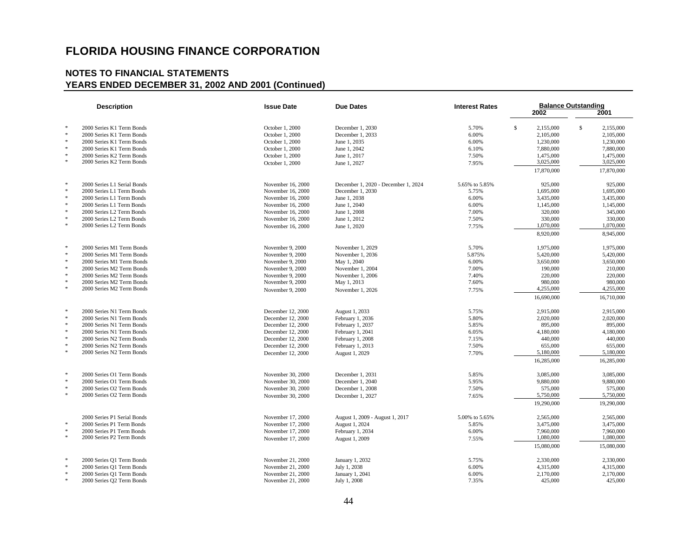|        | <b>Description</b>          | <b>Issue Date</b><br><b>Due Dates</b> |                                     | <b>Interest Rates</b> |              | <b>Balance Outstanding</b> |              |            |  |
|--------|-----------------------------|---------------------------------------|-------------------------------------|-----------------------|--------------|----------------------------|--------------|------------|--|
|        |                             |                                       |                                     |                       |              | 2002                       |              | 2001       |  |
| $\ast$ |                             |                                       |                                     |                       |              |                            |              |            |  |
|        | 2000 Series K1 Term Bonds   | October 1, 2000                       | December 1, 2030                    | 5.70%                 | $\mathbb{S}$ | 2,155,000                  | $\mathbb{S}$ | 2,155,000  |  |
| $\ast$ | 2000 Series K1 Term Bonds   | October 1, 2000                       | December 1, 2033                    | 6.00%                 |              | 2,105,000                  |              | 2,105,000  |  |
| $\ast$ | 2000 Series K1 Term Bonds   | October 1, 2000                       | June 1, 2035                        | 6.00%                 |              | 1,230,000                  |              | 1,230,000  |  |
| $\ast$ | 2000 Series K1 Term Bonds   | October 1, 2000                       | June 1, 2042                        | 6.10%                 |              | 7,880,000                  |              | 7,880,000  |  |
| $\ast$ | 2000 Series K2 Term Bonds   | October 1, 2000                       | June 1, 2017                        | 7.50%                 |              | 1,475,000                  |              | 1,475,000  |  |
| $\ast$ | 2000 Series K2 Term Bonds   | October 1, 2000                       | June 1, 2027                        | 7.95%                 |              | 3,025,000                  |              | 3,025,000  |  |
|        |                             |                                       |                                     |                       |              | 17,870,000                 |              | 17,870,000 |  |
| $\ast$ | 2000 Series L1 Serial Bonds | November 16, 2000                     | December 1, 2020 - December 1, 2024 | 5.65% to 5.85%        |              | 925,000                    |              | 925,000    |  |
| $\ast$ | 2000 Series L1 Term Bonds   | November 16, 2000                     | December 1, 2030                    | 5.75%                 |              | 1,695,000                  |              | 1,695,000  |  |
| $\ast$ | 2000 Series L1 Term Bonds   | November 16, 2000                     | June 1, 2038                        | 6.00%                 |              | 3,435,000                  |              | 3,435,000  |  |
| $\ast$ | 2000 Series L1 Term Bonds   | November 16, 2000                     | June 1, 2040                        | 6.00%                 |              | 1,145,000                  |              | 1,145,000  |  |
| $\ast$ | 2000 Series L2 Term Bonds   | November 16, 2000                     | June 1, 2008                        | 7.00%                 |              | 320,000                    |              | 345,000    |  |
| $\ast$ | 2000 Series L2 Term Bonds   | November 16, 2000                     | June 1, 2012                        | 7.50%                 |              | 330,000                    |              | 330,000    |  |
| $\ast$ | 2000 Series L2 Term Bonds   | November 16, 2000                     | June 1, 2020                        | 7.75%                 |              | 1,070,000                  |              | 1,070,000  |  |
|        |                             |                                       |                                     |                       |              | 8,920,000                  |              | 8,945,000  |  |
| $\ast$ | 2000 Series M1 Term Bonds   | November 9, 2000                      | November 1, 2029                    | 5.70%                 |              | 1,975,000                  |              | 1,975,000  |  |
| $\ast$ | 2000 Series M1 Term Bonds   | November 9, 2000                      | November 1, 2036                    | 5.875%                |              | 5,420,000                  |              | 5,420,000  |  |
| $\ast$ | 2000 Series M1 Term Bonds   | November 9, 2000                      | May 1, 2040                         | 6.00%                 |              | 3,650,000                  |              | 3,650,000  |  |
| $\ast$ | 2000 Series M2 Term Bonds   | November 9, 2000                      | November 1, 2004                    | 7.00%                 |              | 190,000                    |              | 210,000    |  |
| $\ast$ | 2000 Series M2 Term Bonds   | November 9, 2000                      | November 1, 2006                    | 7.40%                 |              | 220,000                    |              | 220,000    |  |
| $\ast$ | 2000 Series M2 Term Bonds   | November 9, 2000                      | May 1, 2013                         | 7.60%                 |              | 980,000                    |              | 980,000    |  |
| $\ast$ | 2000 Series M2 Term Bonds   | November 9, 2000                      | November 1, 2026                    | 7.75%                 |              | 4,255,000                  |              | 4,255,000  |  |
|        |                             |                                       |                                     |                       |              | 16,690,000                 |              | 16,710,000 |  |
| $\ast$ | 2000 Series N1 Term Bonds   | December 12, 2000                     | August 1, 2033                      | 5.75%                 |              | 2,915,000                  |              | 2,915,000  |  |
| $\ast$ | 2000 Series N1 Term Bonds   | December 12, 2000                     | February 1, 2036                    | 5.80%                 |              | 2,020,000                  |              | 2,020,000  |  |
| $\ast$ | 2000 Series N1 Term Bonds   | December 12, 2000                     | February 1, 2037                    | 5.85%                 |              | 895,000                    |              | 895,000    |  |
| $\ast$ | 2000 Series N1 Term Bonds   | December 12, 2000                     | February 1, 2041                    | 6.05%                 |              | 4,180,000                  |              | 4,180,000  |  |
| $\ast$ | 2000 Series N2 Term Bonds   | December 12, 2000                     | February 1, 2008                    | 7.15%                 |              | 440,000                    |              | 440,000    |  |
| $\ast$ | 2000 Series N2 Term Bonds   | December 12, 2000                     | February 1, 2013                    | 7.50%                 |              | 655,000                    |              | 655,000    |  |
| $\ast$ | 2000 Series N2 Term Bonds   | December 12, 2000                     | August 1, 2029                      | 7.70%                 |              | 5,180,000                  |              | 5,180,000  |  |
|        |                             |                                       |                                     |                       |              | 16,285,000                 |              | 16,285,000 |  |
| $\ast$ | 2000 Series O1 Term Bonds   | November 30, 2000                     | December 1, 2031                    | 5.85%                 |              | 3,085,000                  |              | 3,085,000  |  |
| $\ast$ | 2000 Series O1 Term Bonds   | November 30, 2000                     | December 1, 2040                    | 5.95%                 |              | 9,880,000                  |              | 9,880,000  |  |
| $\ast$ | 2000 Series O2 Term Bonds   | November 30, 2000                     | December 1, 2008                    | 7.50%                 |              | 575,000                    |              | 575,000    |  |
| $\ast$ | 2000 Series O2 Term Bonds   | November 30, 2000                     | December 1, 2027                    | 7.65%                 |              | 5,750,000                  |              | 5,750,000  |  |
|        |                             |                                       |                                     |                       |              | 19,290,000                 |              | 19,290,000 |  |
|        | 2000 Series P1 Serial Bonds | November 17, 2000                     | August 1, 2009 - August 1, 2017     | 5.00% to 5.65%        |              | 2,565,000                  |              | 2,565,000  |  |
| $\ast$ | 2000 Series P1 Term Bonds   | November 17, 2000                     | August 1, 2024                      | 5.85%                 |              | 3,475,000                  |              | 3,475,000  |  |
| $\ast$ | 2000 Series P1 Term Bonds   | November 17, 2000                     | February 1, 2034                    | 6.00%                 |              | 7,960,000                  |              | 7,960,000  |  |
| $\ast$ | 2000 Series P2 Term Bonds   | November 17, 2000                     | August 1, 2009                      | 7.55%                 |              | 1,080,000                  |              | 1,080,000  |  |
|        |                             |                                       |                                     |                       |              | 15,080,000                 |              | 15,080,000 |  |
| $\ast$ | 2000 Series Q1 Term Bonds   | November 21, 2000                     | January 1, 2032                     | 5.75%                 |              | 2,330,000                  |              | 2.330,000  |  |
| $\ast$ | 2000 Series Q1 Term Bonds   | November 21, 2000                     | July 1, 2038                        | 6.00%                 |              | 4,315,000                  |              | 4,315,000  |  |
| $\ast$ | 2000 Series Q1 Term Bonds   | November 21, 2000                     | January 1, 2041                     | 6.00%                 |              | 2,170,000                  |              | 2,170,000  |  |
| $\ast$ | 2000 Series Q2 Term Bonds   | November 21, 2000                     | July 1, 2008                        | 7.35%                 |              | 425,000                    |              | 425,000    |  |
|        |                             |                                       |                                     |                       |              |                            |              |            |  |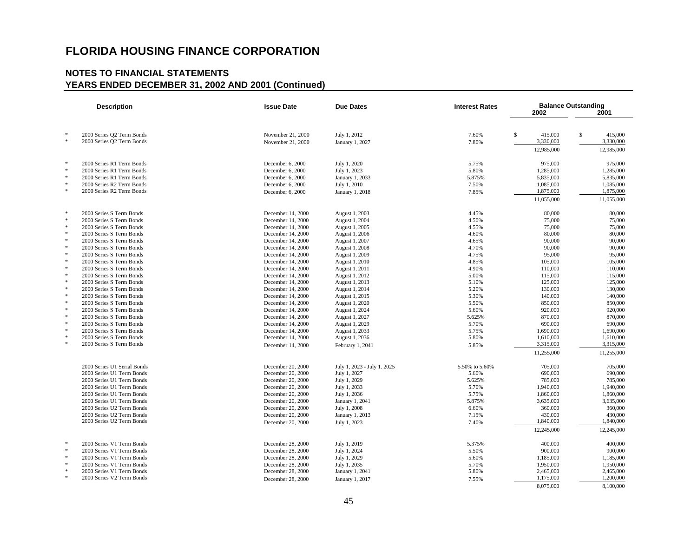|                  | <b>Description</b>                                   | <b>Issue Date</b>                      | <b>Due Dates</b>                 | <b>Interest Rates</b> | 2002                    | <b>Balance Outstanding</b><br>2001 |
|------------------|------------------------------------------------------|----------------------------------------|----------------------------------|-----------------------|-------------------------|------------------------------------|
| $\ast$<br>$\ast$ | 2000 Series Q2 Term Bonds                            | November 21, 2000                      | July 1, 2012                     | 7.60%                 | S<br>415,000            | $\mathbb{S}$<br>415,000            |
|                  | 2000 Series Q2 Term Bonds                            | November 21, 2000                      | January 1, 2027                  | 7.80%                 | 3,330,000<br>12,985,000 | 3,330,000<br>12,985,000            |
| $\ast$           | 2000 Series R1 Term Bonds                            | December 6, 2000                       | July 1, 2020                     | 5.75%                 | 975,000                 | 975,000                            |
| $\ast$           | 2000 Series R1 Term Bonds                            | December 6, 2000                       | July 1, 2023                     | 5.80%                 | 1,285,000               | 1,285,000                          |
| $\ast$           | 2000 Series R1 Term Bonds                            | December 6, 2000                       | January 1, 2033                  | 5.875%                | 5,835,000               | 5,835,000                          |
| $\ast$<br>s.     | 2000 Series R2 Term Bonds                            | December 6, 2000                       | July 1, 2010                     | 7.50%                 | 1,085,000               | 1,085,000                          |
|                  | 2000 Series R2 Term Bonds                            | December 6, 2000                       | January 1, 2018                  | 7.85%                 | 1,875,000               | 1,875,000                          |
|                  |                                                      |                                        |                                  |                       | 11,055,000              | 11,055,000                         |
| $\frac{1}{2}$    | 2000 Series S Term Bonds                             | December 14, 2000                      | August 1, 2003                   | 4.45%                 | 80,000                  | 80,000                             |
| $\ast$           | 2000 Series S Term Bonds                             | December 14, 2000                      | August 1, 2004                   | 4.50%                 | 75,000                  | 75,000                             |
| $\ast$           | 2000 Series S Term Bonds                             | December 14, 2000                      | August 1, 2005                   | 4.55%                 | 75,000                  | 75,000                             |
| $\ast$           | 2000 Series S Term Bonds                             | December 14, 2000                      | August 1, 2006                   | 4.60%                 | 80,000                  | 80,000                             |
| $\ast$           | 2000 Series S Term Bonds                             | December 14, 2000                      | August 1, 2007                   | 4.65%                 | 90,000                  | 90,000                             |
| $\ast$<br>$\ast$ | 2000 Series S Term Bonds                             | December 14, 2000                      | August 1, 2008                   | 4.70%                 | 90,000                  | 90,000                             |
| $\ast$           | 2000 Series S Term Bonds                             | December 14, 2000                      | August 1, 2009                   | 4.75%                 | 95,000                  | 95,000                             |
| $\ast$           | 2000 Series S Term Bonds<br>2000 Series S Term Bonds | December 14, 2000                      | August 1, 2010                   | 4.85%                 | 105,000                 | 105,000                            |
| $\ast$           | 2000 Series S Term Bonds                             | December 14, 2000<br>December 14, 2000 | August 1, 2011<br>August 1, 2012 | 4.90%<br>5.00%        | 110,000<br>115,000      | 110,000<br>115,000                 |
| $\ast$           | 2000 Series S Term Bonds                             | December 14, 2000                      | August 1, 2013                   | 5.10%                 | 125,000                 | 125,000                            |
| $\ast$           | 2000 Series S Term Bonds                             | December 14, 2000                      | August 1, 2014                   | 5.20%                 | 130,000                 | 130,000                            |
| $\ast$           | 2000 Series S Term Bonds                             | December 14, 2000                      | August 1, 2015                   | 5.30%                 | 140,000                 | 140,000                            |
| $\ast$           | 2000 Series S Term Bonds                             | December 14, 2000                      | August 1, 2020                   | 5.50%                 | 850,000                 | 850,000                            |
| $\ast$           | 2000 Series S Term Bonds                             | December 14, 2000                      | August 1, 2024                   | 5.60%                 | 920,000                 | 920,000                            |
| $\ast$           | 2000 Series S Term Bonds                             | December 14, 2000                      | August 1, 2027                   | 5.625%                | 870,000                 | 870,000                            |
| $\ast$           | 2000 Series S Term Bonds                             | December 14, 2000                      | August 1, 2029                   | 5.70%                 | 690,000                 | 690,000                            |
| $\ast$           | 2000 Series S Term Bonds                             | December 14, 2000                      | August 1, 2033                   | 5.75%                 | 1,690,000               | 1,690,000                          |
| $\ast$           | 2000 Series S Term Bonds                             | December 14, 2000                      | August 1, 2036                   | 5.80%                 | 1,610,000               | 1,610,000                          |
| $\ast$           | 2000 Series S Term Bonds                             | December 14, 2000                      | February 1, 2041                 | 5.85%                 | 3,315,000               | 3,315,000                          |
|                  |                                                      |                                        |                                  |                       | 11,255,000              | 11,255,000                         |
|                  | 2000 Series U1 Serial Bonds                          | December 20, 2000                      | July 1, 2023 - July 1, 2025      | 5.50% to 5.60%        | 705,000                 | 705,000                            |
|                  | 2000 Series U1 Term Bonds                            | December 20, 2000                      | July 1, 2027                     | 5.60%                 | 690,000                 | 690,000                            |
|                  | 2000 Series U1 Term Bonds                            | December 20, 2000                      | July 1, 2029                     | 5.625%                | 785,000                 | 785,000                            |
|                  | 2000 Series U1 Term Bonds                            | December 20, 2000                      | July 1, 2033                     | 5.70%                 | 1,940,000               | 1,940,000                          |
|                  | 2000 Series U1 Term Bonds                            | December 20, 2000                      | July 1, 2036                     | 5.75%                 | 1,860,000               | 1,860,000                          |
|                  | 2000 Series U1 Term Bonds                            | December 20, 2000                      | January 1, 2041                  | 5.875%                | 3,635,000               | 3,635,000                          |
|                  | 2000 Series U2 Term Bonds                            | December 20, 2000                      | July 1, 2008                     | 6.60%                 | 360,000                 | 360,000                            |
|                  | 2000 Series U2 Term Bonds                            | December 20, 2000                      | January 1, 2013                  | 7.15%                 | 430,000                 | 430,000                            |
|                  | 2000 Series U2 Term Bonds                            | December 20, 2000                      | July 1, 2023                     | 7.40%                 | 1,840,000               | 1,840,000                          |
|                  |                                                      |                                        |                                  |                       | 12,245,000              | 12,245,000                         |
| 米                | 2000 Series V1 Term Bonds                            | December 28, 2000                      | July 1, 2019                     | 5.375%                | 400,000                 | 400,000                            |
| $\ast$           | 2000 Series V1 Term Bonds                            | December 28, 2000                      | July 1, 2024                     | 5.50%                 | 900,000                 | 900,000                            |
| $\ast$           | 2000 Series V1 Term Bonds                            | December 28, 2000                      | July 1, 2029                     | 5.60%                 | 1,185,000               | 1,185,000                          |
| $\ast$           | 2000 Series V1 Term Bonds                            | December 28, 2000                      | July 1, 2035                     | 5.70%                 | 1,950,000               | 1,950,000                          |
| $\ast$<br>$\ast$ | 2000 Series V1 Term Bonds                            | December 28, 2000                      | January 1, 2041                  | 5.80%                 | 2,465,000               | 2,465,000                          |
|                  | 2000 Series V2 Term Bonds                            | December 28, 2000                      | January 1, 2017                  | 7.55%                 | 1,175,000               | 1,200,000                          |
|                  |                                                      |                                        |                                  |                       | 8,075,000               | 8,100,000                          |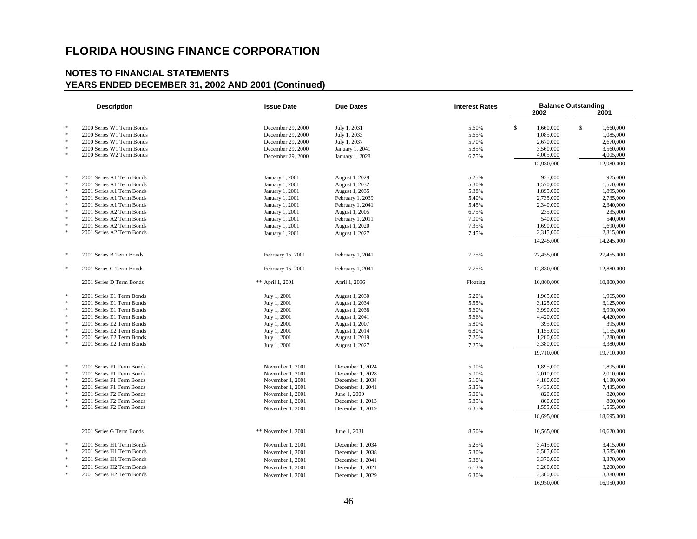|               | <b>Description</b>        | <b>Issue Date</b>   | <b>Due Dates</b> | <b>Interest Rates</b> | 2002            | <b>Balance Outstanding</b><br>2001 |
|---------------|---------------------------|---------------------|------------------|-----------------------|-----------------|------------------------------------|
| $\ast$        | 2000 Series W1 Term Bonds |                     | July 1, 2031     |                       | s.<br>1,660,000 | \$<br>1,660,000                    |
| $\ast$        | 2000 Series W1 Term Bonds | December 29, 2000   |                  | 5.60%                 |                 |                                    |
| $\ast$        |                           | December 29, 2000   | July 1, 2033     | 5.65%                 | 1,085,000       | 1,085,000                          |
| $\ast$        | 2000 Series W1 Term Bonds | December 29, 2000   | July 1, 2037     | 5.70%                 | 2,670,000       | 2,670,000                          |
| $\ast$        | 2000 Series W1 Term Bonds | December 29, 2000   | January 1, 2041  | 5.85%                 | 3,560,000       | 3,560,000                          |
|               | 2000 Series W2 Term Bonds | December 29, 2000   | January 1, 2028  | 6.75%                 | 4,005,000       | 4,005,000                          |
|               |                           |                     |                  |                       | 12,980,000      | 12,980,000                         |
| $\ast$        | 2001 Series A1 Term Bonds | January 1, 2001     | August 1, 2029   | 5.25%                 | 925,000         | 925,000                            |
| $\ast$        | 2001 Series A1 Term Bonds | January 1, 2001     | August 1, 2032   | 5.30%                 | 1,570,000       | 1,570,000                          |
| $\ast$        | 2001 Series A1 Term Bonds | January 1, 2001     | August 1, 2035   | 5.38%                 | 1,895,000       | 1,895,000                          |
| $\ast$        | 2001 Series A1 Term Bonds | January 1, 2001     | February 1, 2039 | 5.40%                 | 2,735,000       | 2,735,000                          |
| $\ast$        | 2001 Series A1 Term Bonds | January 1, 2001     | February 1, 2041 | 5.45%                 | 2,340,000       | 2,340,000                          |
| $\ast$        | 2001 Series A2 Term Bonds | January 1, 2001     | August 1, 2005   | 6.75%                 | 235,000         | 235,000                            |
| $\ast$        | 2001 Series A2 Term Bonds | January 1, 2001     | February 1, 2011 | 7.00%                 | 540,000         | 540,000                            |
| $\ast$        | 2001 Series A2 Term Bonds | January 1, 2001     | August 1, 2020   | 7.35%                 | 1,690,000       | 1,690,000                          |
| $\ast$        | 2001 Series A2 Term Bonds | January 1, 2001     | August 1, 2027   | 7.45%                 | 2,315,000       | 2,315,000                          |
|               |                           |                     |                  |                       | 14,245,000      | 14,245,000                         |
| $\frac{1}{2}$ | 2001 Series B Term Bonds  | February 15, 2001   | February 1, 2041 | 7.75%                 | 27,455,000      | 27,455,000                         |
| $\ast$        | 2001 Series C Term Bonds  | February 15, 2001   | February 1, 2041 | 7.75%                 | 12,880,000      | 12,880,000                         |
|               | 2001 Series D Term Bonds  | ** April 1, 2001    | April 1, 2036    | Floating              | 10,800,000      | 10,800,000                         |
| 米             | 2001 Series E1 Term Bonds | July 1, 2001        | August 1, 2030   | 5.20%                 | 1,965,000       | 1,965,000                          |
| $\ast$        | 2001 Series E1 Term Bonds | July 1, 2001        | August 1, 2034   | 5.55%                 | 3,125,000       | 3,125,000                          |
| $\ast$        | 2001 Series E1 Term Bonds | July 1, 2001        | August 1, 2038   | 5.60%                 | 3,990,000       | 3,990,000                          |
| $\ast$        | 2001 Series E1 Term Bonds | July 1, 2001        | August 1, 2041   | 5.66%                 | 4,420,000       | 4,420,000                          |
| $\ast$        | 2001 Series E2 Term Bonds | July 1, 2001        | August 1, 2007   | 5.80%                 | 395,000         | 395,000                            |
| $\ast$        | 2001 Series E2 Term Bonds | July 1, 2001        | August 1, 2014   | 6.80%                 | 1,155,000       | 1,155,000                          |
| ×             | 2001 Series E2 Term Bonds | July 1, 2001        | August 1, 2019   | 7.20%                 | 1,280,000       | 1,280,000                          |
| $\frac{1}{2}$ | 2001 Series E2 Term Bonds | July 1, 2001        | August 1, 2027   | 7.25%                 | 3,380,000       | 3,380,000                          |
|               |                           |                     |                  |                       | 19,710,000      | 19,710,000                         |
| $\frac{1}{2}$ | 2001 Series F1 Term Bonds | November 1, 2001    | December 1, 2024 | 5.00%                 | 1,895,000       | 1,895,000                          |
| $\ast$        | 2001 Series F1 Term Bonds | November 1, 2001    | December 1, 2028 | 5.00%                 | 2,010,000       | 2,010,000                          |
| $\ast$        | 2001 Series F1 Term Bonds | November 1, 2001    | December 1, 2034 | 5.10%                 | 4,180,000       | 4,180,000                          |
| $\ast$        | 2001 Series F1 Term Bonds | November 1, 2001    | December 1, 2041 | 5.35%                 | 7,435,000       | 7,435,000                          |
| $\ast$        | 2001 Series F2 Term Bonds | November 1, 2001    | June 1, 2009     | 5.00%                 | 820,000         | 820,000                            |
| $\frac{1}{2}$ | 2001 Series F2 Term Bonds | November 1, 2001    | December 1, 2013 | 5.85%                 | 800,000         | 800,000                            |
| $\ast$        | 2001 Series F2 Term Bonds | November 1, 2001    | December 1, 2019 | 6.35%                 | 1,555,000       | 1,555,000                          |
|               |                           |                     |                  |                       | 18,695,000      | 18,695,000                         |
|               |                           |                     |                  |                       |                 |                                    |
|               | 2001 Series G Term Bonds  | ** November 1, 2001 | June 1, 2031     | 8.50%                 | 10,565,000      | 10,620,000                         |
| $\ast$        | 2001 Series H1 Term Bonds | November 1, 2001    | December 1, 2034 | 5.25%                 | 3,415,000       | 3,415,000                          |
| $\cdot$       | 2001 Series H1 Term Bonds | November 1, 2001    | December 1, 2038 | 5.30%                 | 3,585,000       | 3,585,000                          |
| $\ast$        | 2001 Series H1 Term Bonds | November 1, 2001    | December 1, 2041 | 5.38%                 | 3,370,000       | 3,370,000                          |
| $\ast$        | 2001 Series H2 Term Bonds | November 1, 2001    | December 1, 2021 | 6.13%                 | 3,200,000       | 3,200,000                          |
| $\ast$        | 2001 Series H2 Term Bonds |                     |                  |                       | 3,380,000       | 3,380,000                          |
|               |                           | November 1, 2001    | December 1, 2029 | 6.30%                 |                 |                                    |
|               |                           |                     |                  |                       | 16.950,000      | 16.950,000                         |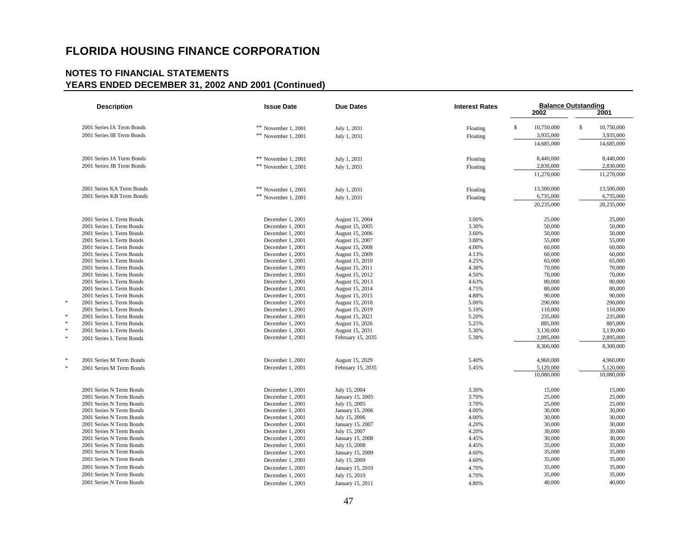| <b>Description</b>                                   | <b>Issue Date</b>                    | <b>Due Dates</b>                   | <b>Interest Rates</b> | <b>Balance Outstanding</b><br>2002 | 2001             |
|------------------------------------------------------|--------------------------------------|------------------------------------|-----------------------|------------------------------------|------------------|
| 2001 Series IA Term Bonds                            | ** November 1, 2001                  | July 1, 2031                       | Floating              | \$<br>10,750,000                   | \$<br>10,750,000 |
| 2001 Series IB Term Bonds                            | ** November 1, 2001                  | July 1, 2031                       | Floating              | 3,935,000                          | 3,935,000        |
|                                                      |                                      |                                    |                       | 14,685,000                         | 14,685,000       |
| 2001 Series JA Term Bonds                            | ** November 1, 2001                  | July 1, 2031                       | Floating              | 8,440,000                          | 8,440,000        |
| 2001 Series JB Term Bonds                            | ** November 1, 2001                  | July 1, 2031                       | Floating              | 2,830,000                          | 2,830,000        |
|                                                      |                                      |                                    |                       | 11,270,000                         | 11,270,000       |
| 2001 Series KA Term Bonds                            | ** November 1, 2001                  | July 1, 2031                       | Floating              | 13,500,000                         | 13,500,000       |
| 2001 Series KB Term Bonds                            | ** November 1, 2001                  | July 1, 2031                       | Floating              | 6,735,000                          | 6,735,000        |
|                                                      |                                      |                                    |                       | 20,235,000                         | 20,235,000       |
| 2001 Series L Term Bonds                             | December 1, 2001                     | August 15, 2004                    | 3.00%                 | 25,000                             | 25,000           |
| 2001 Series L Term Bonds                             | December 1, 2001                     | August 15, 2005                    | 3.30%                 | 50,000                             | 50,000           |
| 2001 Series L Term Bonds                             | December 1, 2001                     | August 15, 2006                    | 3.60%                 | 50,000                             | 50,000           |
| 2001 Series L Term Bonds                             | December 1, 2001                     | August 15, 2007                    | 3.88%                 | 55,000                             | 55,000           |
| 2001 Series L Term Bonds<br>2001 Series L Term Bonds | December 1, 2001                     | August 15, 2008                    | 4.00%<br>4.13%        | 60,000                             | 60,000           |
| 2001 Series L Term Bonds                             | December 1, 2001<br>December 1, 2001 | August 15, 2009<br>August 15, 2010 | 4.25%                 | 60,000<br>65,000                   | 60,000<br>65,000 |
| 2001 Series L Term Bonds                             | December 1, 2001                     | August 15, 2011                    | 4.38%                 | 70,000                             | 70,000           |
| 2001 Series L Term Bonds                             | December 1, 2001                     | August 15, 2012                    | 4.50%                 | 70,000                             | 70,000           |
| 2001 Series L Term Bonds                             | December 1, 2001                     | August 15, 2013                    | 4.63%                 | 80,000                             | 80,000           |
| 2001 Series L Term Bonds                             | December 1, 2001                     | August 15, 2014                    | 4.75%                 | 80,000                             | 80,000           |
| 2001 Series L Term Bonds                             | December 1, 2001                     | August 15, 2015                    | 4.88%                 | 90,000                             | 90,000           |
| 2001 Series L Term Bonds                             | December 1, 2001                     | August 15, 2018                    | 5.00%                 | 290,000                            | 290,000          |
| 2001 Series L Term Bonds                             | December 1, 2001                     | August 15, 2019                    | 5.10%                 | 110,000                            | 110,000          |
| 2001 Series L Term Bonds                             | December 1, 2001                     | August 15, 2021                    | 5.20%                 | 235,000                            | 235,000          |
| 2001 Series L Term Bonds                             | December 1, 2001                     | August 15, 2026                    | 5.25%                 | 885,000                            | 885,000          |
| 2001 Series L Term Bonds                             | December 1, 2001                     | August 15, 2031                    | 5.30%                 | 3,130,000                          | 3,130,000        |
| 2001 Series L Term Bonds                             | December 1, 2001                     | February 15, 2035                  | 5.38%                 | 2,895,000                          | 2,895,000        |
|                                                      |                                      |                                    |                       | 8,300,000                          | 8,300,000        |
| 2001 Series M Term Bonds                             | December 1, 2001                     | August 15, 2029                    | 5.40%                 | 4,960,000                          | 4,960,000        |
| 2001 Series M Term Bonds                             | December 1, 2001                     | February 15, 2035                  | 5.45%                 | 5,120,000                          | 5,120,000        |
|                                                      |                                      |                                    |                       | 10,080,000                         | 10,080,000       |
| 2001 Series N Term Bonds                             | December 1, 2001                     | July 15, 2004                      | 3.30%                 | 15,000                             | 15,000           |
| 2001 Series N Term Bonds                             | December 1, 2001                     | January 15, 2005                   | 3.70%                 | 25,000                             | 25,000           |
| 2001 Series N Term Bonds<br>2001 Series N Term Bonds | December 1, 2001                     | July 15, 2005                      | 3.70%                 | 25,000                             | 25,000           |
| 2001 Series N Term Bonds                             | December 1, 2001<br>December 1, 2001 | January 15, 2006<br>July 15, 2006  | 4.00%<br>4.00%        | 30,000<br>30,000                   | 30,000<br>30,000 |
| 2001 Series N Term Bonds                             | December 1, 2001                     | January 15, 2007                   | 4.20%                 | 30,000                             | 30,000           |
| 2001 Series N Term Bonds                             | December 1, 2001                     | July 15, 2007                      | 4.20%                 | 30,000                             | 30,000           |
| 2001 Series N Term Bonds                             | December 1, 2001                     | January 15, 2008                   | 4.45%                 | 30,000                             | 30,000           |
| 2001 Series N Term Bonds                             | December 1, 2001                     | July 15, 2008                      | 4.45%                 | 35,000                             | 35,000           |
| 2001 Series N Term Bonds                             | December 1, 2001                     | January 15, 2009                   | 4.60%                 | 35,000                             | 35,000           |
| 2001 Series N Term Bonds                             | December 1, 2001                     | July 15, 2009                      | 4.60%                 | 35,000                             | 35,000           |
| 2001 Series N Term Bonds                             | December 1, 2001                     | January 15, 2010                   | 4.70%                 | 35,000                             | 35,000           |
| 2001 Series N Term Bonds                             | December 1, 2001                     | July 15, 2010                      | 4.70%                 | 35,000                             | 35,000           |
| 2001 Series N Term Bonds                             | December 1, 2001                     | January 15, 2011                   | 4.80%                 | 40,000                             | 40,000           |
|                                                      |                                      |                                    |                       |                                    |                  |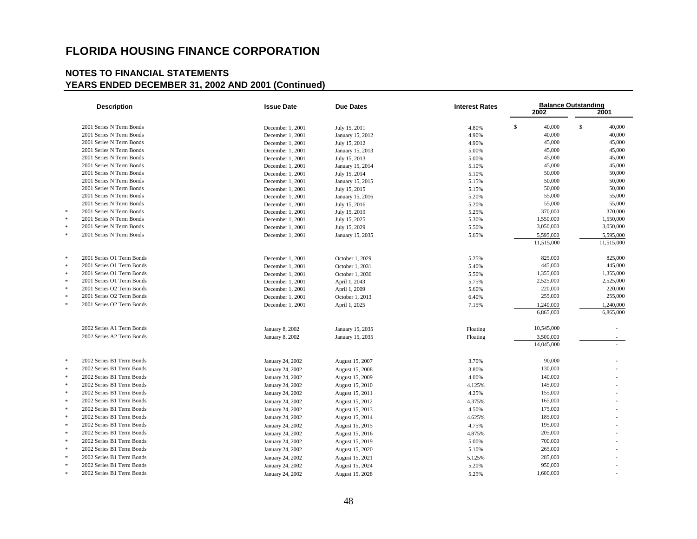| <b>Description</b>        | <b>Issue Date</b> | <b>Due Dates</b> | <b>Interest Rates</b> | 2002         | <b>Balance Outstanding</b><br>2001 |
|---------------------------|-------------------|------------------|-----------------------|--------------|------------------------------------|
| 2001 Series N Term Bonds  | December 1, 2001  | July 15, 2011    | 4.80%                 | \$<br>40,000 | \$<br>40,000                       |
| 2001 Series N Term Bonds  | December 1, 2001  | January 15, 2012 | 4.90%                 | 40,000       | 40,000                             |
| 2001 Series N Term Bonds  | December 1, 2001  | July 15, 2012    | 4.90%                 | 45,000       | 45,000                             |
| 2001 Series N Term Bonds  | December 1, 2001  | January 15, 2013 | 5.00%                 | 45,000       | 45,000                             |
| 2001 Series N Term Bonds  | December 1, 2001  | July 15, 2013    | 5.00%                 | 45,000       | 45,000                             |
| 2001 Series N Term Bonds  | December 1, 2001  | January 15, 2014 | 5.10%                 | 45,000       | 45,000                             |
| 2001 Series N Term Bonds  | December 1, 2001  | July 15, 2014    | 5.10%                 | 50,000       | 50,000                             |
| 2001 Series N Term Bonds  | December 1, 2001  | January 15, 2015 | 5.15%                 | 50,000       | 50,000                             |
| 2001 Series N Term Bonds  | December 1, 2001  | July 15, 2015    | 5.15%                 | 50,000       | 50,000                             |
| 2001 Series N Term Bonds  | December 1, 2001  | January 15, 2016 | 5.20%                 | 55,000       | 55,000                             |
| 2001 Series N Term Bonds  | December 1, 2001  | July 15, 2016    | 5.20%                 | 55,000       | 55,000                             |
| 2001 Series N Term Bonds  | December 1, 2001  | July 15, 2019    | 5.25%                 | 370,000      | 370,000                            |
| 2001 Series N Term Bonds  | December 1, 2001  | July 15, 2025    | 5.30%                 | 1,550,000    | 1,550,000                          |
| 2001 Series N Term Bonds  | December 1, 2001  | July 15, 2029    | 5.50%                 | 3,050,000    | 3,050,000                          |
| 2001 Series N Term Bonds  | December 1, 2001  | January 15, 2035 | 5.65%                 | 5,595,000    | 5,595,000                          |
|                           |                   |                  |                       | 11,515,000   | 11,515,000                         |
| 2001 Series O1 Term Bonds | December 1, 2001  | October 1, 2029  | 5.25%                 | 825,000      | 825,000                            |
| 2001 Series O1 Term Bonds | December 1, 2001  | October 1, 2031  | 5.40%                 | 445,000      | 445,000                            |
| 2001 Series O1 Term Bonds | December 1, 2001  | October 1, 2036  | 5.50%                 | 1,355,000    | 1,355,000                          |
| 2001 Series O1 Term Bonds | December 1, 2001  | April 1, 2043    | 5.75%                 | 2,525,000    | 2,525,000                          |
| 2001 Series O2 Term Bonds | December 1, 2001  | April 1, 2009    | 5.60%                 | 220,000      | 220,000                            |
| 2001 Series O2 Term Bonds | December 1, 2001  | October 1, 2013  | 6.40%                 | 255,000      | 255,000                            |
| 2001 Series O2 Term Bonds | December 1, 2001  | April 1, 2025    | 7.15%                 | 1,240,000    | 1,240,000                          |
|                           |                   |                  |                       | 6,865,000    | 6,865,000                          |
| 2002 Series A1 Term Bonds | January 8, 2002   | January 15, 2035 | Floating              | 10,545,000   |                                    |
| 2002 Series A2 Term Bonds | January 8, 2002   | January 15, 2035 | Floating              | 3,500,000    |                                    |
|                           |                   |                  |                       | 14,045,000   |                                    |
| 2002 Series B1 Term Bonds | January 24, 2002  | August 15, 2007  | 3.70%                 | 90,000       |                                    |
| 2002 Series B1 Term Bonds | January 24, 2002  | August 15, 2008  | 3.80%                 | 130,000      |                                    |
| 2002 Series B1 Term Bonds | January 24, 2002  | August 15, 2009  | 4.00%                 | 140,000      |                                    |
| 2002 Series B1 Term Bonds | January 24, 2002  | August 15, 2010  | 4.125%                | 145,000      |                                    |
| 2002 Series B1 Term Bonds | January 24, 2002  | August 15, 2011  | 4.25%                 | 155,000      |                                    |
| 2002 Series B1 Term Bonds | January 24, 2002  | August 15, 2012  | 4.375%                | 165,000      |                                    |
| 2002 Series B1 Term Bonds | January 24, 2002  | August 15, 2013  | 4.50%                 | 175,000      |                                    |
| 2002 Series B1 Term Bonds | January 24, 2002  | August 15, 2014  | 4.625%                | 185,000      |                                    |
| 2002 Series B1 Term Bonds | January 24, 2002  | August 15, 2015  | 4.75%                 | 195,000      |                                    |
| 2002 Series B1 Term Bonds | January 24, 2002  | August 15, 2016  | 4.875%                | 205,000      |                                    |
| 2002 Series B1 Term Bonds | January 24, 2002  | August 15, 2019  | 5.00%                 | 700,000      |                                    |
| 2002 Series B1 Term Bonds | January 24, 2002  | August 15, 2020  | 5.10%                 | 265,000      |                                    |
| 2002 Series B1 Term Bonds | January 24, 2002  | August 15, 2021  | 5.125%                | 285,000      |                                    |
| 2002 Series B1 Term Bonds | January 24, 2002  | August 15, 2024  | 5.20%                 | 950,000      |                                    |
| 2002 Series B1 Term Bonds | January 24, 2002  | August 15, 2028  | 5.25%                 | 1,600,000    |                                    |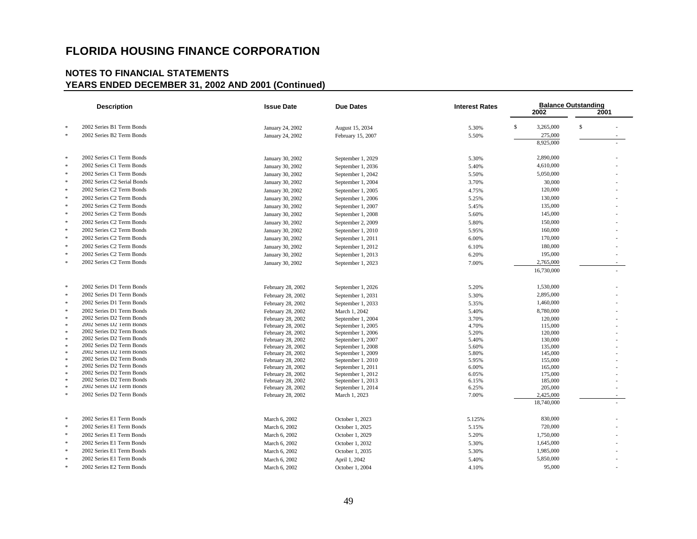|                  | <b>Description</b>                                     | <b>Issue Date</b>                      | <b>Due Dates</b>                       | <b>Interest Rates</b> |                    | <b>Balance Outstanding</b> |
|------------------|--------------------------------------------------------|----------------------------------------|----------------------------------------|-----------------------|--------------------|----------------------------|
|                  |                                                        |                                        |                                        |                       | 2002               | 2001                       |
| $\ast$           | 2002 Series B1 Term Bonds                              | January 24, 2002                       | August 15, 2034                        | 5.30%                 | \$<br>3,265,000    | \$                         |
| $\ast$           | 2002 Series B2 Term Bonds                              | January 24, 2002                       | February 15, 2007                      | 5.50%                 | 275,000            |                            |
|                  |                                                        |                                        |                                        |                       | 8,925,000          |                            |
| *                | 2002 Series C1 Term Bonds                              | January 30, 2002                       | September 1, 2029                      | 5.30%                 | 2,890,000          |                            |
| $\ast$           | 2002 Series C1 Term Bonds                              | January 30, 2002                       | September 1, 2036                      | 5.40%                 | 4,610,000          |                            |
| $\ast$           | 2002 Series C1 Term Bonds                              | January 30, 2002                       | September 1, 2042                      | 5.50%                 | 5,050,000          |                            |
|                  | 2002 Series C2 Serial Bonds                            | January 30, 2002                       | September 1, 2004                      | 3.70%                 | 30,000             |                            |
| $\ast$           | 2002 Series C2 Term Bonds                              |                                        |                                        |                       | 120,000            |                            |
| *                | 2002 Series C2 Term Bonds                              | January 30, 2002                       | September 1, 2005                      | 4.75%                 | 130,000            |                            |
| $\mathcal{R}$    |                                                        | January 30, 2002                       | September 1, 2006                      | 5.25%                 |                    |                            |
|                  | 2002 Series C2 Term Bonds                              | January 30, 2002                       | September 1, 2007                      | 5.45%                 | 135,000            |                            |
| $\ast$           | 2002 Series C2 Term Bonds                              | January 30, 2002                       | September 1, 2008                      | 5.60%                 | 145,000            |                            |
| $\ast$           | 2002 Series C2 Term Bonds                              | January 30, 2002                       | September 2, 2009                      | 5.80%                 | 150,000            |                            |
| $\ast$           | 2002 Series C2 Term Bonds                              | January 30, 2002                       | September 1, 2010                      | 5.95%                 | 160,000            |                            |
| $\ast$           | 2002 Series C2 Term Bonds                              | January 30, 2002                       | September 1, 2011                      | 6.00%                 | 170,000            |                            |
| $\ast$           | 2002 Series C2 Term Bonds                              | January 30, 2002                       | September 1, 2012                      | 6.10%                 | 180,000            |                            |
| $\ast$           | 2002 Series C2 Term Bonds                              | January 30, 2002                       | September 1, 2013                      | 6.20%                 | 195,000            |                            |
| $\ast$           | 2002 Series C2 Term Bonds                              | January 30, 2002                       | September 1, 2023                      | 7.00%                 | 2,765,000          |                            |
|                  |                                                        |                                        |                                        |                       | 16,730,000         |                            |
|                  |                                                        |                                        |                                        |                       |                    |                            |
| $\ast$           | 2002 Series D1 Term Bonds                              | February 28, 2002                      | September 1, 2026                      | 5.20%                 | 1,530,000          |                            |
| $\ast$           | 2002 Series D1 Term Bonds                              | February 28, 2002                      | September 1, 2031                      | 5.30%                 | 2,895,000          |                            |
| $\ast$           | 2002 Series D1 Term Bonds                              | February 28, 2002                      | September 1, 2033                      | 5.35%                 | 1,460,000          |                            |
| $\ast$           | 2002 Series D1 Term Bonds                              | February 28, 2002                      | March 1, 2042                          | 5.40%                 | 8,780,000          |                            |
| $\ast$           | 2002 Series D2 Term Bonds                              | February 28, 2002                      | September 1, 2004                      | 3.70%                 | 120,000            |                            |
| $\ast$           | 2002 Series D2 Term Bonds                              | February 28, 2002                      | September 1, 2005                      | 4.70%                 | 115,000            |                            |
| $\ast$           | 2002 Series D2 Term Bonds                              | February 28, 2002                      | September 1, 2006                      | 5.20%                 | 120,000            |                            |
| $\ast$           | 2002 Series D2 Term Bonds                              | February 28, 2002                      | September 1, 2007                      | 5.40%                 | 130,000            |                            |
| $\ast$           | 2002 Series D2 Term Bonds                              | February 28, 2002                      | September 1, 2008                      | 5.60%                 | 135,000            |                            |
| $\ast$           | 2002 Series D2 Term Bonds                              | February 28, 2002                      | September 1, 2009                      | 5.80%                 | 145,000            |                            |
| $\ast$<br>$\ast$ | 2002 Series D2 Term Bonds<br>2002 Series D2 Term Bonds | February 28, 2002                      | September 1.2010                       | 5.95%                 | 155,000            |                            |
| $\ast$           | 2002 Series D2 Term Bonds                              | February 28, 2002                      | September 1, 2011                      | 6.00%                 | 165,000            |                            |
| $\mathbf{r}$     | 2002 Series D2 Term Bonds                              | February 28, 2002<br>February 28, 2002 | September 1, 2012<br>September 1, 2013 | 6.05%<br>6.15%        | 175,000<br>185,000 |                            |
| $\ast$           | 2002 Series D2 Term Bonds                              | February 28, 2002                      | September 1, 2014                      | 6.25%                 | 205,000            |                            |
| $\ast$           | 2002 Series D2 Term Bonds                              | February 28, 2002                      | March 1, 2023                          | 7.00%                 | 2,425,000          |                            |
|                  |                                                        |                                        |                                        |                       | 18,740,000         |                            |
|                  |                                                        |                                        |                                        |                       |                    |                            |
| $\ast$           | 2002 Series E1 Term Bonds                              | March 6, 2002                          | October 1, 2023                        | 5.125%                | 830,000            |                            |
| $\ast$           | 2002 Series E1 Term Bonds                              | March 6, 2002                          | October 1, 2025                        | 5.15%                 | 720,000            |                            |
| $\ast$           | 2002 Series E1 Term Bonds                              | March 6, 2002                          | October 1, 2029                        | 5.20%                 | 1,750,000          |                            |
| $\ast$           | 2002 Series E1 Term Bonds                              | March 6, 2002                          | October 1, 2032                        | 5.30%                 | 1,645,000          |                            |
| $\ast$           | 2002 Series E1 Term Bonds                              | March 6, 2002                          | October 1, 2035                        | 5.30%                 | 1,985,000          |                            |
| $\ast$           | 2002 Series E1 Term Bonds                              | March 6, 2002                          | April 1, 2042                          | 5.40%                 | 5,850,000          |                            |
|                  | 2002 Series E2 Term Bonds                              | March 6, 2002                          | October 1, 2004                        | 4.10%                 | 95,000             |                            |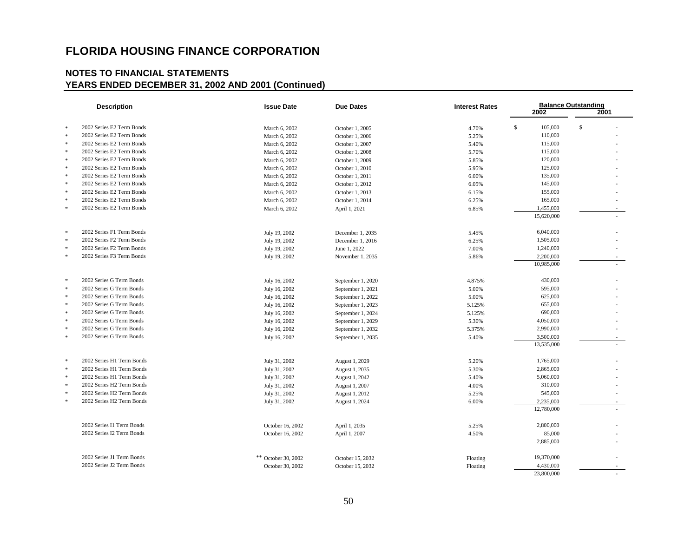|               | <b>Description</b>        | <b>Issue Date</b>   | <b>Due Dates</b>  | <b>Interest Rates</b> | 2002                    | <b>Balance Outstanding</b><br>2001 |
|---------------|---------------------------|---------------------|-------------------|-----------------------|-------------------------|------------------------------------|
| $\ast$        | 2002 Series E2 Term Bonds | March 6, 2002       | October 1, 2005   | 4.70%                 | $\mathbb{S}$<br>105,000 | \$                                 |
| $\ast$        | 2002 Series E2 Term Bonds | March 6, 2002       | October 1, 2006   | 5.25%                 | 110,000                 |                                    |
| $\ast$        | 2002 Series E2 Term Bonds | March 6, 2002       | October 1, 2007   | 5.40%                 | 115,000                 |                                    |
| $\ast$        | 2002 Series E2 Term Bonds | March 6, 2002       | October 1, 2008   | 5.70%                 | 115,000                 |                                    |
| $\ast$        | 2002 Series E2 Term Bonds | March 6, 2002       | October 1, 2009   | 5.85%                 | 120,000                 |                                    |
| $\ast$        | 2002 Series E2 Term Bonds | March 6, 2002       | October 1, 2010   | 5.95%                 | 125,000                 |                                    |
| $\ast$        | 2002 Series E2 Term Bonds | March 6, 2002       | October 1, 2011   | 6.00%                 | 135,000                 |                                    |
| $\ast$        | 2002 Series E2 Term Bonds | March 6, 2002       | October 1, 2012   | 6.05%                 | 145,000                 |                                    |
| $\ast$        | 2002 Series E2 Term Bonds | March 6, 2002       | October 1, 2013   | 6.15%                 | 155,000                 |                                    |
| $\ast$        | 2002 Series E2 Term Bonds | March 6, 2002       | October 1, 2014   | 6.25%                 | 165,000                 |                                    |
| $\ast$        | 2002 Series E2 Term Bonds | March 6, 2002       | April 1, 2021     | 6.85%                 | 1,455,000               |                                    |
|               |                           |                     |                   |                       | 15,620,000              |                                    |
| $\ast$        | 2002 Series F1 Term Bonds | July 19, 2002       | December 1, 2035  | 5.45%                 | 6,040,000               |                                    |
| $\ast$        | 2002 Series F2 Term Bonds | July 19, 2002       | December 1, 2016  | 6.25%                 | 1,505,000               |                                    |
| $\ast$        | 2002 Series F2 Term Bonds | July 19, 2002       | June 1, 2022      | 7.00%                 | 1,240,000               |                                    |
| $\ast$        | 2002 Series F3 Term Bonds | July 19, 2002       | November 1, 2035  | 5.86%                 | 2,200,000               |                                    |
|               |                           |                     |                   |                       | 10,985,000              |                                    |
| $\ast$        | 2002 Series G Term Bonds  | July 16, 2002       | September 1, 2020 | 4.875%                | 430,000                 |                                    |
| $\ast$        | 2002 Series G Term Bonds  | July 16, 2002       | September 1, 2021 | 5.00%                 | 595,000                 |                                    |
| $\ast$        | 2002 Series G Term Bonds  | July 16, 2002       | September 1, 2022 | 5.00%                 | 625,000                 |                                    |
| $\ast$        | 2002 Series G Term Bonds  | July 16, 2002       | September 1, 2023 | 5.125%                | 655,000                 |                                    |
| $\ast$        | 2002 Series G Term Bonds  | July 16, 2002       | September 1, 2024 | 5.125%                | 690,000                 |                                    |
| $\ast$        | 2002 Series G Term Bonds  | July 16, 2002       | September 1, 2029 | 5.30%                 | 4,050,000               |                                    |
| $\ast$        | 2002 Series G Term Bonds  | July 16, 2002       | September 1, 2032 | 5.375%                | 2,990,000               |                                    |
| $\ast$        | 2002 Series G Term Bonds  | July 16, 2002       | September 1, 2035 | 5.40%                 | 3,500,000               |                                    |
|               |                           |                     |                   |                       | 13,535,000              |                                    |
| $\ast$        | 2002 Series H1 Term Bonds | July 31, 2002       | August 1, 2029    | 5.20%                 | 1,765,000               |                                    |
| $\ast$        | 2002 Series H1 Term Bonds | July 31, 2002       | August 1, 2035    | 5.30%                 | 2,865,000               |                                    |
| $\ast$        | 2002 Series H1 Term Bonds | July 31, 2002       | August 1, 2042    | 5.40%                 | 5,060,000               |                                    |
| $\mathcal{R}$ | 2002 Series H2 Term Bonds | July 31, 2002       | August 1, 2007    | 4.00%                 | 310,000                 |                                    |
| $\ast$        | 2002 Series H2 Term Bonds | July 31, 2002       | August 1, 2012    | 5.25%                 | 545,000                 |                                    |
| $\frac{1}{2}$ | 2002 Series H2 Term Bonds | July 31, 2002       | August 1, 2024    | 6.00%                 | 2,235,000               |                                    |
|               |                           |                     |                   |                       | 12,780,000              |                                    |
|               | 2002 Series I1 Term Bonds | October 16, 2002    | April 1, 2035     | 5.25%                 | 2,800,000               |                                    |
|               | 2002 Series I2 Term Bonds | October 16, 2002    | April 1, 2007     | 4.50%                 | 85,000                  |                                    |
|               |                           |                     |                   |                       | 2,885,000               |                                    |
|               | 2002 Series J1 Term Bonds | ** October 30, 2002 | October 15, 2032  | Floating              | 19,370,000              |                                    |
|               | 2002 Series J2 Term Bonds | October 30, 2002    | October 15, 2032  | Floating              | 4,430,000               |                                    |
|               |                           |                     |                   |                       | 23,800,000              |                                    |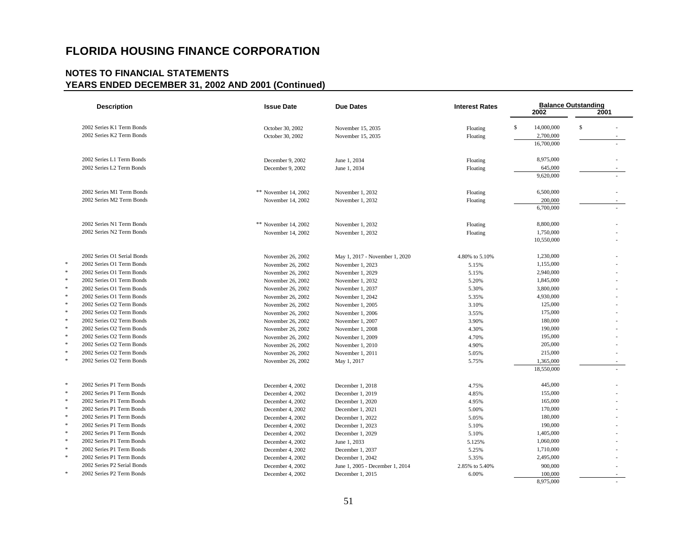| <b>Description</b>          | <b>Issue Date</b>    | <b>Due Dates</b>                | <b>Interest Rates</b> | 2002             | <b>Balance Outstanding</b><br>2001 |
|-----------------------------|----------------------|---------------------------------|-----------------------|------------------|------------------------------------|
| 2002 Series K1 Term Bonds   | October 30, 2002     | November 15, 2035               | Floating              | \$<br>14,000,000 | \$                                 |
| 2002 Series K2 Term Bonds   | October 30, 2002     | November 15, 2035               | Floating              | 2,700,000        |                                    |
|                             |                      |                                 |                       | 16,700,000       |                                    |
| 2002 Series L1 Term Bonds   | December 9, 2002     | June 1, 2034                    | Floating              | 8,975,000        |                                    |
| 2002 Series L2 Term Bonds   | December 9, 2002     | June 1, 2034                    | Floating              | 645,000          |                                    |
|                             |                      |                                 |                       | 9,620,000        |                                    |
| 2002 Series M1 Term Bonds   | ** November 14, 2002 | November 1, 2032                | Floating              | 6,500,000        |                                    |
| 2002 Series M2 Term Bonds   | November 14, 2002    | November 1, 2032                | Floating              | 200,000          |                                    |
|                             |                      |                                 |                       | 6,700,000        |                                    |
| 2002 Series N1 Term Bonds   | ** November 14, 2002 | November 1, 2032                | Floating              | 8,800,000        |                                    |
| 2002 Series N2 Term Bonds   | November 14, 2002    | November 1, 2032                | Floating              | 1,750,000        |                                    |
|                             |                      |                                 |                       | 10,550,000       |                                    |
| 2002 Series O1 Serial Bonds | November 26, 2002    | May 1, 2017 - November 1, 2020  | 4.80% to 5.10%        | 1,230,000        |                                    |
| 2002 Series O1 Term Bonds   | November 26, 2002    | November 1, 2023                | 5.15%                 | 1,155,000        |                                    |
| 2002 Series O1 Term Bonds   | November 26, 2002    | November 1, 2029                | 5.15%                 | 2,940,000        |                                    |
| 2002 Series O1 Term Bonds   | November 26, 2002    | November 1, 2032                | 5.20%                 | 1,845,000        |                                    |
| 2002 Series O1 Term Bonds   | November 26, 2002    | November 1, 2037                | 5.30%                 | 3,800,000        |                                    |
| 2002 Series O1 Term Bonds   | November 26, 2002    | November 1, 2042                | 5.35%                 | 4,930,000        |                                    |
| 2002 Series O2 Term Bonds   | November 26, 2002    | November 1, 2005                | 3.10%                 | 125,000          |                                    |
| 2002 Series O2 Term Bonds   | November 26, 2002    | November 1, 2006                | 3.55%                 | 175,000          |                                    |
| 2002 Series O2 Term Bonds   | November 26, 2002    | November 1, 2007                | 3.90%                 | 180,000          |                                    |
| 2002 Series O2 Term Bonds   | November 26, 2002    | November 1, 2008                | 4.30%                 | 190,000          |                                    |
| 2002 Series O2 Term Bonds   | November 26, 2002    | November 1, 2009                | 4.70%                 | 195,000          |                                    |
| 2002 Series O2 Term Bonds   | November 26, 2002    | November 1, 2010                | 4.90%                 | 205,000          |                                    |
| 2002 Series O2 Term Bonds   | November 26, 2002    | November 1, 2011                | 5.05%                 | 215,000          |                                    |
| 2002 Series O2 Term Bonds   | November 26, 2002    | May 1, 2017                     | 5.75%                 | 1,365,000        |                                    |
|                             |                      |                                 |                       | 18,550,000       |                                    |
| 2002 Series P1 Term Bonds   | December 4, 2002     | December 1, 2018                | 4.75%                 | 445,000          |                                    |
| 2002 Series P1 Term Bonds   | December 4, 2002     | December 1, 2019                | 4.85%                 | 155,000          |                                    |
| 2002 Series P1 Term Bonds   | December 4, 2002     | December 1, 2020                | 4.95%                 | 165,000          |                                    |
| 2002 Series P1 Term Bonds   | December 4, 2002     | December 1, 2021                | 5.00%                 | 170,000          |                                    |
| 2002 Series P1 Term Bonds   | December 4, 2002     | December 1, 2022                | 5.05%                 | 180,000          |                                    |
| 2002 Series P1 Term Bonds   | December 4, 2002     | December 1, 2023                | 5.10%                 | 190,000          |                                    |
| 2002 Series P1 Term Bonds   | December 4, 2002     | December 1, 2029                | 5.10%                 | 1,405,000        |                                    |
| 2002 Series P1 Term Bonds   | December 4, 2002     | June 1, 2033                    | 5.125%                | 1,060,000        |                                    |
| 2002 Series P1 Term Bonds   | December 4, 2002     | December 1, 2037                | 5.25%                 | 1,710,000        |                                    |
| 2002 Series P1 Term Bonds   | December 4, 2002     | December 1, 2042                | 5.35%                 | 2,495,000        |                                    |
| 2002 Series P2 Serial Bonds | December 4, 2002     | June 1, 2005 - December 1, 2014 | 2.85% to 5.40%        | 900,000          |                                    |
| 2002 Series P2 Term Bonds   | December 4, 2002     | December 1, 2015                | 6.00%                 | 100,000          |                                    |
|                             |                      |                                 |                       | 8,975,000        |                                    |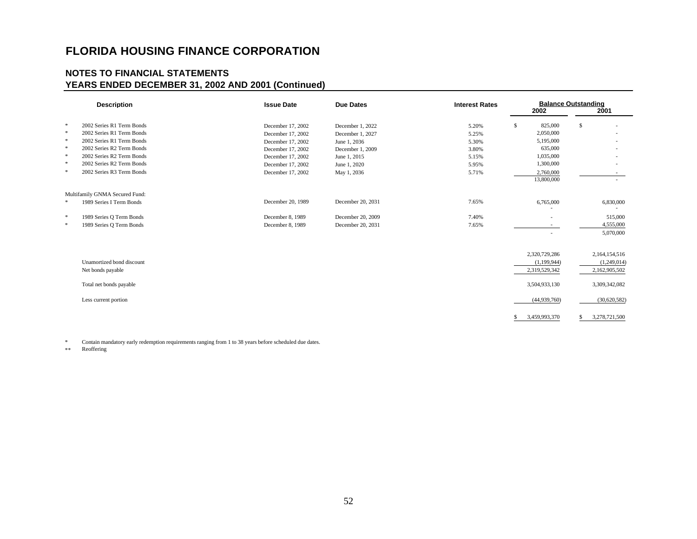### **NOTES TO FINANCIAL STATEMENTS YEARS ENDED DECEMBER 31, 2002 AND 2001 (Continued)**

|        | <b>Description</b>             | <b>Issue Date</b> | <b>Due Dates</b>  | <b>Interest Rates</b> |    | <b>Balance Outstanding</b><br>2002 | 2001          |
|--------|--------------------------------|-------------------|-------------------|-----------------------|----|------------------------------------|---------------|
| *      | 2002 Series R1 Term Bonds      | December 17, 2002 | December 1, 2022  | 5.20%                 | \$ | 825,000                            | \$            |
| $\ast$ | 2002 Series R1 Term Bonds      | December 17, 2002 | December 1, 2027  | 5.25%                 |    | 2,050,000                          |               |
| $\ast$ | 2002 Series R1 Term Bonds      | December 17, 2002 | June 1, 2036      | 5.30%                 |    | 5,195,000                          |               |
| *      | 2002 Series R2 Term Bonds      | December 17, 2002 | December 1, 2009  | 3.80%                 |    | 635,000                            |               |
| $\ast$ | 2002 Series R2 Term Bonds      | December 17, 2002 | June 1, 2015      | 5.15%                 |    | 1,035,000                          |               |
| *      | 2002 Series R2 Term Bonds      | December 17, 2002 | June 1, 2020      | 5.95%                 |    | 1,300,000                          |               |
| $\ast$ | 2002 Series R3 Term Bonds      | December 17, 2002 | May 1, 2036       | 5.71%                 |    | 2,760,000                          |               |
|        |                                |                   |                   |                       |    | 13,800,000                         |               |
|        | Multifamily GNMA Secured Fund: |                   |                   |                       |    |                                    |               |
| *      | 1989 Series I Term Bonds       | December 20, 1989 | December 20, 2031 | 7.65%                 |    | 6,765,000                          | 6,830,000     |
|        |                                |                   |                   |                       |    |                                    |               |
| *      | 1989 Series O Term Bonds       | December 8, 1989  | December 20, 2009 | 7.40%                 |    |                                    | 515,000       |
| $\ast$ | 1989 Series O Term Bonds       | December 8, 1989  | December 20, 2031 | 7.65%                 |    |                                    | 4,555,000     |
|        |                                |                   |                   |                       |    | $\sim$                             | 5,070,000     |
|        |                                |                   |                   |                       |    |                                    |               |
|        |                                |                   |                   |                       |    | 2,320,729,286                      | 2,164,154,516 |
|        | Unamortized bond discount      |                   |                   |                       |    | (1,199,944)                        | (1,249,014)   |
|        | Net bonds payable              |                   |                   |                       |    | 2,319,529,342                      | 2,162,905,502 |
|        | Total net bonds payable        |                   |                   |                       |    | 3,504,933,130                      | 3,309,342,082 |
|        | Less current portion           |                   |                   |                       |    | (44,939,760)                       | (30,620,582)  |
|        |                                |                   |                   |                       | S  | 3,459,993,370                      | 3,278,721,500 |

\* Contain mandatory early redemption requirements ranging from 1 to 38 years before scheduled due dates.

Reoffering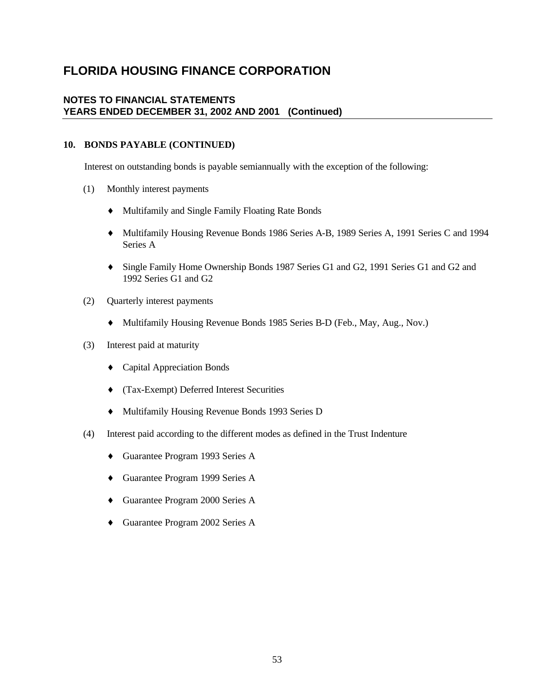### **NOTES TO FINANCIAL STATEMENTS YEARS ENDED DECEMBER 31, 2002 AND 2001 (Continued)**

### **10. BONDS PAYABLE (CONTINUED)**

Interest on outstanding bonds is payable semiannually with the exception of the following:

- (1) Monthly interest payments
	- ♦ Multifamily and Single Family Floating Rate Bonds
	- ♦ Multifamily Housing Revenue Bonds 1986 Series A-B, 1989 Series A, 1991 Series C and 1994 Series A
	- ♦ Single Family Home Ownership Bonds 1987 Series G1 and G2, 1991 Series G1 and G2 and 1992 Series G1 and G2
- (2) Quarterly interest payments
	- ♦ Multifamily Housing Revenue Bonds 1985 Series B-D (Feb., May, Aug., Nov.)
- (3) Interest paid at maturity
	- ♦ Capital Appreciation Bonds
	- ♦ (Tax-Exempt) Deferred Interest Securities
	- ♦ Multifamily Housing Revenue Bonds 1993 Series D
- (4) Interest paid according to the different modes as defined in the Trust Indenture
	- ♦ Guarantee Program 1993 Series A
	- ♦ Guarantee Program 1999 Series A
	- ♦ Guarantee Program 2000 Series A
	- ♦ Guarantee Program 2002 Series A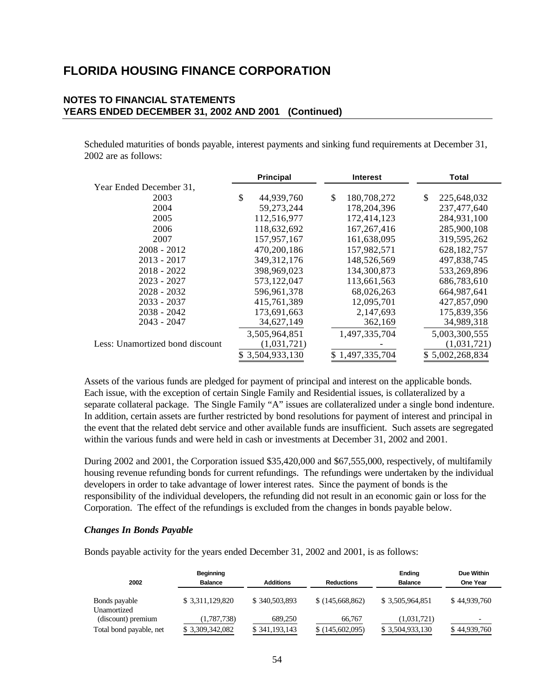### **NOTES TO FINANCIAL STATEMENTS YEARS ENDED DECEMBER 31, 2002 AND 2001 (Continued)**

Scheduled maturities of bonds payable, interest payments and sinking fund requirements at December 31, 2002 are as follows:

|                                 | <b>Principal</b> | <b>Interest</b>   | Total             |
|---------------------------------|------------------|-------------------|-------------------|
| Year Ended December 31,         |                  |                   |                   |
| 2003                            | \$<br>44,939,760 | \$<br>180,708,272 | \$<br>225,648,032 |
| 2004                            | 59, 273, 244     | 178, 204, 396     | 237,477,640       |
| 2005                            | 112,516,977      | 172,414,123       | 284,931,100       |
| 2006                            | 118,632,692      | 167, 267, 416     | 285,900,108       |
| 2007                            | 157,957,167      | 161,638,095       | 319,595,262       |
| $2008 - 2012$                   | 470,200,186      | 157,982,571       | 628, 182, 757     |
| $2013 - 2017$                   | 349, 312, 176    | 148,526,569       | 497,838,745       |
| $2018 - 2022$                   | 398,969,023      | 134,300,873       | 533,269,896       |
| $2023 - 2027$                   | 573,122,047      | 113,661,563       | 686,783,610       |
| $2028 - 2032$                   | 596,961,378      | 68,026,263        | 664, 987, 641     |
| $2033 - 2037$                   | 415,761,389      | 12,095,701        | 427,857,090       |
| $2038 - 2042$                   | 173,691,663      | 2,147,693         | 175,839,356       |
| $2043 - 2047$                   | 34,627,149       | 362,169           | 34,989,318        |
|                                 | 3,505,964,851    | 1,497,335,704     | 5,003,300,555     |
| Less: Unamortized bond discount | (1,031,721)      |                   | (1,031,721)       |
|                                 | \$3,504,933,130  | \$1,497,335,704   | \$5,002,268,834   |

Assets of the various funds are pledged for payment of principal and interest on the applicable bonds. Each issue, with the exception of certain Single Family and Residential issues, is collateralized by a separate collateral package. The Single Family "A" issues are collateralized under a single bond indenture. In addition, certain assets are further restricted by bond resolutions for payment of interest and principal in the event that the related debt service and other available funds are insufficient. Such assets are segregated within the various funds and were held in cash or investments at December 31, 2002 and 2001.

During 2002 and 2001, the Corporation issued \$35,420,000 and \$67,555,000, respectively, of multifamily housing revenue refunding bonds for current refundings. The refundings were undertaken by the individual developers in order to take advantage of lower interest rates. Since the payment of bonds is the responsibility of the individual developers, the refunding did not result in an economic gain or loss for the Corporation. The effect of the refundings is excluded from the changes in bonds payable below.

#### *Changes In Bonds Payable*

Bonds payable activity for the years ended December 31, 2002 and 2001, is as follows:

|                              | <b>Beginning</b> |                  |                   | <b>Ending</b>   | <b>Due Within</b> |
|------------------------------|------------------|------------------|-------------------|-----------------|-------------------|
| 2002                         | <b>Balance</b>   | <b>Additions</b> | <b>Reductions</b> | <b>Balance</b>  | One Year          |
| Bonds payable<br>Unamortized | \$ 3,311,129,820 | \$340,503,893    | \$(145,668,862)   | \$3,505,964,851 | \$44,939,760      |
| (discount) premium           | (1,787,738)      | 689,250          | 66,767            | (1,031,721)     |                   |
| Total bond payable, net      | \$ 3,309,342,082 | \$341,193,143    | \$(145,602,095)   | \$3,504,933,130 | \$44,939,760      |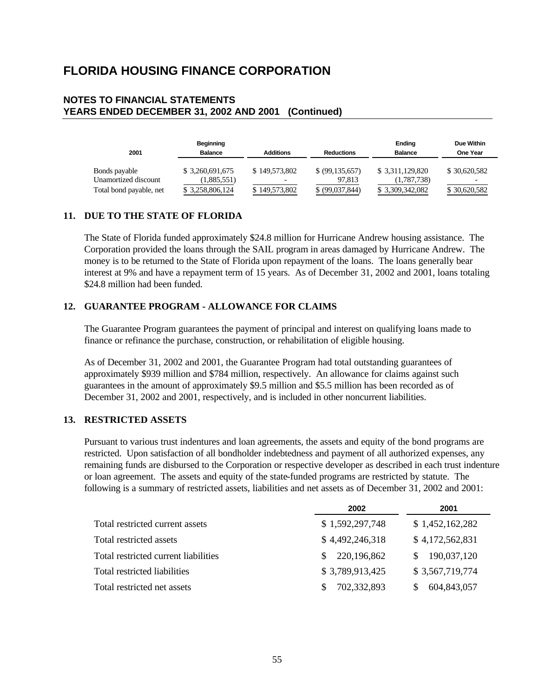### **NOTES TO FINANCIAL STATEMENTS YEARS ENDED DECEMBER 31, 2002 AND 2001 (Continued)**

| 2001                                  | Beginning<br><b>Balance</b>     | <b>Additions</b> | <b>Reductions</b>         | Ending<br><b>Balance</b>        | Due Within<br><b>One Year</b> |
|---------------------------------------|---------------------------------|------------------|---------------------------|---------------------------------|-------------------------------|
| Bonds payable<br>Unamortized discount | \$ 3,260,691,675<br>(1,885,551) | \$149,573,802    | \$ (99,135,657)<br>97.813 | \$ 3,311,129,820<br>(1,787,738) | \$30,620,582<br>-             |
| Total bond payable, net               | \$ 3,258,806,124                | \$149,573,802    | \$ (99,037,844)           | \$ 3,309,342,082                | \$30,620,582                  |

### **11. DUE TO THE STATE OF FLORIDA**

The State of Florida funded approximately \$24.8 million for Hurricane Andrew housing assistance. The Corporation provided the loans through the SAIL program in areas damaged by Hurricane Andrew. The money is to be returned to the State of Florida upon repayment of the loans. The loans generally bear interest at 9% and have a repayment term of 15 years. As of December 31, 2002 and 2001, loans totaling \$24.8 million had been funded.

### **12. GUARANTEE PROGRAM - ALLOWANCE FOR CLAIMS**

The Guarantee Program guarantees the payment of principal and interest on qualifying loans made to finance or refinance the purchase, construction, or rehabilitation of eligible housing.

As of December 31, 2002 and 2001, the Guarantee Program had total outstanding guarantees of approximately \$939 million and \$784 million, respectively. An allowance for claims against such guarantees in the amount of approximately \$9.5 million and \$5.5 million has been recorded as of December 31, 2002 and 2001, respectively, and is included in other noncurrent liabilities.

### **13. RESTRICTED ASSETS**

Pursuant to various trust indentures and loan agreements, the assets and equity of the bond programs are restricted. Upon satisfaction of all bondholder indebtedness and payment of all authorized expenses, any remaining funds are disbursed to the Corporation or respective developer as described in each trust indenture or loan agreement. The assets and equity of the state-funded programs are restricted by statute. The following is a summary of restricted assets, liabilities and net assets as of December 31, 2002 and 2001:

|                                      | 2002              | 2001            |
|--------------------------------------|-------------------|-----------------|
| Total restricted current assets      | \$1,592,297,748   | \$1,452,162,282 |
| Total restricted assets              | \$4,492,246,318   | \$4,172,562,831 |
| Total restricted current liabilities | 220,196,862<br>S. | 190,037,120     |
| Total restricted liabilities         | \$3,789,913,425   | \$3,567,719,774 |
| Total restricted net assets          | 702,332,893       | 604,843,057     |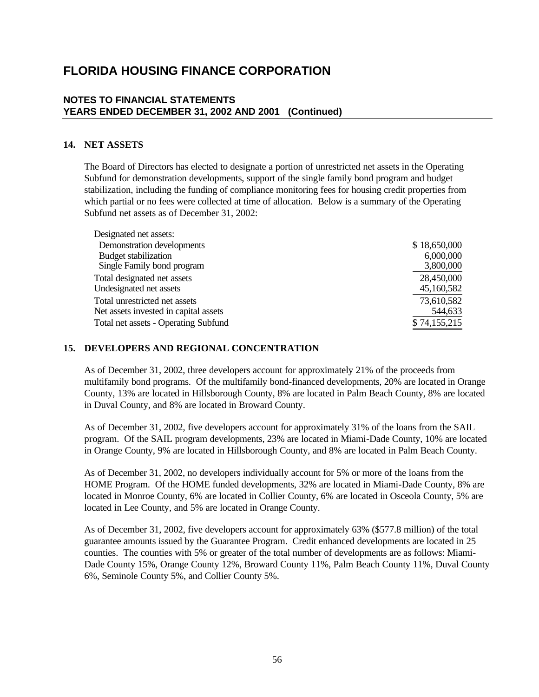### **NOTES TO FINANCIAL STATEMENTS YEARS ENDED DECEMBER 31, 2002 AND 2001 (Continued)**

### **14. NET ASSETS**

The Board of Directors has elected to designate a portion of unrestricted net assets in the Operating Subfund for demonstration developments, support of the single family bond program and budget stabilization, including the funding of compliance monitoring fees for housing credit properties from which partial or no fees were collected at time of allocation. Below is a summary of the Operating Subfund net assets as of December 31, 2002:

| Designated net assets:                |              |
|---------------------------------------|--------------|
| Demonstration developments            | \$18,650,000 |
| <b>Budget stabilization</b>           | 6,000,000    |
| Single Family bond program            | 3,800,000    |
| Total designated net assets           | 28,450,000   |
| Undesignated net assets               | 45,160,582   |
| Total unrestricted net assets         | 73,610,582   |
| Net assets invested in capital assets | 544,633      |
| Total net assets - Operating Subfund  | \$74,155,215 |

#### **15. DEVELOPERS AND REGIONAL CONCENTRATION**

As of December 31, 2002, three developers account for approximately 21% of the proceeds from multifamily bond programs. Of the multifamily bond-financed developments, 20% are located in Orange County, 13% are located in Hillsborough County, 8% are located in Palm Beach County, 8% are located in Duval County, and 8% are located in Broward County.

As of December 31, 2002, five developers account for approximately 31% of the loans from the SAIL program. Of the SAIL program developments, 23% are located in Miami-Dade County, 10% are located in Orange County, 9% are located in Hillsborough County, and 8% are located in Palm Beach County.

As of December 31, 2002, no developers individually account for 5% or more of the loans from the HOME Program. Of the HOME funded developments, 32% are located in Miami-Dade County, 8% are located in Monroe County, 6% are located in Collier County, 6% are located in Osceola County, 5% are located in Lee County, and 5% are located in Orange County.

As of December 31, 2002, five developers account for approximately 63% (\$577.8 million) of the total guarantee amounts issued by the Guarantee Program. Credit enhanced developments are located in 25 counties. The counties with 5% or greater of the total number of developments are as follows: Miami-Dade County 15%, Orange County 12%, Broward County 11%, Palm Beach County 11%, Duval County 6%, Seminole County 5%, and Collier County 5%.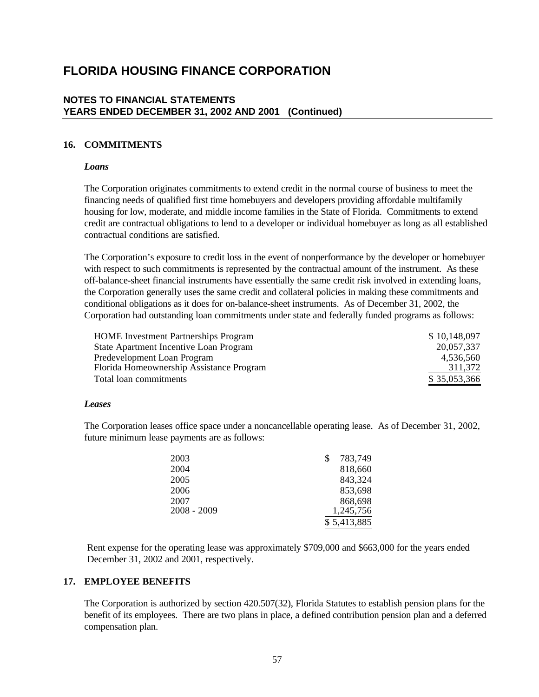### **NOTES TO FINANCIAL STATEMENTS YEARS ENDED DECEMBER 31, 2002 AND 2001 (Continued)**

### **16. COMMITMENTS**

#### *Loans*

The Corporation originates commitments to extend credit in the normal course of business to meet the financing needs of qualified first time homebuyers and developers providing affordable multifamily housing for low, moderate, and middle income families in the State of Florida. Commitments to extend credit are contractual obligations to lend to a developer or individual homebuyer as long as all established contractual conditions are satisfied.

The Corporation's exposure to credit loss in the event of nonperformance by the developer or homebuyer with respect to such commitments is represented by the contractual amount of the instrument. As these off-balance-sheet financial instruments have essentially the same credit risk involved in extending loans, the Corporation generally uses the same credit and collateral policies in making these commitments and conditional obligations as it does for on-balance-sheet instruments. As of December 31, 2002, the Corporation had outstanding loan commitments under state and federally funded programs as follows:

| <b>HOME</b> Investment Partnerships Program | \$10,148,097 |
|---------------------------------------------|--------------|
| State Apartment Incentive Loan Program      | 20,057,337   |
| Predevelopment Loan Program                 | 4.536.560    |
| Florida Homeownership Assistance Program    | 311,372      |
| Total loan commitments                      | \$35,053,366 |

### *Leases*

The Corporation leases office space under a noncancellable operating lease. As of December 31, 2002, future minimum lease payments are as follows:

| 2003          | 783,749     |
|---------------|-------------|
| 2004          | 818,660     |
| 2005          | 843,324     |
| 2006          | 853,698     |
| 2007          | 868,698     |
| $2008 - 2009$ | 1,245,756   |
|               | \$5,413,885 |

Rent expense for the operating lease was approximately \$709,000 and \$663,000 for the years ended December 31, 2002 and 2001, respectively.

### **17. EMPLOYEE BENEFITS**

The Corporation is authorized by section 420.507(32), Florida Statutes to establish pension plans for the benefit of its employees. There are two plans in place, a defined contribution pension plan and a deferred compensation plan.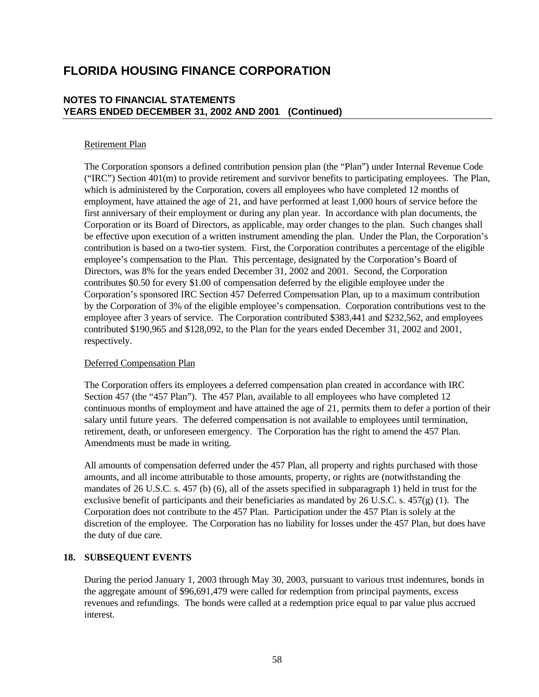### **NOTES TO FINANCIAL STATEMENTS YEARS ENDED DECEMBER 31, 2002 AND 2001 (Continued)**

### Retirement Plan

The Corporation sponsors a defined contribution pension plan (the "Plan") under Internal Revenue Code ("IRC") Section 401(m) to provide retirement and survivor benefits to participating employees. The Plan, which is administered by the Corporation, covers all employees who have completed 12 months of employment, have attained the age of 21, and have performed at least 1,000 hours of service before the first anniversary of their employment or during any plan year. In accordance with plan documents, the Corporation or its Board of Directors, as applicable, may order changes to the plan. Such changes shall be effective upon execution of a written instrument amending the plan. Under the Plan, the Corporation's contribution is based on a two-tier system. First, the Corporation contributes a percentage of the eligible employee's compensation to the Plan. This percentage, designated by the Corporation's Board of Directors, was 8% for the years ended December 31, 2002 and 2001. Second, the Corporation contributes \$0.50 for every \$1.00 of compensation deferred by the eligible employee under the Corporation's sponsored IRC Section 457 Deferred Compensation Plan, up to a maximum contribution by the Corporation of 3% of the eligible employee's compensation. Corporation contributions vest to the employee after 3 years of service. The Corporation contributed \$383,441 and \$232,562, and employees contributed \$190,965 and \$128,092, to the Plan for the years ended December 31, 2002 and 2001, respectively.

### Deferred Compensation Plan

The Corporation offers its employees a deferred compensation plan created in accordance with IRC Section 457 (the "457 Plan"). The 457 Plan, available to all employees who have completed 12 continuous months of employment and have attained the age of 21, permits them to defer a portion of their salary until future years. The deferred compensation is not available to employees until termination, retirement, death, or unforeseen emergency. The Corporation has the right to amend the 457 Plan. Amendments must be made in writing.

All amounts of compensation deferred under the 457 Plan, all property and rights purchased with those amounts, and all income attributable to those amounts, property, or rights are (notwithstanding the mandates of 26 U.S.C. s. 457 (b) (6), all of the assets specified in subparagraph 1) held in trust for the exclusive benefit of participants and their beneficiaries as mandated by 26 U.S.C. s.  $457(g)(1)$ . The Corporation does not contribute to the 457 Plan. Participation under the 457 Plan is solely at the discretion of the employee. The Corporation has no liability for losses under the 457 Plan, but does have the duty of due care.

### **18. SUBSEQUENT EVENTS**

During the period January 1, 2003 through May 30, 2003, pursuant to various trust indentures, bonds in the aggregate amount of \$96,691,479 were called for redemption from principal payments, excess revenues and refundings. The bonds were called at a redemption price equal to par value plus accrued interest.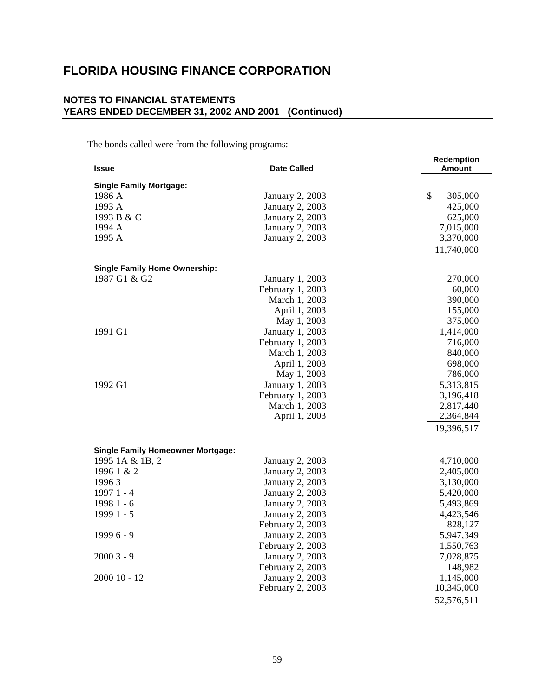### **NOTES TO FINANCIAL STATEMENTS YEARS ENDED DECEMBER 31, 2002 AND 2001 (Continued)**

The bonds called were from the following programs:

|                                          |                        | <b>Redemption</b> |
|------------------------------------------|------------------------|-------------------|
| <b>Issue</b>                             | <b>Date Called</b>     | Amount            |
| <b>Single Family Mortgage:</b>           |                        |                   |
| 1986 A                                   | January 2, 2003        | \$<br>305,000     |
| 1993 A                                   | January 2, 2003        | 425,000           |
| 1993 B & C                               | January 2, 2003        | 625,000           |
| 1994 A                                   | January 2, 2003        | 7,015,000         |
| 1995 A                                   | January 2, 2003        | 3,370,000         |
|                                          |                        | 11,740,000        |
|                                          |                        |                   |
| <b>Single Family Home Ownership:</b>     |                        |                   |
| 1987 G1 & G2                             | January 1, 2003        | 270,000           |
|                                          | February 1, 2003       | 60,000            |
|                                          | March 1, 2003          | 390,000           |
|                                          | April 1, 2003          | 155,000           |
|                                          | May 1, 2003            | 375,000           |
| 1991 G1                                  | January 1, 2003        | 1,414,000         |
|                                          | February 1, 2003       | 716,000           |
|                                          | March 1, 2003          | 840,000           |
|                                          | April 1, 2003          | 698,000           |
|                                          | May 1, 2003            | 786,000           |
| 1992 G1                                  | January 1, 2003        | 5,313,815         |
|                                          | February 1, 2003       | 3,196,418         |
|                                          | March 1, 2003          | 2,817,440         |
|                                          | April 1, 2003          | 2,364,844         |
|                                          |                        | 19,396,517        |
|                                          |                        |                   |
| <b>Single Family Homeowner Mortgage:</b> |                        |                   |
| 1995 1A & 1B, 2                          | January 2, 2003        | 4,710,000         |
| 1996 1 & 2                               | January 2, 2003        | 2,405,000         |
| 19963                                    | January 2, 2003        | 3,130,000         |
| 1997 1 - 4                               | January 2, 2003        | 5,420,000         |
| 1998 1 - 6                               | January 2, 2003        | 5,493,869         |
| 1999 1 - 5                               | January 2, 2003        | 4,423,546         |
|                                          | February 2, 2003       | 828,127           |
| $19996 - 9$                              | <b>January 2, 2003</b> | 5,947,349         |
|                                          | February 2, 2003       | 1,550,763         |
| $20003 - 9$                              | January 2, 2003        | 7,028,875         |
|                                          | February 2, 2003       | 148,982           |
| $200010 - 12$                            | January 2, 2003        | 1,145,000         |
|                                          | February 2, 2003       | 10,345,000        |
|                                          |                        | 52,576,511        |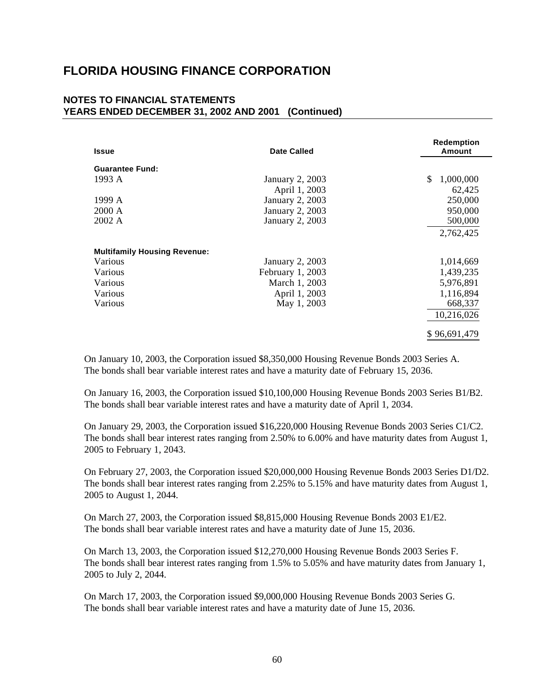### **NOTES TO FINANCIAL STATEMENTS YEARS ENDED DECEMBER 31, 2002 AND 2001 (Continued)**

| <b>Issue</b>                        | <b>Date Called</b>     | <b>Redemption</b><br>Amount |
|-------------------------------------|------------------------|-----------------------------|
|                                     |                        |                             |
| <b>Guarantee Fund:</b>              |                        |                             |
| 1993 A                              | <b>January 2, 2003</b> | 1,000,000<br>\$             |
|                                     | April 1, 2003          | 62,425                      |
| 1999 A                              | <b>January 2, 2003</b> | 250,000                     |
| 2000 A                              | January 2, 2003        | 950,000                     |
| 2002 A                              | January 2, 2003        | 500,000                     |
|                                     |                        | 2,762,425                   |
| <b>Multifamily Housing Revenue:</b> |                        |                             |
| Various                             | January 2, 2003        | 1,014,669                   |
| Various                             | February 1, 2003       | 1,439,235                   |
| Various                             | March 1, 2003          | 5,976,891                   |
| Various                             | April 1, 2003          | 1,116,894                   |
| Various                             | May 1, 2003            | 668,337                     |
|                                     |                        | 10,216,026                  |
|                                     |                        | \$96,691,479                |

On January 10, 2003, the Corporation issued \$8,350,000 Housing Revenue Bonds 2003 Series A. The bonds shall bear variable interest rates and have a maturity date of February 15, 2036.

On January 16, 2003, the Corporation issued \$10,100,000 Housing Revenue Bonds 2003 Series B1/B2. The bonds shall bear variable interest rates and have a maturity date of April 1, 2034.

On January 29, 2003, the Corporation issued \$16,220,000 Housing Revenue Bonds 2003 Series C1/C2. The bonds shall bear interest rates ranging from 2.50% to 6.00% and have maturity dates from August 1, 2005 to February 1, 2043.

On February 27, 2003, the Corporation issued \$20,000,000 Housing Revenue Bonds 2003 Series D1/D2. The bonds shall bear interest rates ranging from 2.25% to 5.15% and have maturity dates from August 1, 2005 to August 1, 2044.

On March 27, 2003, the Corporation issued \$8,815,000 Housing Revenue Bonds 2003 E1/E2. The bonds shall bear variable interest rates and have a maturity date of June 15, 2036.

On March 13, 2003, the Corporation issued \$12,270,000 Housing Revenue Bonds 2003 Series F. The bonds shall bear interest rates ranging from 1.5% to 5.05% and have maturity dates from January 1, 2005 to July 2, 2044.

On March 17, 2003, the Corporation issued \$9,000,000 Housing Revenue Bonds 2003 Series G. The bonds shall bear variable interest rates and have a maturity date of June 15, 2036.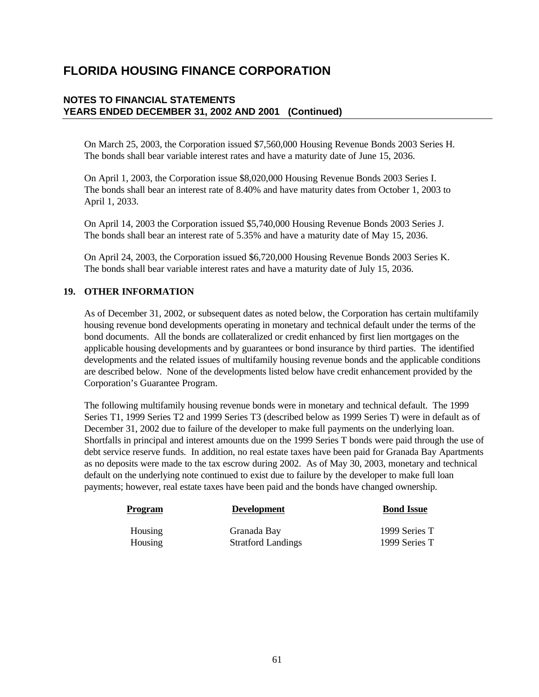### **NOTES TO FINANCIAL STATEMENTS YEARS ENDED DECEMBER 31, 2002 AND 2001 (Continued)**

On March 25, 2003, the Corporation issued \$7,560,000 Housing Revenue Bonds 2003 Series H. The bonds shall bear variable interest rates and have a maturity date of June 15, 2036.

On April 1, 2003, the Corporation issue \$8,020,000 Housing Revenue Bonds 2003 Series I. The bonds shall bear an interest rate of 8.40% and have maturity dates from October 1, 2003 to April 1, 2033.

On April 14, 2003 the Corporation issued \$5,740,000 Housing Revenue Bonds 2003 Series J. The bonds shall bear an interest rate of 5.35% and have a maturity date of May 15, 2036.

On April 24, 2003, the Corporation issued \$6,720,000 Housing Revenue Bonds 2003 Series K. The bonds shall bear variable interest rates and have a maturity date of July 15, 2036.

### **19. OTHER INFORMATION**

As of December 31, 2002, or subsequent dates as noted below, the Corporation has certain multifamily housing revenue bond developments operating in monetary and technical default under the terms of the bond documents. All the bonds are collateralized or credit enhanced by first lien mortgages on the applicable housing developments and by guarantees or bond insurance by third parties. The identified developments and the related issues of multifamily housing revenue bonds and the applicable conditions are described below. None of the developments listed below have credit enhancement provided by the Corporation's Guarantee Program.

The following multifamily housing revenue bonds were in monetary and technical default. The 1999 Series T1, 1999 Series T2 and 1999 Series T3 (described below as 1999 Series T) were in default as of December 31, 2002 due to failure of the developer to make full payments on the underlying loan. Shortfalls in principal and interest amounts due on the 1999 Series T bonds were paid through the use of debt service reserve funds. In addition, no real estate taxes have been paid for Granada Bay Apartments as no deposits were made to the tax escrow during 2002. As of May 30, 2003, monetary and technical default on the underlying note continued to exist due to failure by the developer to make full loan payments; however, real estate taxes have been paid and the bonds have changed ownership.

| <b>Program</b> | <b>Development</b>        | <b>Bond Issue</b> |
|----------------|---------------------------|-------------------|
| Housing        | Granada Bay               | 1999 Series T     |
| Housing        | <b>Stratford Landings</b> | 1999 Series T     |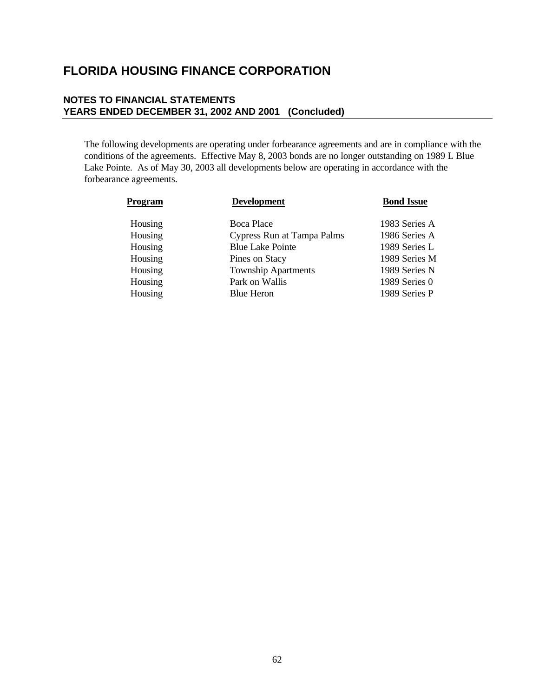### **NOTES TO FINANCIAL STATEMENTS YEARS ENDED DECEMBER 31, 2002 AND 2001 (Concluded)**

The following developments are operating under forbearance agreements and are in compliance with the conditions of the agreements. Effective May 8, 2003 bonds are no longer outstanding on 1989 L Blue Lake Pointe. As of May 30, 2003 all developments below are operating in accordance with the forbearance agreements.

| Program | <b>Development</b>         | <b>Bond Issue</b> |
|---------|----------------------------|-------------------|
| Housing | <b>Boca Place</b>          | 1983 Series A     |
| Housing | Cypress Run at Tampa Palms | 1986 Series A     |
| Housing | <b>Blue Lake Pointe</b>    | 1989 Series L     |
| Housing | Pines on Stacy             | 1989 Series M     |
| Housing | <b>Township Apartments</b> | 1989 Series N     |
| Housing | Park on Wallis             | 1989 Series 0     |
| Housing | <b>Blue Heron</b>          | 1989 Series P     |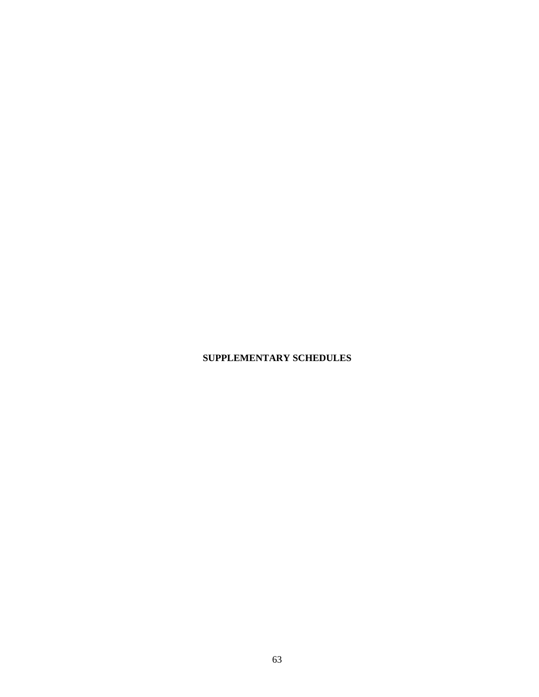## **SUPPLEMENTARY SCHEDULES**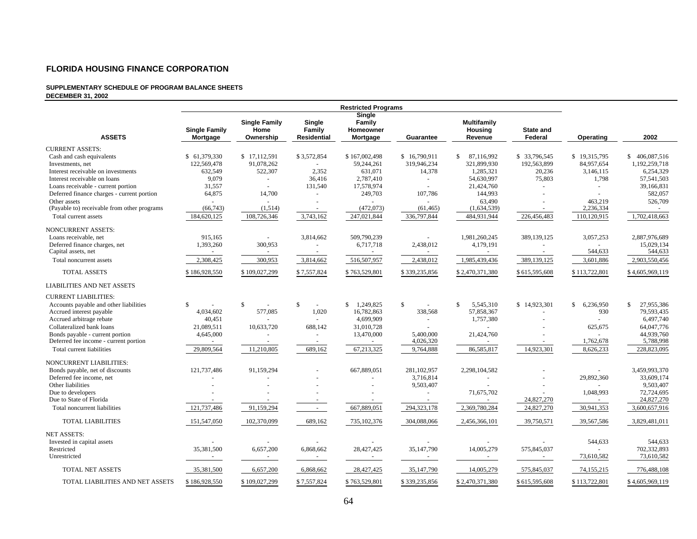#### **SUPPLEMENTARY SCHEDULE OF PROGRAM BALANCE SHEETS DECEMBER 31, 2002**

|                                             |                                  |                                           |                                        | <b>Restricted Programs</b>                |                |                                          |                      |                 |                            |
|---------------------------------------------|----------------------------------|-------------------------------------------|----------------------------------------|-------------------------------------------|----------------|------------------------------------------|----------------------|-----------------|----------------------------|
| <b>ASSETS</b>                               | <b>Single Family</b><br>Mortgage | <b>Single Family</b><br>Home<br>Ownership | Single<br>Family<br><b>Residential</b> | Single<br>Family<br>Homeowner<br>Mortgage | Guarantee      | <b>Multifamily</b><br>Housing<br>Revenue | State and<br>Federal | Operating       | 2002                       |
| <b>CURRENT ASSETS:</b>                      |                                  |                                           |                                        |                                           |                |                                          |                      |                 |                            |
| Cash and cash equivalents                   | \$ 61,379,330                    | \$17,112,591                              | \$3,572,854                            | \$167,002,498                             | \$16,790,911   | \$.<br>87,116,992                        | \$33,796,545         | \$19,315,795    | \$406,087,516              |
| Investments, net                            | 122,569,478                      | 91,078,262                                | $\sim$                                 | 59,244,261                                | 319,946,234    | 321.899.930                              | 192,563,899          | 84,957,654      | 1.192.259.718              |
| Interest receivable on investments          | 632,549                          | 522,307                                   | 2,352                                  | 631,071                                   | 14,378         | 1,285,321                                | 20,236               | 3,146,115       | 6,254,329                  |
| Interest receivable on loans                | 9,079                            | $\sim$                                    | 36,416                                 | 2,787,410                                 | $\blacksquare$ | 54,630,997                               | 75,803               | 1,798           | 57,541,503                 |
| Loans receivable - current portion          | 31,557                           | $\sim$                                    | 131,540                                | 17,578,974                                | ÷              | 21,424,760                               |                      | $\bar{a}$       | 39,166,831                 |
| Deferred finance charges - current portion  | 64,875                           | 14,700                                    | $\sim$                                 | 249,703                                   | 107,786        | 144,993                                  |                      |                 | 582,057                    |
| Other assets                                |                                  |                                           |                                        |                                           |                | 63,490                                   |                      | 463,219         | 526,709                    |
| (Payable to) receivable from other programs | (66, 743)                        | (1,514)                                   | $\sim$                                 | (472, 073)                                | (61, 465)      | (1,634,539)                              |                      | 2,236,334       |                            |
| Total current assets                        | 184,620,125                      | 108,726,346                               | 3,743,162                              | 247,021,844                               | 336,797,844    | 484,931,944                              | 226,456,483          | 110,120,915     | 1,702,418,663              |
| <b>NONCURRENT ASSETS:</b>                   |                                  |                                           |                                        |                                           |                |                                          |                      |                 |                            |
| Loans receivable, net                       | 915,165                          |                                           | 3,814,662                              | 509,790,239                               |                | 1,981,260,245                            | 389,139,125          | 3,057,253       | 2,887,976,689              |
| Deferred finance charges, net               | 1,393,260                        | 300,953                                   | $\sim$                                 | 6,717,718                                 | 2,438,012      | 4,179,191                                | $\sim$               |                 | 15,029,134                 |
| Capital assets, net                         | $\sim$                           |                                           | $\sim$                                 | $\sim$                                    | $\sim$         |                                          |                      | 544,633         | 544,633                    |
| Total noncurrent assets                     | 2,308,425                        | 300,953                                   | 3,814,662                              | 516,507,957                               | 2,438,012      | 1,985,439,436                            | 389,139,125          | 3,601,886       | 2,903,550,456              |
| TOTAL ASSETS                                | \$186,928,550                    | \$109,027,299                             | \$7,557,824                            | \$763,529,801                             | \$339,235,856  | \$2,470,371,380                          | \$615,595,608        | \$113,722,801   | \$4,605,969,119            |
| <b>LIABILITIES AND NET ASSETS</b>           |                                  |                                           |                                        |                                           |                |                                          |                      |                 |                            |
| <b>CURRENT LIABILITIES:</b>                 |                                  |                                           |                                        |                                           |                |                                          |                      |                 |                            |
| Accounts payable and other liabilities      | S                                | $\mathbb{S}$                              | <sup>\$</sup><br>$\sim$                | \$1,249,825                               | \$             | $\mathbf{s}$<br>5,545,310                | \$14,923,301         | 6,236,950<br>\$ | $\mathbb{S}$<br>27,955,386 |
| Accrued interest payable                    | 4,034,602                        | 577,085                                   | 1,020                                  | 16,782,863                                | 338,568        | 57,858,367                               |                      | 930             | 79,593,435                 |
| Accrued arbitrage rebate                    | 40.451                           |                                           |                                        | 4,699,909                                 | $\sim$         | 1,757,380                                |                      |                 | 6,497,740                  |
| Collateralized bank loans                   | 21,089,511                       | 10,633,720                                | 688,142                                | 31,010,728                                |                |                                          |                      | 625,675         | 64,047,776                 |
| Bonds payable - current portion             | 4,645,000                        |                                           |                                        | 13,470,000                                | 5,400,000      | 21,424,760                               |                      |                 | 44,939,760                 |
| Deferred fee income - current portion       | $\sim$                           | $\sim$                                    | $\sim$                                 | $\sim$                                    | 4,026,320      |                                          |                      | 1,762,678       | 5,788,998                  |
| Total current liabilities                   | 29,809,564                       | 11,210,805                                | 689,162                                | 67,213,325                                | 9,764,888      | 86,585,817                               | 14,923,301           | 8,626,233       | 228,823,095                |
| <b>NONCURRENT LIABILITIES:</b>              |                                  |                                           |                                        |                                           |                |                                          |                      |                 |                            |
| Bonds payable, net of discounts             | 121,737,486                      | 91,159,294                                |                                        | 667,889,051                               | 281.102.957    | 2,298,104,582                            |                      |                 | 3,459,993,370              |
| Deferred fee income, net                    |                                  |                                           |                                        |                                           | 3,716,814      |                                          |                      | 29,892,360      | 33,609,174                 |
| Other liabilities                           |                                  |                                           |                                        |                                           | 9,503,407      |                                          |                      |                 | 9,503,407                  |
| Due to developers                           |                                  |                                           |                                        |                                           |                | 71,675,702                               |                      | 1,048,993       | 72,724,695                 |
| Due to State of Florida                     |                                  |                                           |                                        |                                           |                |                                          | 24,827,270           |                 | 24,827,270                 |
| Total noncurrent liabilities                | 121,737,486                      | 91,159,294                                | $\sim$                                 | 667,889,051                               | 294,323,178    | 2,369,780,284                            | 24,827,270           | 30,941,353      | 3,600,657,916              |
| <b>TOTAL LIABILITIES</b>                    | 151,547,050                      | 102,370,099                               | 689,162                                | 735,102,376                               | 304,088,066    | 2,456,366,101                            | 39,750,571           | 39,567,586      | 3,829,481,011              |
| <b>NET ASSETS:</b>                          |                                  |                                           |                                        |                                           |                |                                          |                      |                 |                            |
| Invested in capital assets                  |                                  |                                           |                                        |                                           |                |                                          |                      | 544,633         | 544,633                    |
| Restricted                                  | 35,381,500                       | 6,657,200                                 | 6,868,662                              | 28,427,425                                | 35,147,790     | 14,005,279                               | 575,845,037          |                 | 702,332,893                |
| Unrestricted                                |                                  | $\sim$                                    | $\overline{\phantom{a}}$               |                                           |                |                                          |                      | 73,610,582      | 73,610,582                 |
| <b>TOTAL NET ASSETS</b>                     | 35,381,500                       | 6,657,200                                 | 6,868,662                              | 28,427,425                                | 35,147,790     | 14,005,279                               | 575,845,037          | 74,155,215      | 776,488,108                |
| TOTAL LIABILITIES AND NET ASSETS            | \$186,928,550                    | \$109,027,299                             | \$7,557,824                            | \$763,529,801                             | \$339,235,856  | \$2,470,371,380                          | \$615,595,608        | \$113,722,801   | \$4,605,969,119            |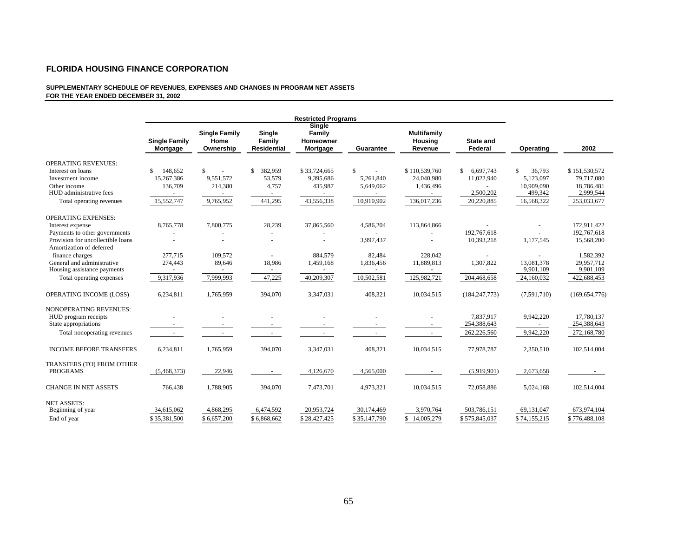#### **SUPPLEMENTARY SCHEDULE OF REVENUES, EXPENSES AND CHANGES IN PROGRAM NET ASSETS FOR THE YEAR ENDED DECEMBER 31, 2002**

|                                              | <b>Restricted Programs</b>       |                                           |                                        |                                           |                          |                                          |                             |               |                 |
|----------------------------------------------|----------------------------------|-------------------------------------------|----------------------------------------|-------------------------------------------|--------------------------|------------------------------------------|-----------------------------|---------------|-----------------|
|                                              | <b>Single Family</b><br>Mortgage | <b>Single Family</b><br>Home<br>Ownership | Single<br>Family<br><b>Residential</b> | Single<br>Family<br>Homeowner<br>Mortgage | Guarantee                | <b>Multifamily</b><br>Housing<br>Revenue | <b>State and</b><br>Federal | Operating     | 2002            |
| <b>OPERATING REVENUES:</b>                   |                                  |                                           |                                        |                                           |                          |                                          |                             |               |                 |
| Interest on loans                            | 148.652<br>S                     | $\mathcal{S}$<br>$\sim$                   | 382,959<br>\$                          | \$33,724,665                              | $\mathbf{s}$             | \$110,539,760                            | 6.697.743<br>\$.            | 36.793<br>\$. | \$151,530,572   |
| Investment income                            | 15.267.386                       | 9.551.572                                 | 53,579                                 | 9,395,686                                 | 5,261,840                | 24,040,980                               | 11,022,940                  | 5,123,097     | 79,717,080      |
| Other income                                 | 136,709                          | 214,380                                   | 4,757                                  | 435,987                                   | 5,649,062                | 1,436,496                                |                             | 10,909,090    | 18,786,481      |
| HUD administrative fees                      |                                  |                                           |                                        |                                           |                          |                                          | 2,500,202                   | 499,342       | 2,999,544       |
| Total operating revenues                     | 15,552,747                       | 9,765,952                                 | 441,295                                | 43,556,338                                | 10,910,902               | 136,017,236                              | 20,220,885                  | 16,568,322    | 253,033,677     |
| <b>OPERATING EXPENSES:</b>                   |                                  |                                           |                                        |                                           |                          |                                          |                             |               |                 |
| Interest expense                             | 8,765,778                        | 7,800,775                                 | 28,239                                 | 37,865,560                                | 4,586,204                | 113,864,866                              |                             |               | 172,911,422     |
| Payments to other governments                |                                  |                                           | $\overline{a}$                         |                                           |                          |                                          | 192,767,618                 |               | 192,767,618     |
| Provision for uncollectible loans            |                                  |                                           |                                        |                                           | 3,997,437                |                                          | 10,393,218                  | 1,177,545     | 15,568,200      |
| Amortization of deferred                     |                                  |                                           |                                        |                                           |                          |                                          |                             |               |                 |
| finance charges                              | 277,715                          | 109,572                                   |                                        | 884,579                                   | 82,484                   | 228,042                                  | $\sim$                      |               | 1,582,392       |
| General and administrative                   | 274,443                          | 89,646                                    | 18,986                                 | 1,459,168                                 | 1,836,456                | 11,889,813                               | 1,307,822                   | 13,081,378    | 29,957,712      |
| Housing assistance payments                  | $\sim$                           | $\sim$                                    | $\sim$                                 | $\overline{\phantom{a}}$                  | $\overline{\phantom{a}}$ | $\overline{a}$                           | $\sim$                      | 9,901,109     | 9,901,109       |
| Total operating expenses                     | 9,317,936                        | 7,999,993                                 | 47,225                                 | 40,209,307                                | 10,502,581               | 125,982,721                              | 204,468,658                 | 24,160,032    | 422,688,453     |
| OPERATING INCOME (LOSS)                      | 6,234,811                        | 1,765,959                                 | 394,070                                | 3,347,031                                 | 408,321                  | 10,034,515                               | (184, 247, 773)             | (7,591,710)   | (169, 654, 776) |
| <b>NONOPERATING REVENUES:</b>                |                                  |                                           |                                        |                                           |                          |                                          |                             |               |                 |
| HUD program receipts                         |                                  |                                           |                                        |                                           |                          |                                          | 7,837,917                   | 9,942,220     | 17,780,137      |
| State appropriations                         |                                  |                                           |                                        |                                           |                          |                                          | 254,388,643                 |               | 254,388,643     |
| Total nonoperating revenues                  | $\sim$                           |                                           | $\sim$                                 |                                           |                          | $\sim$                                   | 262,226,560                 | 9,942,220     | 272,168,780     |
| <b>INCOME BEFORE TRANSFERS</b>               | 6,234,811                        | 1,765,959                                 | 394,070                                | 3,347,031                                 | 408,321                  | 10,034,515                               | 77,978,787                  | 2,350,510     | 102,514,004     |
| TRANSFERS (TO) FROM OTHER<br><b>PROGRAMS</b> | (5,468,373)                      | 22,946                                    | $\sim$                                 | 4,126,670                                 | 4,565,000                | $\sim$                                   | (5,919,901)                 | 2,673,658     |                 |
| <b>CHANGE IN NET ASSETS</b>                  | 766,438                          | 1,788,905                                 | 394,070                                | 7,473,701                                 | 4,973,321                | 10,034,515                               | 72,058,886                  | 5,024,168     | 102,514,004     |
|                                              |                                  |                                           |                                        |                                           |                          |                                          |                             |               |                 |
| <b>NET ASSETS:</b>                           |                                  |                                           |                                        |                                           |                          |                                          |                             |               |                 |
| Beginning of year                            | 34,615,062                       | 4,868,295                                 | 6,474,592                              | 20,953,724                                | 30,174,469               | 3,970,764                                | 503,786,151                 | 69,131,047    | 673,974,104     |
| End of year                                  | \$35,381,500                     | \$6,657,200                               | \$6,868,662                            | \$28,427,425                              | \$35,147,790             | \$14,005,279                             | \$575,845,037               | \$74,155,215  | \$776,488,108   |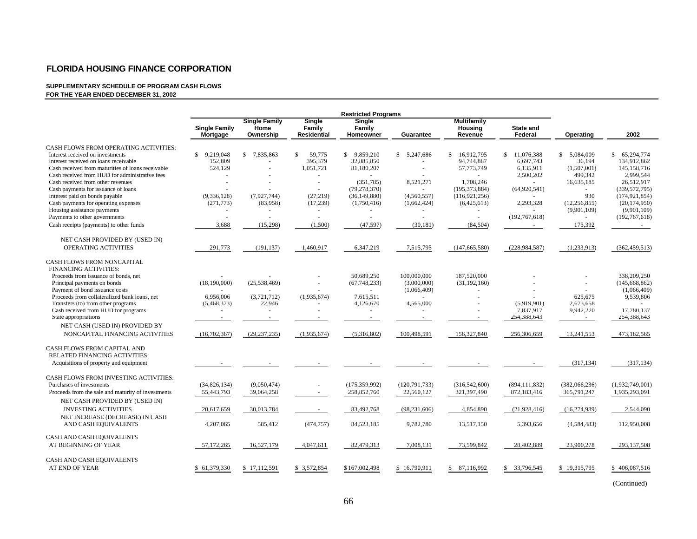#### **SUPPLEMENTARY SCHEDULE OF PROGRAM CASH FLOWS FOR THE YEAR ENDED DECEMBER 31, 2002**

|                                                    | <b>Restricted Programs</b>       |                                           |                                               |                                      |                 |                                          |                             |                |                 |
|----------------------------------------------------|----------------------------------|-------------------------------------------|-----------------------------------------------|--------------------------------------|-----------------|------------------------------------------|-----------------------------|----------------|-----------------|
|                                                    | <b>Single Family</b><br>Mortgage | <b>Single Family</b><br>Home<br>Ownership | <b>Single</b><br>Family<br><b>Residential</b> | <b>Single</b><br>Family<br>Homeowner | Guarantee       | <b>Multifamily</b><br>Housing<br>Revenue | <b>State and</b><br>Federal | Operating      | 2002            |
| <b>CASH FLOWS FROM OPERATING ACTIVITIES:</b>       |                                  |                                           |                                               |                                      |                 |                                          |                             |                |                 |
| Interest received on investments                   | \$9,219,048                      | \$ 7,835,863                              | \$<br>59,775                                  | \$ 9,859,210                         | \$5,247,686     | S.<br>16,912,795                         | \$11,076,388                | \$ 5,084,009   | \$ 65,294,774   |
| Interest received on loans receivable              | 152,809                          |                                           | 395,379                                       | 32,885,850                           |                 | 94,744,887                               | 6,697,743                   | 36,194         | 134,912,862     |
| Cash received from maturities of loans receivable  | 524,129                          |                                           | 1,051,721                                     | 81,180,207                           |                 | 57,773,749                               | 6,135,911                   | (1,507,001)    | 145,158,716     |
| Cash received from HUD for administrative fees     |                                  |                                           | $\overline{\phantom{a}}$                      |                                      |                 |                                          | 2,500,202                   | 499,342        | 2.999.544       |
| Cash received from other revenues                  |                                  |                                           |                                               | (351, 785)                           | 8,521,271       | 1,708,246                                |                             | 16,635,185     | 26,512,917      |
| Cash payments for issuance of loans                |                                  |                                           | $\overline{\phantom{a}}$                      | (79, 278, 370)                       |                 | (195, 373, 884)                          | (64,920,541)                |                | (339, 572, 795) |
| Interest paid on bonds payable                     | (9,336,128)                      | (7.927.744)                               | (27, 219)                                     | (36, 149, 880)                       | (4,560,557)     | (116, 921, 256)                          |                             | 930            | (174, 921, 854) |
| Cash payments for operating expenses               | (271, 773)                       | (83,958)                                  | (17,239)                                      | (1,750,416)                          | (1,662,424)     | (6,425,613)                              | 2,293,328                   | (12, 256, 855) | (20, 174, 950)  |
| Housing assistance payments                        | $\sim$                           |                                           | $\overline{\phantom{a}}$                      |                                      |                 |                                          |                             | (9,901,109)    | (9,901,109)     |
| Payments to other governments                      |                                  |                                           |                                               |                                      |                 |                                          | (192, 767, 618)             |                | (192, 767, 618) |
| Cash receipts (payments) to other funds            | 3,688                            | (15,298)                                  | (1,500)                                       | (47, 597)                            | (30, 181)       | (84, 504)                                |                             | 175,392        |                 |
| NET CASH PROVIDED BY (USED IN)                     |                                  |                                           |                                               |                                      |                 |                                          |                             |                |                 |
| OPERATING ACTIVITIES                               | 291,773                          | (191, 137)                                | 1,460,917                                     | 6,347,219                            | 7,515,795       | (147,665,580)                            | (228, 984, 587)             | (1,233,913)    | (362, 459, 513) |
| CASH FLOWS FROM NONCAPITAL                         |                                  |                                           |                                               |                                      |                 |                                          |                             |                |                 |
| FINANCING ACTIVITIES:                              |                                  |                                           |                                               |                                      |                 |                                          |                             |                |                 |
| Proceeds from issuance of bonds, net               |                                  |                                           |                                               | 50,689,250                           | 100,000,000     | 187,520,000                              |                             |                | 338,209,250     |
| Principal payments on bonds                        | (18,190,000)                     | (25, 538, 469)                            |                                               | (67,748,233)                         | (3,000,000)     | (31, 192, 160)                           |                             |                | (145, 668, 862) |
| Payment of bond issuance costs                     |                                  |                                           |                                               | $\sim$                               | (1,066,409)     |                                          |                             |                | (1,066,409)     |
| Proceeds from collateralized bank loans, net       | 6,956,006                        | (3,721,712)                               | (1,935,674)                                   | 7,615,511                            |                 |                                          |                             | 625,675        | 9,539,806       |
| Transfers (to) from other programs                 | (5,468,373)                      | 22,946                                    |                                               | 4,126,670                            | 4,565,000       |                                          | (5,919,901)                 | 2,673,658      |                 |
| Cash received from HUD for programs                |                                  |                                           |                                               |                                      |                 |                                          | 7,837,917                   | 9,942,220      | 17,780,137      |
| State appropriations                               |                                  |                                           |                                               |                                      |                 |                                          | 254,388,643                 | $\sim$         | 254,388,643     |
| NET CASH (USED IN) PROVIDED BY                     |                                  |                                           |                                               |                                      |                 |                                          |                             |                |                 |
| NONCAPITAL FINANCING ACTIVITIES                    | (16,702,367)                     | (29, 237, 235)                            | (1,935,674)                                   | (5,316,802)                          | 100,498,591     | 156,327,840                              | 256,306,659                 | 13,241,553     | 473,182,565     |
| <b>CASH FLOWS FROM CAPITAL AND</b>                 |                                  |                                           |                                               |                                      |                 |                                          |                             |                |                 |
| RELATED FINANCING ACTIVITIES:                      |                                  |                                           |                                               |                                      |                 |                                          |                             |                |                 |
| Acquisitions of property and equipment             |                                  |                                           |                                               |                                      |                 |                                          |                             | (317, 134)     | (317, 134)      |
| CASH FLOWS FROM INVESTING ACTIVITIES:              |                                  |                                           |                                               |                                      |                 |                                          |                             |                |                 |
| Purchases of investments                           | (34,826,134)                     | (9,050,474)                               | $\overline{\phantom{a}}$                      | (175, 359, 992)                      | (120, 791, 733) | (316,542,600)                            | (894, 111, 832)             | (382,066,236)  | (1,932,749,001) |
| Proceeds from the sale and maturity of investments | 55,443,793                       | 39,064,258                                | $\sim$                                        | 258,852,760                          | 22,560,127      | 321,397,490                              | 872,183,416                 | 365,791,247    | 1,935,293,091   |
| NET CASH PROVIDED BY (USED IN)                     |                                  |                                           |                                               |                                      |                 |                                          |                             |                |                 |
| <b>INVESTING ACTIVITIES</b>                        | 20,617,659                       | 30,013,784                                |                                               | 83,492,768                           | (98, 231, 606)  | 4,854,890                                | (21, 928, 416)              | (16,274,989)   | 2,544,090       |
| NET INCREASE (DECREASE) IN CASH                    |                                  |                                           |                                               |                                      |                 |                                          |                             |                |                 |
| AND CASH EQUIVALENTS                               | 4,207,065                        | 585,412                                   | (474, 757)                                    | 84,523,185                           | 9,782,780       | 13,517,150                               | 5,393,656                   | (4,584,483)    | 112,950,008     |
|                                                    |                                  |                                           |                                               |                                      |                 |                                          |                             |                |                 |
| CASH AND CASH EQUIVALENTS                          |                                  |                                           |                                               |                                      |                 |                                          |                             |                |                 |
| AT BEGINNING OF YEAR                               | 57,172,265                       | 16,527,179                                | 4,047,611                                     | 82,479,313                           | 7,008,131       | 73,599,842                               | 28,402,889                  | 23,900,278     | 293, 137, 508   |
| CASH AND CASH EQUIVALENTS                          |                                  |                                           |                                               |                                      |                 |                                          |                             |                |                 |
| <b>AT END OF YEAR</b>                              | \$61,379,330                     | \$17,112,591                              | \$ 3,572,854                                  | \$167,002,498                        | \$16,790,911    | \$ 87,116,992                            | \$ 33,796,545               | \$19,315,795   | \$406,087,516   |
|                                                    |                                  |                                           |                                               |                                      |                 |                                          |                             |                |                 |

(Continued)